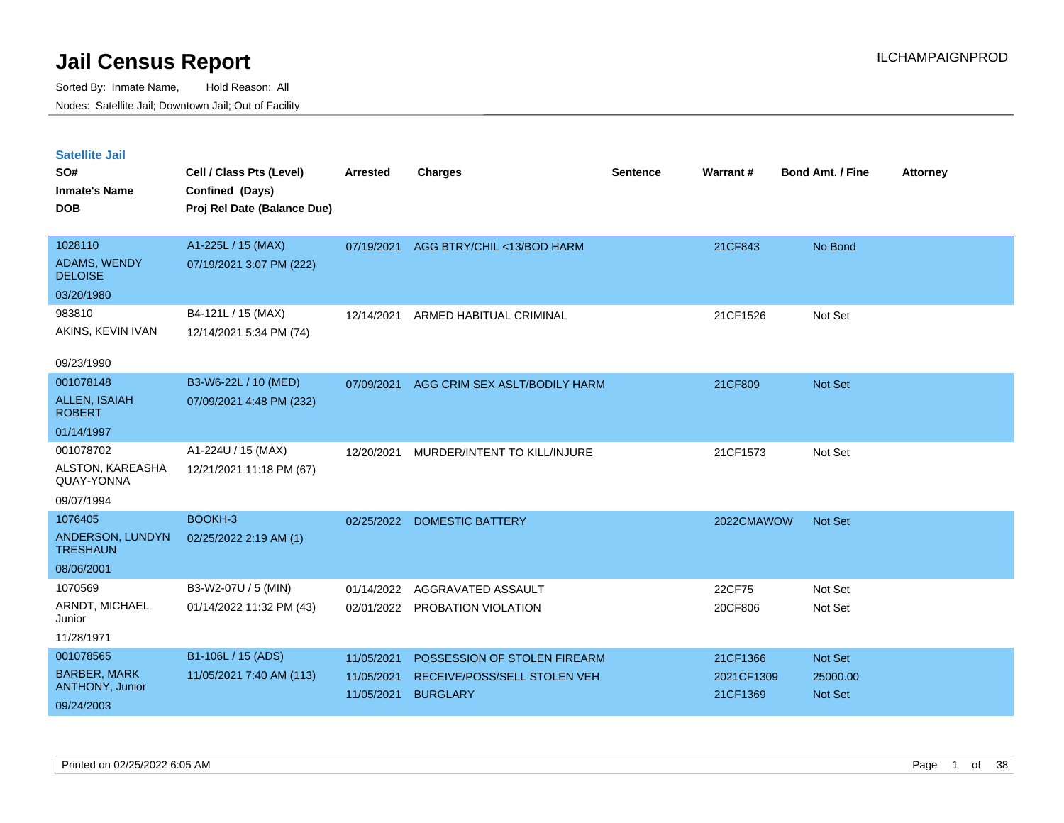| <b>Satellite Jail</b><br>SO#<br><b>Inmate's Name</b><br><b>DOB</b> | Cell / Class Pts (Level)<br>Confined (Days)<br>Proj Rel Date (Balance Due) | <b>Arrested</b>                        | <b>Charges</b>                                                                  | <b>Sentence</b> | Warrant#                           | <b>Bond Amt. / Fine</b>                      | <b>Attorney</b> |
|--------------------------------------------------------------------|----------------------------------------------------------------------------|----------------------------------------|---------------------------------------------------------------------------------|-----------------|------------------------------------|----------------------------------------------|-----------------|
| 1028110<br><b>ADAMS, WENDY</b><br><b>DELOISE</b>                   | A1-225L / 15 (MAX)<br>07/19/2021 3:07 PM (222)                             | 07/19/2021                             | AGG BTRY/CHIL <13/BOD HARM                                                      |                 | 21CF843                            | No Bond                                      |                 |
| 03/20/1980<br>983810<br>AKINS, KEVIN IVAN<br>09/23/1990            | B4-121L / 15 (MAX)<br>12/14/2021 5:34 PM (74)                              | 12/14/2021                             | ARMED HABITUAL CRIMINAL                                                         |                 | 21CF1526                           | Not Set                                      |                 |
| 001078148<br><b>ALLEN, ISAIAH</b><br><b>ROBERT</b><br>01/14/1997   | B3-W6-22L / 10 (MED)<br>07/09/2021 4:48 PM (232)                           | 07/09/2021                             | AGG CRIM SEX ASLT/BODILY HARM                                                   |                 | 21CF809                            | <b>Not Set</b>                               |                 |
| 001078702<br>ALSTON, KAREASHA<br>QUAY-YONNA<br>09/07/1994          | A1-224U / 15 (MAX)<br>12/21/2021 11:18 PM (67)                             | 12/20/2021                             | MURDER/INTENT TO KILL/INJURE                                                    |                 | 21CF1573                           | Not Set                                      |                 |
| 1076405<br>ANDERSON, LUNDYN<br><b>TRESHAUN</b><br>08/06/2001       | BOOKH-3<br>02/25/2022 2:19 AM (1)                                          | 02/25/2022                             | <b>DOMESTIC BATTERY</b>                                                         |                 | 2022CMAWOW                         | <b>Not Set</b>                               |                 |
| 1070569<br>ARNDT, MICHAEL<br>Junior<br>11/28/1971                  | B3-W2-07U / 5 (MIN)<br>01/14/2022 11:32 PM (43)                            | 01/14/2022<br>02/01/2022               | AGGRAVATED ASSAULT<br>PROBATION VIOLATION                                       |                 | 22CF75<br>20CF806                  | Not Set<br>Not Set                           |                 |
| 001078565<br><b>BARBER, MARK</b><br>ANTHONY, Junior<br>09/24/2003  | B1-106L / 15 (ADS)<br>11/05/2021 7:40 AM (113)                             | 11/05/2021<br>11/05/2021<br>11/05/2021 | POSSESSION OF STOLEN FIREARM<br>RECEIVE/POSS/SELL STOLEN VEH<br><b>BURGLARY</b> |                 | 21CF1366<br>2021CF1309<br>21CF1369 | <b>Not Set</b><br>25000.00<br><b>Not Set</b> |                 |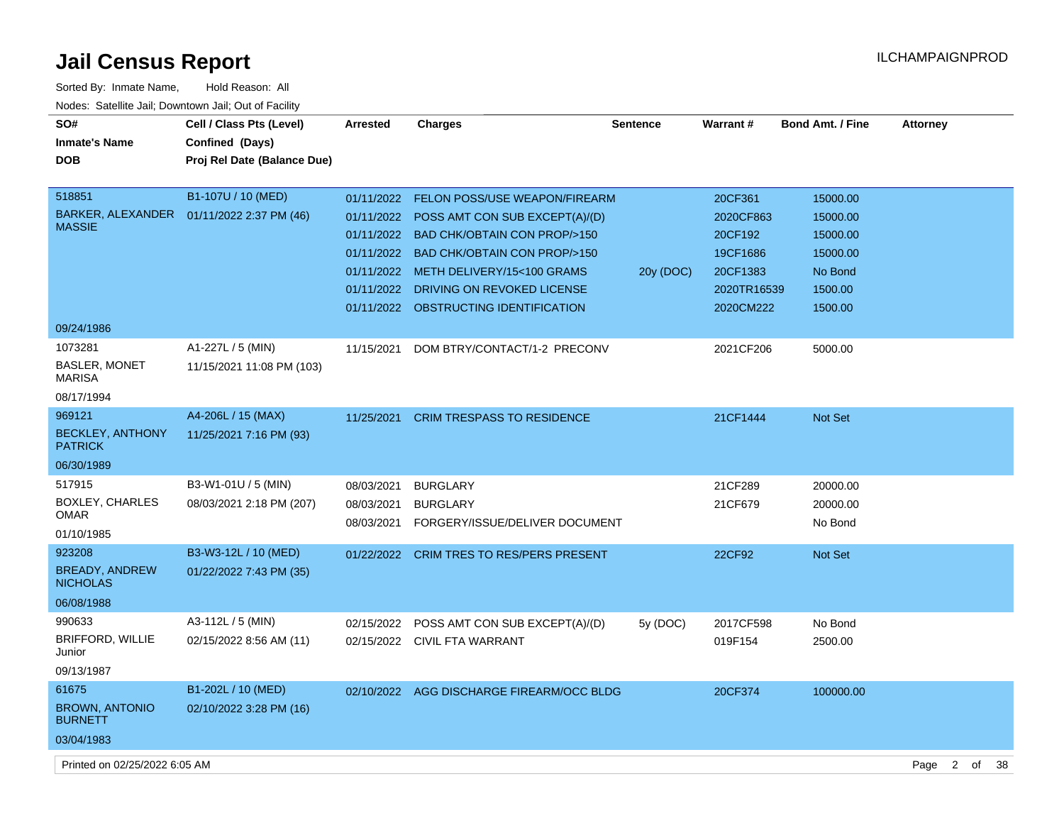| Sorted By: Inmate Name,                               | Hold Reason: All            |                 |                                           |                 |             |                         |                 |
|-------------------------------------------------------|-----------------------------|-----------------|-------------------------------------------|-----------------|-------------|-------------------------|-----------------|
| Nodes: Satellite Jail; Downtown Jail; Out of Facility |                             |                 |                                           |                 |             |                         |                 |
| SO#                                                   | Cell / Class Pts (Level)    | <b>Arrested</b> | <b>Charges</b>                            | <b>Sentence</b> | Warrant#    | <b>Bond Amt. / Fine</b> | <b>Attorney</b> |
| <b>Inmate's Name</b>                                  | Confined (Days)             |                 |                                           |                 |             |                         |                 |
| <b>DOB</b>                                            | Proj Rel Date (Balance Due) |                 |                                           |                 |             |                         |                 |
|                                                       |                             |                 |                                           |                 |             |                         |                 |
| 518851                                                | B1-107U / 10 (MED)          |                 | 01/11/2022 FELON POSS/USE WEAPON/FIREARM  |                 | 20CF361     | 15000.00                |                 |
| BARKER, ALEXANDER<br><b>MASSIE</b>                    | 01/11/2022 2:37 PM (46)     | 01/11/2022      | POSS AMT CON SUB EXCEPT(A)/(D)            |                 | 2020CF863   | 15000.00                |                 |
|                                                       |                             | 01/11/2022      | <b>BAD CHK/OBTAIN CON PROP/&gt;150</b>    |                 | 20CF192     | 15000.00                |                 |
|                                                       |                             | 01/11/2022      | <b>BAD CHK/OBTAIN CON PROP/&gt;150</b>    |                 | 19CF1686    | 15000.00                |                 |
|                                                       |                             | 01/11/2022      | METH DELIVERY/15<100 GRAMS                | 20y (DOC)       | 20CF1383    | No Bond                 |                 |
|                                                       |                             | 01/11/2022      | DRIVING ON REVOKED LICENSE                |                 | 2020TR16539 | 1500.00                 |                 |
|                                                       |                             | 01/11/2022      | OBSTRUCTING IDENTIFICATION                |                 | 2020CM222   | 1500.00                 |                 |
| 09/24/1986                                            |                             |                 |                                           |                 |             |                         |                 |
| 1073281                                               | A1-227L / 5 (MIN)           | 11/15/2021      | DOM BTRY/CONTACT/1-2 PRECONV              |                 | 2021CF206   | 5000.00                 |                 |
| BASLER, MONET<br><b>MARISA</b>                        | 11/15/2021 11:08 PM (103)   |                 |                                           |                 |             |                         |                 |
| 08/17/1994                                            |                             |                 |                                           |                 |             |                         |                 |
| 969121                                                | A4-206L / 15 (MAX)          | 11/25/2021      | <b>CRIM TRESPASS TO RESIDENCE</b>         |                 | 21CF1444    | Not Set                 |                 |
| <b>BECKLEY, ANTHONY</b><br><b>PATRICK</b>             | 11/25/2021 7:16 PM (93)     |                 |                                           |                 |             |                         |                 |
| 06/30/1989                                            |                             |                 |                                           |                 |             |                         |                 |
| 517915                                                | B3-W1-01U / 5 (MIN)         | 08/03/2021      | <b>BURGLARY</b>                           |                 | 21CF289     | 20000.00                |                 |
| BOXLEY, CHARLES                                       | 08/03/2021 2:18 PM (207)    | 08/03/2021      | <b>BURGLARY</b>                           |                 | 21CF679     | 20000.00                |                 |
| OMAR<br>01/10/1985                                    |                             | 08/03/2021      | FORGERY/ISSUE/DELIVER DOCUMENT            |                 |             | No Bond                 |                 |
| 923208                                                | B3-W3-12L / 10 (MED)        |                 |                                           |                 |             |                         |                 |
| <b>BREADY, ANDREW</b>                                 | 01/22/2022 7:43 PM (35)     | 01/22/2022      | <b>CRIM TRES TO RES/PERS PRESENT</b>      |                 | 22CF92      | Not Set                 |                 |
| <b>NICHOLAS</b>                                       |                             |                 |                                           |                 |             |                         |                 |
| 06/08/1988                                            |                             |                 |                                           |                 |             |                         |                 |
| 990633                                                | A3-112L / 5 (MIN)           | 02/15/2022      | POSS AMT CON SUB EXCEPT(A)/(D)            | 5y(DOC)         | 2017CF598   | No Bond                 |                 |
| BRIFFORD, WILLIE<br>Junior                            | 02/15/2022 8:56 AM (11)     | 02/15/2022      | <b>CIVIL FTA WARRANT</b>                  |                 | 019F154     | 2500.00                 |                 |
| 09/13/1987                                            |                             |                 |                                           |                 |             |                         |                 |
| 61675                                                 | B1-202L / 10 (MED)          |                 | 02/10/2022 AGG DISCHARGE FIREARM/OCC BLDG |                 | 20CF374     | 100000.00               |                 |
| <b>BROWN, ANTONIO</b><br><b>BURNETT</b>               | 02/10/2022 3:28 PM (16)     |                 |                                           |                 |             |                         |                 |
| 03/04/1983                                            |                             |                 |                                           |                 |             |                         |                 |

Printed on 02/25/2022 6:05 AM Page 2 of 38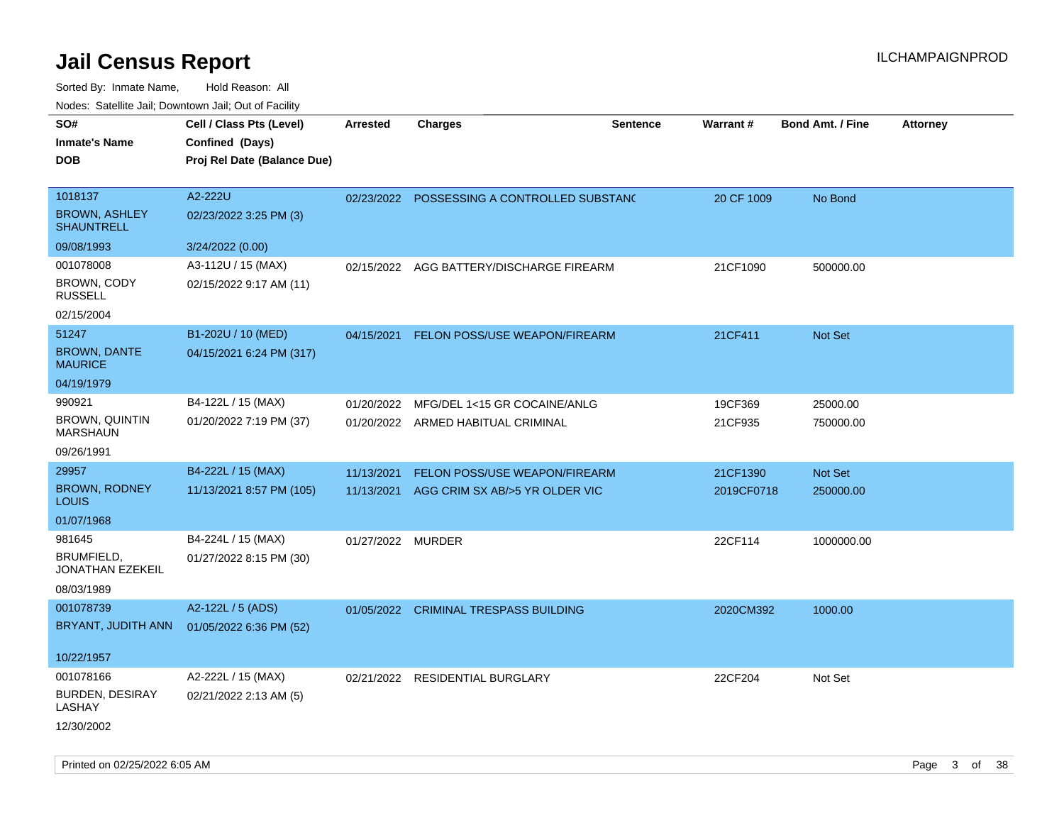| 10000. Catolino can, Domntonn can, Oat or I domt<br>SO# | Cell / Class Pts (Level)    | <b>Arrested</b>   | <b>Charges</b>                           | <b>Sentence</b> | <b>Warrant#</b> | <b>Bond Amt. / Fine</b> | <b>Attorney</b> |
|---------------------------------------------------------|-----------------------------|-------------------|------------------------------------------|-----------------|-----------------|-------------------------|-----------------|
| Inmate's Name                                           | Confined (Days)             |                   |                                          |                 |                 |                         |                 |
| DOB                                                     | Proj Rel Date (Balance Due) |                   |                                          |                 |                 |                         |                 |
|                                                         |                             |                   |                                          |                 |                 |                         |                 |
| 1018137                                                 | A2-222U                     | 02/23/2022        | POSSESSING A CONTROLLED SUBSTAND         |                 | 20 CF 1009      | No Bond                 |                 |
| <b>BROWN, ASHLEY</b><br>SHAUNTRELL                      | 02/23/2022 3:25 PM (3)      |                   |                                          |                 |                 |                         |                 |
| 09/08/1993                                              | 3/24/2022 (0.00)            |                   |                                          |                 |                 |                         |                 |
| 001078008                                               | A3-112U / 15 (MAX)          |                   | 02/15/2022 AGG BATTERY/DISCHARGE FIREARM |                 | 21CF1090        | 500000.00               |                 |
| BROWN, CODY<br>RUSSELL                                  | 02/15/2022 9:17 AM (11)     |                   |                                          |                 |                 |                         |                 |
| 02/15/2004                                              |                             |                   |                                          |                 |                 |                         |                 |
| 51247                                                   | B1-202U / 10 (MED)          | 04/15/2021        | <b>FELON POSS/USE WEAPON/FIREARM</b>     |                 | 21CF411         | Not Set                 |                 |
| <b>BROWN, DANTE</b><br>MAURICE                          | 04/15/2021 6:24 PM (317)    |                   |                                          |                 |                 |                         |                 |
| 04/19/1979                                              |                             |                   |                                          |                 |                 |                         |                 |
| 990921                                                  | B4-122L / 15 (MAX)          | 01/20/2022        | MFG/DEL 1<15 GR COCAINE/ANLG             |                 | 19CF369         | 25000.00                |                 |
| <b>BROWN, QUINTIN</b><br>MARSHAUN                       | 01/20/2022 7:19 PM (37)     |                   | 01/20/2022 ARMED HABITUAL CRIMINAL       |                 | 21CF935         | 750000.00               |                 |
| 09/26/1991                                              |                             |                   |                                          |                 |                 |                         |                 |
| 29957                                                   | B4-222L / 15 (MAX)          | 11/13/2021        | FELON POSS/USE WEAPON/FIREARM            |                 | 21CF1390        | Not Set                 |                 |
| <b>BROWN, RODNEY</b><br>Louis                           | 11/13/2021 8:57 PM (105)    | 11/13/2021        | AGG CRIM SX AB/>5 YR OLDER VIC           |                 | 2019CF0718      | 250000.00               |                 |
| 01/07/1968                                              |                             |                   |                                          |                 |                 |                         |                 |
| 981645                                                  | B4-224L / 15 (MAX)          | 01/27/2022 MURDER |                                          |                 | 22CF114         | 1000000.00              |                 |
| BRUMFIELD,<br>JONATHAN EZEKEIL                          | 01/27/2022 8:15 PM (30)     |                   |                                          |                 |                 |                         |                 |
| 08/03/1989                                              |                             |                   |                                          |                 |                 |                         |                 |
| 001078739                                               | A2-122L / 5 (ADS)           |                   | 01/05/2022 CRIMINAL TRESPASS BUILDING    |                 | 2020CM392       | 1000.00                 |                 |
| BRYANT, JUDITH ANN                                      | 01/05/2022 6:36 PM (52)     |                   |                                          |                 |                 |                         |                 |
| 10/22/1957                                              |                             |                   |                                          |                 |                 |                         |                 |
| 001078166                                               | A2-222L / 15 (MAX)          | 02/21/2022        | RESIDENTIAL BURGLARY                     |                 | 22CF204         | Not Set                 |                 |
| <b>BURDEN, DESIRAY</b><br>LASHAY                        | 02/21/2022 2:13 AM (5)      |                   |                                          |                 |                 |                         |                 |
| 12/30/2002                                              |                             |                   |                                          |                 |                 |                         |                 |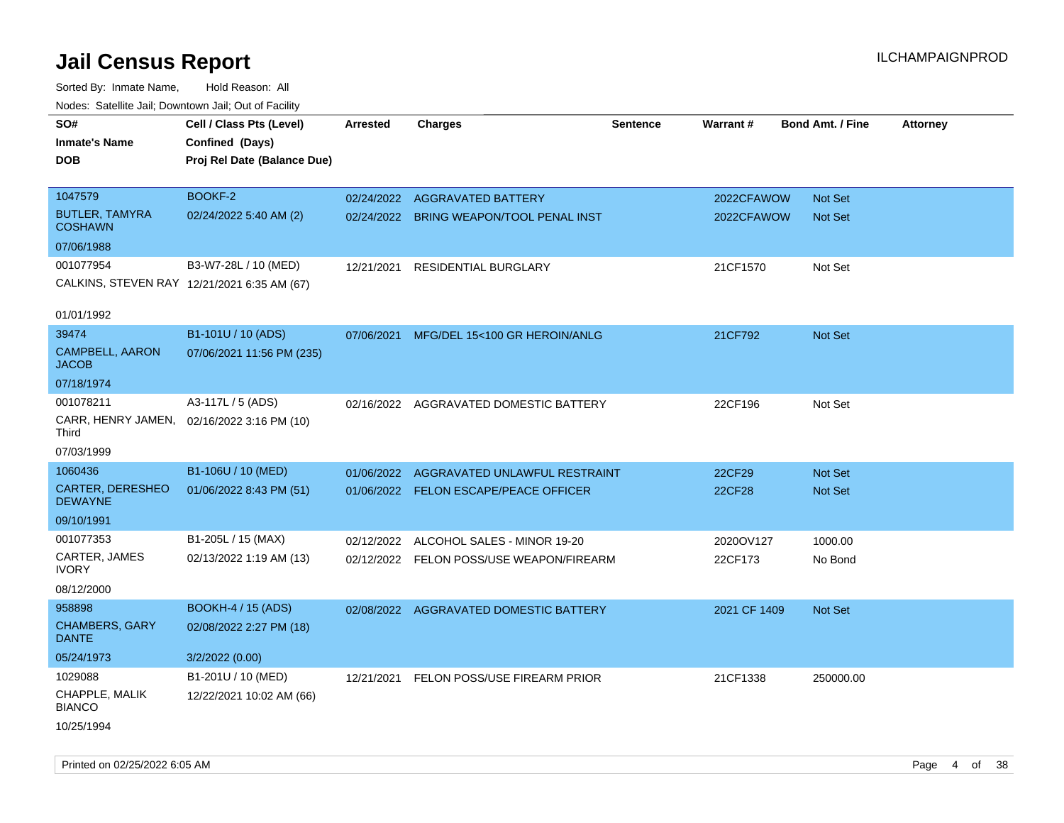| SO#<br><b>Inmate's Name</b><br><b>DOB</b> | Cell / Class Pts (Level)<br>Confined (Days)<br>Proj Rel Date (Balance Due) | <b>Arrested</b> | <b>Charges</b>                           | <b>Sentence</b> | Warrant#      | <b>Bond Amt. / Fine</b> | <b>Attorney</b> |
|-------------------------------------------|----------------------------------------------------------------------------|-----------------|------------------------------------------|-----------------|---------------|-------------------------|-----------------|
| 1047579                                   | <b>BOOKF-2</b>                                                             |                 | 02/24/2022 AGGRAVATED BATTERY            |                 | 2022CFAWOW    | Not Set                 |                 |
| <b>BUTLER, TAMYRA</b><br><b>COSHAWN</b>   | 02/24/2022 5:40 AM (2)                                                     |                 | 02/24/2022 BRING WEAPON/TOOL PENAL INST  |                 | 2022CFAWOW    | <b>Not Set</b>          |                 |
| 07/06/1988                                |                                                                            |                 |                                          |                 |               |                         |                 |
| 001077954                                 | B3-W7-28L / 10 (MED)                                                       | 12/21/2021      | <b>RESIDENTIAL BURGLARY</b>              |                 | 21CF1570      | Not Set                 |                 |
|                                           | CALKINS, STEVEN RAY 12/21/2021 6:35 AM (67)                                |                 |                                          |                 |               |                         |                 |
| 01/01/1992                                |                                                                            |                 |                                          |                 |               |                         |                 |
| 39474                                     | B1-101U / 10 (ADS)                                                         | 07/06/2021      | MFG/DEL 15<100 GR HEROIN/ANLG            |                 | 21CF792       | Not Set                 |                 |
| <b>CAMPBELL, AARON</b><br><b>JACOB</b>    | 07/06/2021 11:56 PM (235)                                                  |                 |                                          |                 |               |                         |                 |
| 07/18/1974                                |                                                                            |                 |                                          |                 |               |                         |                 |
| 001078211                                 | A3-117L / 5 (ADS)                                                          |                 | 02/16/2022 AGGRAVATED DOMESTIC BATTERY   |                 | 22CF196       | Not Set                 |                 |
| Third                                     | CARR, HENRY JAMEN, 02/16/2022 3:16 PM (10)                                 |                 |                                          |                 |               |                         |                 |
| 07/03/1999                                |                                                                            |                 |                                          |                 |               |                         |                 |
| 1060436                                   | B1-106U / 10 (MED)                                                         | 01/06/2022      | AGGRAVATED UNLAWFUL RESTRAINT            |                 | 22CF29        | <b>Not Set</b>          |                 |
| <b>CARTER, DERESHEO</b><br><b>DEWAYNE</b> | 01/06/2022 8:43 PM (51)                                                    |                 | 01/06/2022 FELON ESCAPE/PEACE OFFICER    |                 | <b>22CF28</b> | <b>Not Set</b>          |                 |
| 09/10/1991                                |                                                                            |                 |                                          |                 |               |                         |                 |
| 001077353                                 | B1-205L / 15 (MAX)                                                         | 02/12/2022      | ALCOHOL SALES - MINOR 19-20              |                 | 2020OV127     | 1000.00                 |                 |
| CARTER, JAMES<br><b>IVORY</b>             | 02/13/2022 1:19 AM (13)                                                    |                 | 02/12/2022 FELON POSS/USE WEAPON/FIREARM |                 | 22CF173       | No Bond                 |                 |
| 08/12/2000                                |                                                                            |                 |                                          |                 |               |                         |                 |
| 958898                                    | <b>BOOKH-4 / 15 (ADS)</b>                                                  |                 | 02/08/2022 AGGRAVATED DOMESTIC BATTERY   |                 | 2021 CF 1409  | Not Set                 |                 |
| <b>CHAMBERS, GARY</b><br><b>DANTE</b>     | 02/08/2022 2:27 PM (18)                                                    |                 |                                          |                 |               |                         |                 |
| 05/24/1973                                | 3/2/2022 (0.00)                                                            |                 |                                          |                 |               |                         |                 |
| 1029088                                   | B1-201U / 10 (MED)                                                         |                 | 12/21/2021 FELON POSS/USE FIREARM PRIOR  |                 | 21CF1338      | 250000.00               |                 |
| CHAPPLE, MALIK<br><b>BIANCO</b>           | 12/22/2021 10:02 AM (66)                                                   |                 |                                          |                 |               |                         |                 |
| 10/25/1994                                |                                                                            |                 |                                          |                 |               |                         |                 |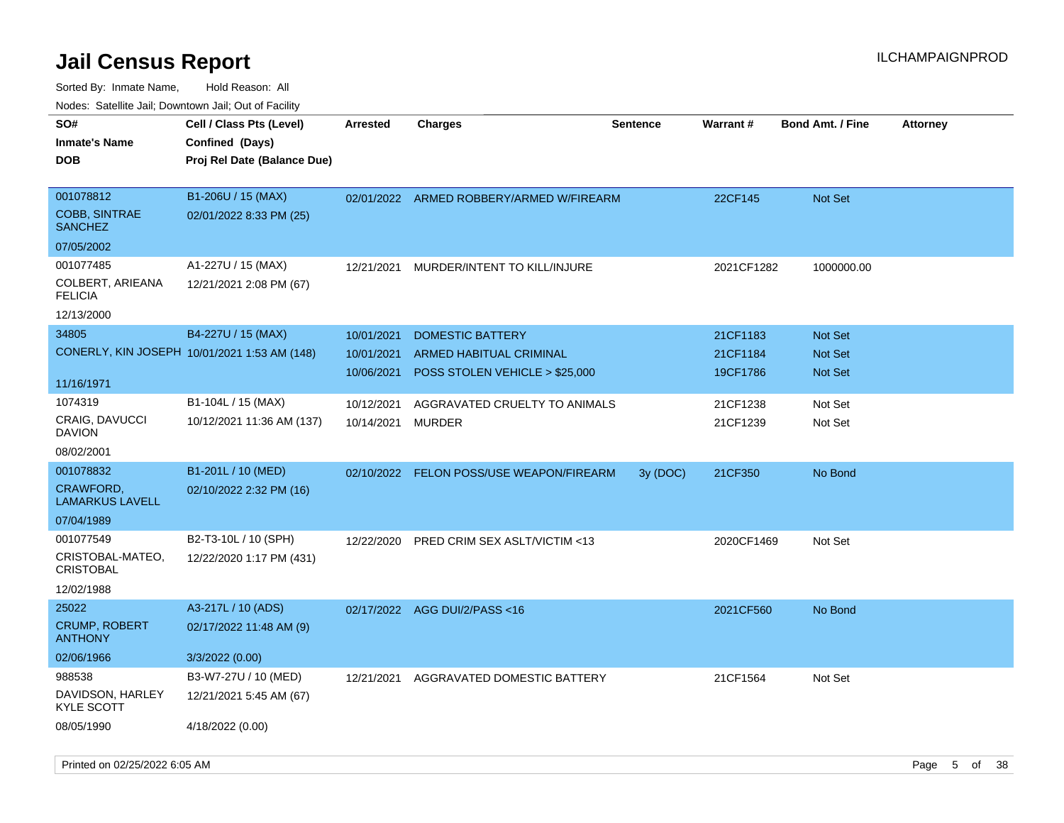| rouco. Calcillo Jali, Downtown Jali, Out of Facility |                                              |                 |                                          |                 |            |                         |                 |
|------------------------------------------------------|----------------------------------------------|-----------------|------------------------------------------|-----------------|------------|-------------------------|-----------------|
| SO#                                                  | Cell / Class Pts (Level)                     | <b>Arrested</b> | <b>Charges</b>                           | <b>Sentence</b> | Warrant#   | <b>Bond Amt. / Fine</b> | <b>Attorney</b> |
| Inmate's Name                                        | Confined (Days)                              |                 |                                          |                 |            |                         |                 |
| <b>DOB</b>                                           | Proj Rel Date (Balance Due)                  |                 |                                          |                 |            |                         |                 |
|                                                      |                                              |                 |                                          |                 |            |                         |                 |
| 001078812                                            | B1-206U / 15 (MAX)                           |                 | 02/01/2022 ARMED ROBBERY/ARMED W/FIREARM |                 | 22CF145    | <b>Not Set</b>          |                 |
| <b>COBB, SINTRAE</b><br>SANCHEZ                      | 02/01/2022 8:33 PM (25)                      |                 |                                          |                 |            |                         |                 |
| 07/05/2002                                           |                                              |                 |                                          |                 |            |                         |                 |
| 001077485                                            | A1-227U / 15 (MAX)                           | 12/21/2021      | MURDER/INTENT TO KILL/INJURE             |                 | 2021CF1282 | 1000000.00              |                 |
| COLBERT, ARIEANA<br><b>FELICIA</b>                   | 12/21/2021 2:08 PM (67)                      |                 |                                          |                 |            |                         |                 |
| 12/13/2000                                           |                                              |                 |                                          |                 |            |                         |                 |
| 34805                                                | B4-227U / 15 (MAX)                           | 10/01/2021      | <b>DOMESTIC BATTERY</b>                  |                 | 21CF1183   | Not Set                 |                 |
|                                                      | CONERLY, KIN JOSEPH 10/01/2021 1:53 AM (148) | 10/01/2021      | <b>ARMED HABITUAL CRIMINAL</b>           |                 | 21CF1184   | <b>Not Set</b>          |                 |
|                                                      |                                              | 10/06/2021      | POSS STOLEN VEHICLE > \$25,000           |                 | 19CF1786   | <b>Not Set</b>          |                 |
| 11/16/1971                                           |                                              |                 |                                          |                 |            |                         |                 |
| 1074319                                              | B1-104L / 15 (MAX)                           | 10/12/2021      | AGGRAVATED CRUELTY TO ANIMALS            |                 | 21CF1238   | Not Set                 |                 |
| <b>CRAIG, DAVUCCI</b><br>DAVION                      | 10/12/2021 11:36 AM (137)                    | 10/14/2021      | MURDER                                   |                 | 21CF1239   | Not Set                 |                 |
| 08/02/2001                                           |                                              |                 |                                          |                 |            |                         |                 |
| 001078832                                            | B1-201L / 10 (MED)                           |                 | 02/10/2022 FELON POSS/USE WEAPON/FIREARM | 3y(DOC)         | 21CF350    | No Bond                 |                 |
| <b>CRAWFORD,</b><br>LAMARKUS LAVELL                  | 02/10/2022 2:32 PM (16)                      |                 |                                          |                 |            |                         |                 |
| 07/04/1989                                           |                                              |                 |                                          |                 |            |                         |                 |
| 001077549                                            | B2-T3-10L / 10 (SPH)                         | 12/22/2020      | <b>PRED CRIM SEX ASLT/VICTIM &lt;13</b>  |                 | 2020CF1469 | Not Set                 |                 |
| CRISTOBAL-MATEO,<br>CRISTOBAL                        | 12/22/2020 1:17 PM (431)                     |                 |                                          |                 |            |                         |                 |
| 12/02/1988                                           |                                              |                 |                                          |                 |            |                         |                 |
| 25022                                                | A3-217L / 10 (ADS)                           |                 | 02/17/2022 AGG DUI/2/PASS<16             |                 | 2021CF560  | No Bond                 |                 |
| <b>CRUMP, ROBERT</b><br><b>ANTHONY</b>               | 02/17/2022 11:48 AM (9)                      |                 |                                          |                 |            |                         |                 |
| 02/06/1966                                           | 3/3/2022 (0.00)                              |                 |                                          |                 |            |                         |                 |
| 988538                                               | B3-W7-27U / 10 (MED)                         | 12/21/2021      | AGGRAVATED DOMESTIC BATTERY              |                 | 21CF1564   | Not Set                 |                 |
| DAVIDSON, HARLEY<br>KYLE SCOTT                       | 12/21/2021 5:45 AM (67)                      |                 |                                          |                 |            |                         |                 |
| 08/05/1990                                           | 4/18/2022 (0.00)                             |                 |                                          |                 |            |                         |                 |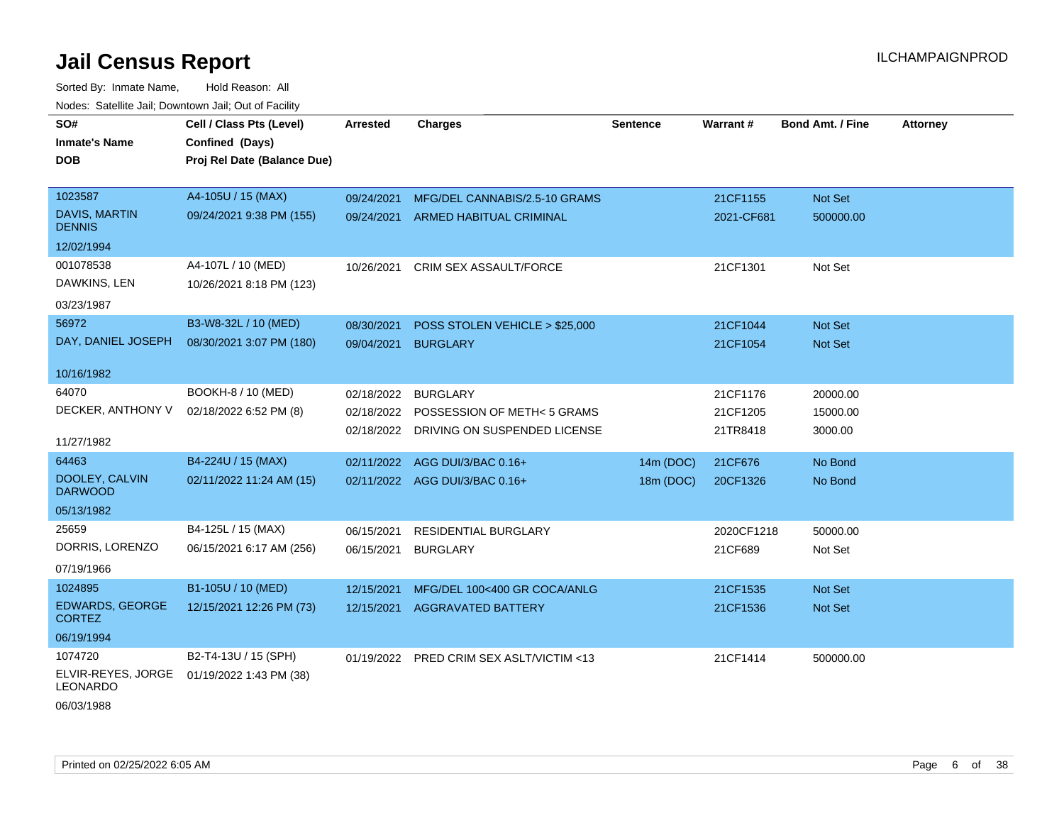Sorted By: Inmate Name, Hold Reason: All Nodes: Satellite Jail; Downtown Jail; Out of Facility

| SO#                                     | Cell / Class Pts (Level)    | <b>Arrested</b> | <b>Charges</b>                           | <b>Sentence</b> | <b>Warrant#</b> | <b>Bond Amt. / Fine</b> | <b>Attorney</b> |
|-----------------------------------------|-----------------------------|-----------------|------------------------------------------|-----------------|-----------------|-------------------------|-----------------|
| <b>Inmate's Name</b>                    | Confined (Days)             |                 |                                          |                 |                 |                         |                 |
| <b>DOB</b>                              | Proj Rel Date (Balance Due) |                 |                                          |                 |                 |                         |                 |
|                                         |                             |                 |                                          |                 |                 |                         |                 |
| 1023587                                 | A4-105U / 15 (MAX)          | 09/24/2021      | MFG/DEL CANNABIS/2.5-10 GRAMS            |                 | 21CF1155        | Not Set                 |                 |
| <b>DAVIS, MARTIN</b><br><b>DENNIS</b>   | 09/24/2021 9:38 PM (155)    | 09/24/2021      | <b>ARMED HABITUAL CRIMINAL</b>           |                 | 2021-CF681      | 500000.00               |                 |
| 12/02/1994                              |                             |                 |                                          |                 |                 |                         |                 |
| 001078538                               | A4-107L / 10 (MED)          | 10/26/2021      | <b>CRIM SEX ASSAULT/FORCE</b>            |                 | 21CF1301        | Not Set                 |                 |
| DAWKINS, LEN                            | 10/26/2021 8:18 PM (123)    |                 |                                          |                 |                 |                         |                 |
| 03/23/1987                              |                             |                 |                                          |                 |                 |                         |                 |
| 56972                                   | B3-W8-32L / 10 (MED)        | 08/30/2021      | POSS STOLEN VEHICLE > \$25,000           |                 | 21CF1044        | Not Set                 |                 |
| DAY, DANIEL JOSEPH                      | 08/30/2021 3:07 PM (180)    | 09/04/2021      | <b>BURGLARY</b>                          |                 | 21CF1054        | Not Set                 |                 |
|                                         |                             |                 |                                          |                 |                 |                         |                 |
| 10/16/1982                              |                             |                 |                                          |                 |                 |                         |                 |
| 64070                                   | BOOKH-8 / 10 (MED)          | 02/18/2022      | <b>BURGLARY</b>                          |                 | 21CF1176        | 20000.00                |                 |
| DECKER, ANTHONY V                       | 02/18/2022 6:52 PM (8)      |                 | 02/18/2022 POSSESSION OF METH<5 GRAMS    |                 | 21CF1205        | 15000.00                |                 |
|                                         |                             |                 | 02/18/2022 DRIVING ON SUSPENDED LICENSE  |                 | 21TR8418        | 3000.00                 |                 |
| 11/27/1982                              |                             |                 |                                          |                 |                 |                         |                 |
| 64463                                   | B4-224U / 15 (MAX)          | 02/11/2022      | AGG DUI/3/BAC 0.16+                      | 14m (DOC)       | 21CF676         | No Bond                 |                 |
| DOOLEY, CALVIN<br><b>DARWOOD</b>        | 02/11/2022 11:24 AM (15)    |                 | 02/11/2022 AGG DUI/3/BAC 0.16+           | 18m (DOC)       | 20CF1326        | No Bond                 |                 |
| 05/13/1982                              |                             |                 |                                          |                 |                 |                         |                 |
| 25659                                   | B4-125L / 15 (MAX)          | 06/15/2021      | <b>RESIDENTIAL BURGLARY</b>              |                 | 2020CF1218      | 50000.00                |                 |
| DORRIS, LORENZO                         | 06/15/2021 6:17 AM (256)    | 06/15/2021      | <b>BURGLARY</b>                          |                 | 21CF689         | Not Set                 |                 |
| 07/19/1966                              |                             |                 |                                          |                 |                 |                         |                 |
| 1024895                                 | B1-105U / 10 (MED)          | 12/15/2021      | MFG/DEL 100<400 GR COCA/ANLG             |                 | 21CF1535        | Not Set                 |                 |
| <b>EDWARDS, GEORGE</b><br><b>CORTEZ</b> | 12/15/2021 12:26 PM (73)    |                 | 12/15/2021 AGGRAVATED BATTERY            |                 | 21CF1536        | <b>Not Set</b>          |                 |
| 06/19/1994                              |                             |                 |                                          |                 |                 |                         |                 |
| 1074720                                 | B2-T4-13U / 15 (SPH)        |                 | 01/19/2022 PRED CRIM SEX ASLT/VICTIM <13 |                 | 21CF1414        | 500000.00               |                 |
| ELVIR-REYES, JORGE<br><b>LEONARDO</b>   | 01/19/2022 1:43 PM (38)     |                 |                                          |                 |                 |                         |                 |
|                                         |                             |                 |                                          |                 |                 |                         |                 |

06/03/1988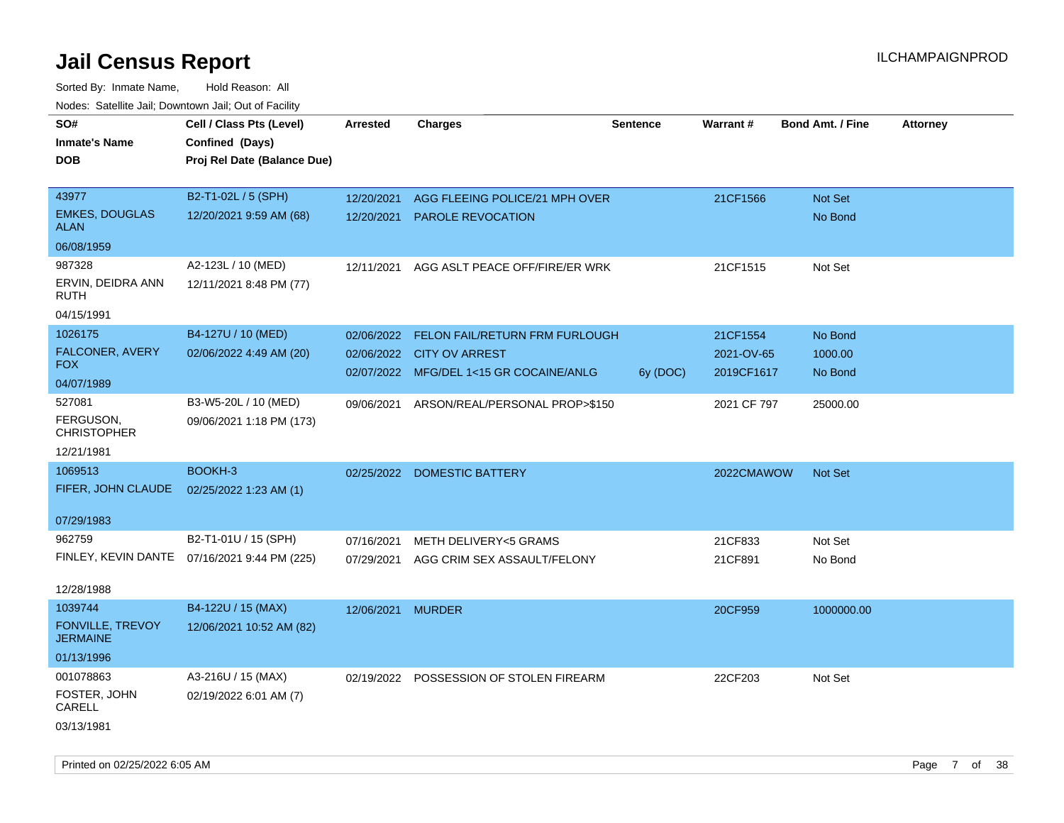| rouce. Calcinic Jan, Downtown Jan, Out or Facility |                                              |                 |                                           |                 |             |                         |                 |
|----------------------------------------------------|----------------------------------------------|-----------------|-------------------------------------------|-----------------|-------------|-------------------------|-----------------|
| SO#                                                | Cell / Class Pts (Level)                     | <b>Arrested</b> | <b>Charges</b>                            | <b>Sentence</b> | Warrant#    | <b>Bond Amt. / Fine</b> | <b>Attorney</b> |
| <b>Inmate's Name</b>                               | Confined (Days)                              |                 |                                           |                 |             |                         |                 |
| DOB                                                | Proj Rel Date (Balance Due)                  |                 |                                           |                 |             |                         |                 |
|                                                    |                                              |                 |                                           |                 |             |                         |                 |
| 43977                                              | B2-T1-02L / 5 (SPH)                          | 12/20/2021      | AGG FLEEING POLICE/21 MPH OVER            |                 | 21CF1566    | <b>Not Set</b>          |                 |
| <b>EMKES, DOUGLAS</b><br><b>ALAN</b>               | 12/20/2021 9:59 AM (68)                      | 12/20/2021      | <b>PAROLE REVOCATION</b>                  |                 |             | No Bond                 |                 |
| 06/08/1959                                         |                                              |                 |                                           |                 |             |                         |                 |
| 987328                                             | A2-123L / 10 (MED)                           | 12/11/2021      | AGG ASLT PEACE OFF/FIRE/ER WRK            |                 | 21CF1515    | Not Set                 |                 |
| ERVIN, DEIDRA ANN<br>RUTH                          | 12/11/2021 8:48 PM (77)                      |                 |                                           |                 |             |                         |                 |
| 04/15/1991                                         |                                              |                 |                                           |                 |             |                         |                 |
| 1026175                                            | B4-127U / 10 (MED)                           | 02/06/2022      | FELON FAIL/RETURN FRM FURLOUGH            |                 | 21CF1554    | No Bond                 |                 |
| FALCONER, AVERY                                    | 02/06/2022 4:49 AM (20)                      |                 | 02/06/2022 CITY OV ARREST                 |                 | 2021-OV-65  | 1000.00                 |                 |
| <b>FOX</b>                                         |                                              |                 | 02/07/2022 MFG/DEL 1<15 GR COCAINE/ANLG   | 6y (DOC)        | 2019CF1617  | No Bond                 |                 |
| 04/07/1989                                         |                                              |                 |                                           |                 |             |                         |                 |
| 527081                                             | B3-W5-20L / 10 (MED)                         |                 | 09/06/2021 ARSON/REAL/PERSONAL PROP>\$150 |                 | 2021 CF 797 | 25000.00                |                 |
| FERGUSON,<br><b>CHRISTOPHER</b>                    | 09/06/2021 1:18 PM (173)                     |                 |                                           |                 |             |                         |                 |
| 12/21/1981                                         |                                              |                 |                                           |                 |             |                         |                 |
| 1069513                                            | BOOKH-3                                      |                 | 02/25/2022 DOMESTIC BATTERY               |                 | 2022CMAWOW  | <b>Not Set</b>          |                 |
| FIFER, JOHN CLAUDE                                 | 02/25/2022 1:23 AM (1)                       |                 |                                           |                 |             |                         |                 |
|                                                    |                                              |                 |                                           |                 |             |                         |                 |
| 07/29/1983                                         |                                              |                 |                                           |                 |             |                         |                 |
| 962759                                             | B2-T1-01U / 15 (SPH)                         | 07/16/2021      | <b>METH DELIVERY&lt;5 GRAMS</b>           |                 | 21CF833     | Not Set                 |                 |
|                                                    | FINLEY, KEVIN DANTE 07/16/2021 9:44 PM (225) | 07/29/2021      | AGG CRIM SEX ASSAULT/FELONY               |                 | 21CF891     | No Bond                 |                 |
|                                                    |                                              |                 |                                           |                 |             |                         |                 |
| 12/28/1988                                         |                                              |                 |                                           |                 |             |                         |                 |
| 1039744                                            | B4-122U / 15 (MAX)                           | 12/06/2021      | <b>MURDER</b>                             |                 | 20CF959     | 1000000.00              |                 |
| <b>FONVILLE, TREVOY</b><br><b>JERMAINE</b>         | 12/06/2021 10:52 AM (82)                     |                 |                                           |                 |             |                         |                 |
| 01/13/1996                                         |                                              |                 |                                           |                 |             |                         |                 |
| 001078863                                          | A3-216U / 15 (MAX)                           |                 | 02/19/2022 POSSESSION OF STOLEN FIREARM   |                 | 22CF203     | Not Set                 |                 |
| FOSTER, JOHN<br>CARELL                             | 02/19/2022 6:01 AM (7)                       |                 |                                           |                 |             |                         |                 |
| 03/13/1981                                         |                                              |                 |                                           |                 |             |                         |                 |
|                                                    |                                              |                 |                                           |                 |             |                         |                 |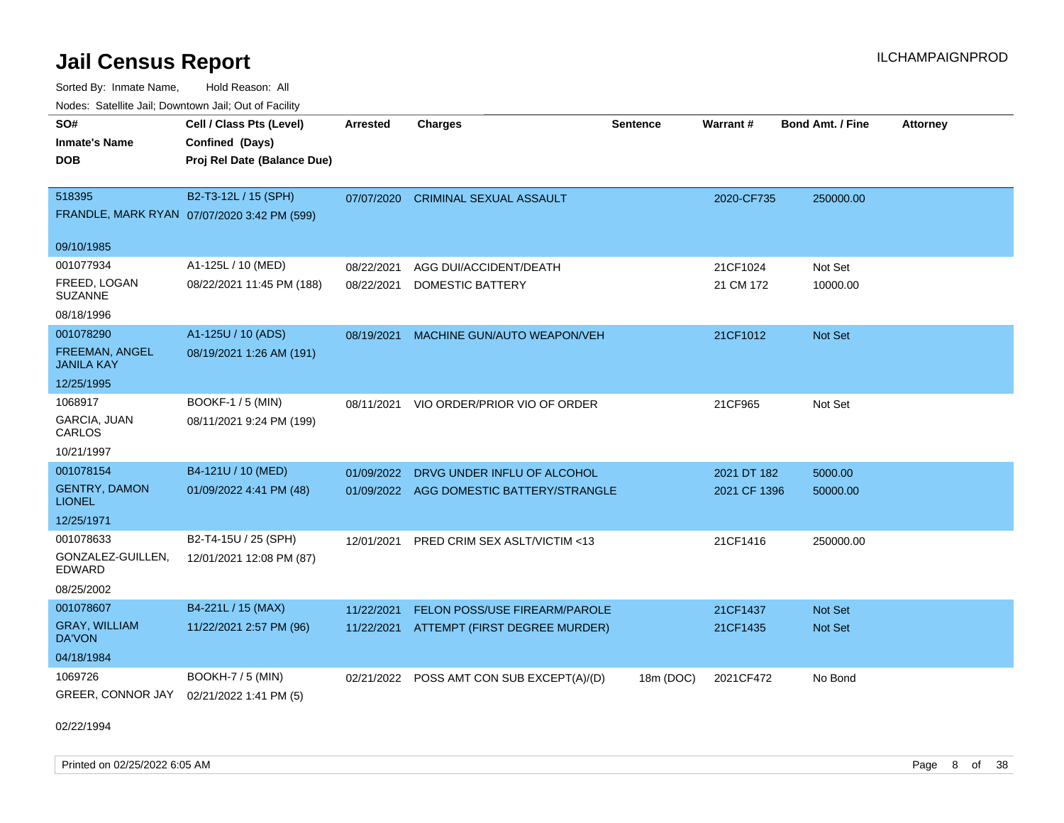Sorted By: Inmate Name, Hold Reason: All Nodes: Satellite Jail; Downtown Jail; Out of Facility

| Nuuts. Saltiille Jall, Duwilluwii Jall, Oul of Facility |                                             |            |                                |                 |              |                         |                 |
|---------------------------------------------------------|---------------------------------------------|------------|--------------------------------|-----------------|--------------|-------------------------|-----------------|
| SO#                                                     | Cell / Class Pts (Level)                    | Arrested   | <b>Charges</b>                 | <b>Sentence</b> | Warrant#     | <b>Bond Amt. / Fine</b> | <b>Attorney</b> |
| <b>Inmate's Name</b>                                    | Confined (Days)                             |            |                                |                 |              |                         |                 |
| <b>DOB</b>                                              | Proj Rel Date (Balance Due)                 |            |                                |                 |              |                         |                 |
|                                                         |                                             |            |                                |                 |              |                         |                 |
| 518395                                                  | B2-T3-12L / 15 (SPH)                        | 07/07/2020 | <b>CRIMINAL SEXUAL ASSAULT</b> |                 | 2020-CF735   | 250000.00               |                 |
|                                                         | FRANDLE, MARK RYAN 07/07/2020 3:42 PM (599) |            |                                |                 |              |                         |                 |
| 09/10/1985                                              |                                             |            |                                |                 |              |                         |                 |
| 001077934                                               | A1-125L / 10 (MED)                          | 08/22/2021 | AGG DUI/ACCIDENT/DEATH         |                 | 21CF1024     | Not Set                 |                 |
| FREED, LOGAN<br><b>SUZANNE</b>                          | 08/22/2021 11:45 PM (188)                   | 08/22/2021 | DOMESTIC BATTERY               |                 | 21 CM 172    | 10000.00                |                 |
| 08/18/1996                                              |                                             |            |                                |                 |              |                         |                 |
| 001078290                                               | A1-125U / 10 (ADS)                          | 08/19/2021 | MACHINE GUN/AUTO WEAPON/VEH    |                 | 21CF1012     | Not Set                 |                 |
| FREEMAN, ANGEL<br>JANILA KAY                            | 08/19/2021 1:26 AM (191)                    |            |                                |                 |              |                         |                 |
| 12/25/1995                                              |                                             |            |                                |                 |              |                         |                 |
| 1068917                                                 | <b>BOOKF-1 / 5 (MIN)</b>                    | 08/11/2021 | VIO ORDER/PRIOR VIO OF ORDER   |                 | 21CF965      | Not Set                 |                 |
| <b>GARCIA, JUAN</b><br>CARLOS                           | 08/11/2021 9:24 PM (199)                    |            |                                |                 |              |                         |                 |
| 10/21/1997                                              |                                             |            |                                |                 |              |                         |                 |
| 001078154                                               | B4-121U / 10 (MED)                          | 01/09/2022 | DRVG UNDER INFLU OF ALCOHOL    |                 | 2021 DT 182  | 5000.00                 |                 |
| <b>GENTRY, DAMON</b><br><b>LIONEL</b>                   | 01/09/2022 4:41 PM (48)                     | 01/09/2022 | AGG DOMESTIC BATTERY/STRANGLE  |                 | 2021 CF 1396 | 50000.00                |                 |
| 12/25/1971                                              |                                             |            |                                |                 |              |                         |                 |
| 001078633                                               | B2-T4-15U / 25 (SPH)                        | 12/01/2021 | PRED CRIM SEX ASLT/VICTIM <13  |                 | 21CF1416     | 250000.00               |                 |
| GONZALEZ-GUILLEN,<br>EDWARD                             | 12/01/2021 12:08 PM (87)                    |            |                                |                 |              |                         |                 |
| 08/25/2002                                              |                                             |            |                                |                 |              |                         |                 |
| 001078607                                               | B4-221L / 15 (MAX)                          | 11/22/2021 | FELON POSS/USE FIREARM/PAROLE  |                 | 21CF1437     | Not Set                 |                 |
| <b>GRAY, WILLIAM</b><br>DA'VON                          | 11/22/2021 2:57 PM (96)                     | 11/22/2021 | ATTEMPT (FIRST DEGREE MURDER)  |                 | 21CF1435     | <b>Not Set</b>          |                 |
| 04/18/1984                                              |                                             |            |                                |                 |              |                         |                 |
| 1069726                                                 | <b>BOOKH-7 / 5 (MIN)</b>                    | 02/21/2022 | POSS AMT CON SUB EXCEPT(A)/(D) | 18m (DOC)       | 2021CF472    | No Bond                 |                 |
| GREER, CONNOR JAY 02/21/2022 1:41 PM (5)                |                                             |            |                                |                 |              |                         |                 |

02/22/1994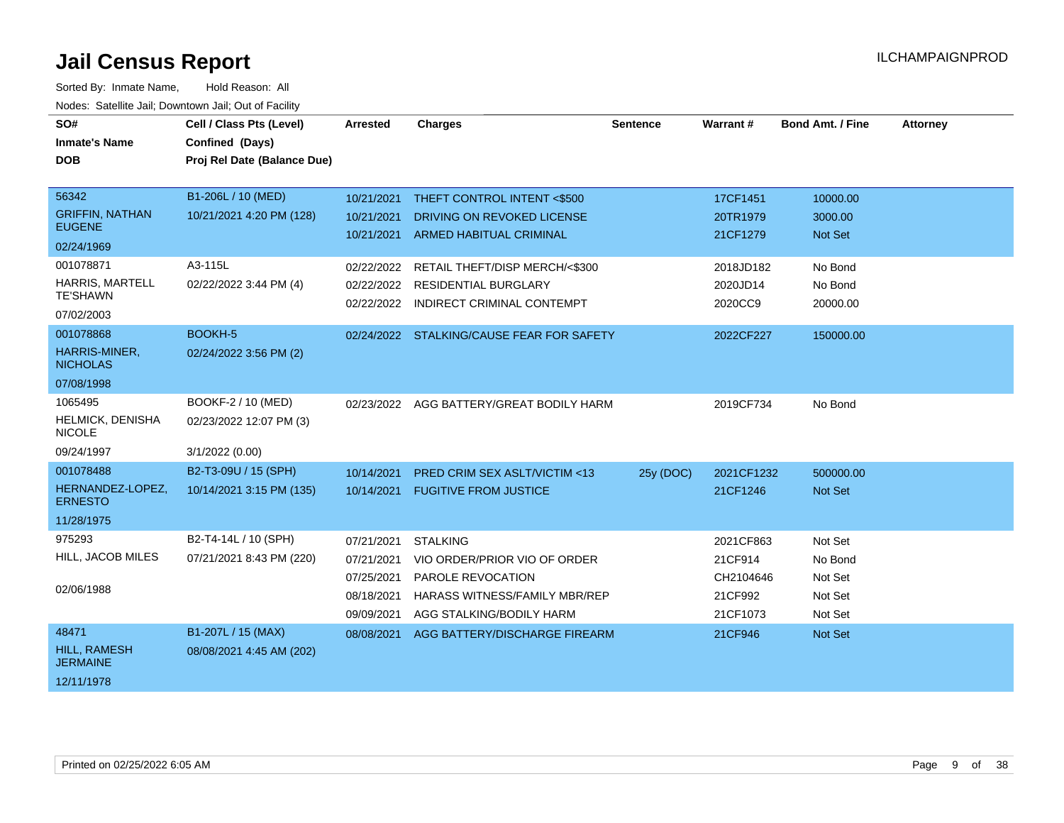| SO#<br><b>Inmate's Name</b><br><b>DOB</b>                                                                                              | Cell / Class Pts (Level)<br>Confined (Days)<br>Proj Rel Date (Balance Due)          | <b>Arrested</b>                                                    | <b>Charges</b>                                                                                                                                                                          | <b>Sentence</b> | <b>Warrant#</b>                                                      | <b>Bond Amt. / Fine</b>                                                 | <b>Attorney</b> |
|----------------------------------------------------------------------------------------------------------------------------------------|-------------------------------------------------------------------------------------|--------------------------------------------------------------------|-----------------------------------------------------------------------------------------------------------------------------------------------------------------------------------------|-----------------|----------------------------------------------------------------------|-------------------------------------------------------------------------|-----------------|
| 56342<br><b>GRIFFIN, NATHAN</b><br><b>EUGENE</b><br>02/24/1969<br>001078871<br><b>HARRIS, MARTELL</b><br><b>TE'SHAWN</b><br>07/02/2003 | B1-206L / 10 (MED)<br>10/21/2021 4:20 PM (128)<br>A3-115L<br>02/22/2022 3:44 PM (4) | 10/21/2021<br>10/21/2021<br>02/22/2022<br>02/22/2022<br>02/22/2022 | THEFT CONTROL INTENT <\$500<br>DRIVING ON REVOKED LICENSE<br>10/21/2021 ARMED HABITUAL CRIMINAL<br>RETAIL THEFT/DISP MERCH/<\$300<br>RESIDENTIAL BURGLARY<br>INDIRECT CRIMINAL CONTEMPT |                 | 17CF1451<br>20TR1979<br>21CF1279<br>2018JD182<br>2020JD14<br>2020CC9 | 10000.00<br>3000.00<br><b>Not Set</b><br>No Bond<br>No Bond<br>20000.00 |                 |
| 001078868<br>HARRIS-MINER,<br><b>NICHOLAS</b><br>07/08/1998                                                                            | BOOKH-5<br>02/24/2022 3:56 PM (2)                                                   |                                                                    | 02/24/2022 STALKING/CAUSE FEAR FOR SAFETY                                                                                                                                               |                 | 2022CF227                                                            | 150000.00                                                               |                 |
| 1065495<br>HELMICK, DENISHA<br><b>NICOLE</b><br>09/24/1997                                                                             | BOOKF-2 / 10 (MED)<br>02/23/2022 12:07 PM (3)<br>3/1/2022 (0.00)                    |                                                                    | 02/23/2022 AGG BATTERY/GREAT BODILY HARM                                                                                                                                                |                 | 2019CF734                                                            | No Bond                                                                 |                 |
| 001078488<br>HERNANDEZ-LOPEZ,<br><b>ERNESTO</b><br>11/28/1975                                                                          | B2-T3-09U / 15 (SPH)<br>10/14/2021 3:15 PM (135)                                    | 10/14/2021                                                         | PRED CRIM SEX ASLT/VICTIM <13<br>10/14/2021 FUGITIVE FROM JUSTICE                                                                                                                       | 25y (DOC)       | 2021CF1232<br>21CF1246                                               | 500000.00<br><b>Not Set</b>                                             |                 |
| 975293<br>HILL, JACOB MILES<br>02/06/1988                                                                                              | B2-T4-14L / 10 (SPH)<br>07/21/2021 8:43 PM (220)                                    | 07/21/2021<br>07/21/2021<br>07/25/2021<br>08/18/2021<br>09/09/2021 | <b>STALKING</b><br>VIO ORDER/PRIOR VIO OF ORDER<br><b>PAROLE REVOCATION</b><br><b>HARASS WITNESS/FAMILY MBR/REP</b><br>AGG STALKING/BODILY HARM                                         |                 | 2021CF863<br>21CF914<br>CH2104646<br>21CF992<br>21CF1073             | Not Set<br>No Bond<br>Not Set<br>Not Set<br>Not Set                     |                 |
| 48471<br>HILL, RAMESH<br><b>JERMAINE</b><br>12/11/1978                                                                                 | B1-207L / 15 (MAX)<br>08/08/2021 4:45 AM (202)                                      | 08/08/2021                                                         | AGG BATTERY/DISCHARGE FIREARM                                                                                                                                                           |                 | 21CF946                                                              | Not Set                                                                 |                 |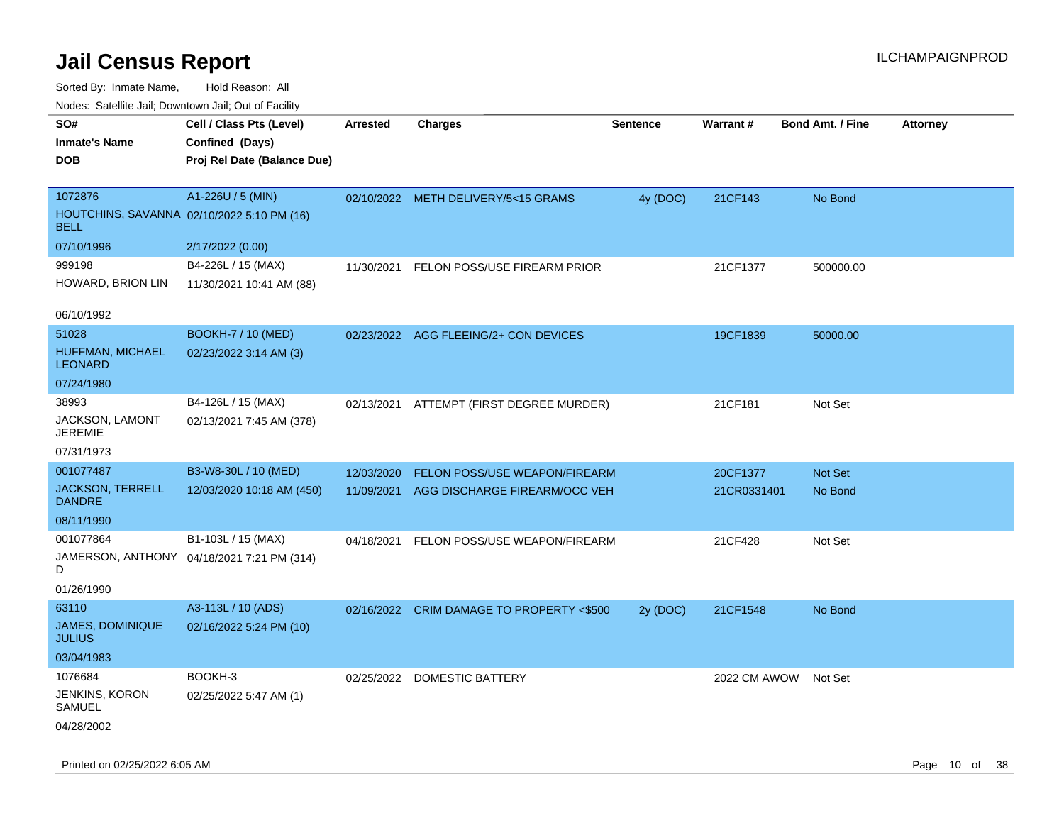Sorted By: Inmate Name, Hold Reason: All

| Nodes: Satellite Jail; Downtown Jail; Out of Facility |                                            |                 |                                           |                 |              |                  |                 |
|-------------------------------------------------------|--------------------------------------------|-----------------|-------------------------------------------|-----------------|--------------|------------------|-----------------|
| SO#                                                   | Cell / Class Pts (Level)                   | <b>Arrested</b> | <b>Charges</b>                            | <b>Sentence</b> | Warrant#     | Bond Amt. / Fine | <b>Attorney</b> |
| <b>Inmate's Name</b>                                  | Confined (Days)                            |                 |                                           |                 |              |                  |                 |
| <b>DOB</b>                                            | Proj Rel Date (Balance Due)                |                 |                                           |                 |              |                  |                 |
|                                                       |                                            |                 |                                           |                 |              |                  |                 |
| 1072876                                               | A1-226U / 5 (MIN)                          |                 | 02/10/2022 METH DELIVERY/5<15 GRAMS       | 4y (DOC)        | 21CF143      | No Bond          |                 |
| <b>BELL</b>                                           | HOUTCHINS, SAVANNA 02/10/2022 5:10 PM (16) |                 |                                           |                 |              |                  |                 |
| 07/10/1996                                            | 2/17/2022 (0.00)                           |                 |                                           |                 |              |                  |                 |
| 999198                                                | B4-226L / 15 (MAX)                         | 11/30/2021      | FELON POSS/USE FIREARM PRIOR              |                 | 21CF1377     | 500000.00        |                 |
| HOWARD, BRION LIN                                     | 11/30/2021 10:41 AM (88)                   |                 |                                           |                 |              |                  |                 |
| 06/10/1992                                            |                                            |                 |                                           |                 |              |                  |                 |
| 51028                                                 | <b>BOOKH-7 / 10 (MED)</b>                  |                 | 02/23/2022 AGG FLEEING/2+ CON DEVICES     |                 | 19CF1839     | 50000.00         |                 |
| HUFFMAN, MICHAEL<br><b>LEONARD</b>                    | 02/23/2022 3:14 AM (3)                     |                 |                                           |                 |              |                  |                 |
| 07/24/1980                                            |                                            |                 |                                           |                 |              |                  |                 |
| 38993                                                 | B4-126L / 15 (MAX)                         |                 | 02/13/2021 ATTEMPT (FIRST DEGREE MURDER)  |                 | 21CF181      | Not Set          |                 |
| JACKSON, LAMONT<br><b>JEREMIE</b>                     | 02/13/2021 7:45 AM (378)                   |                 |                                           |                 |              |                  |                 |
| 07/31/1973                                            |                                            |                 |                                           |                 |              |                  |                 |
| 001077487                                             | B3-W8-30L / 10 (MED)                       | 12/03/2020      | FELON POSS/USE WEAPON/FIREARM             |                 | 20CF1377     | <b>Not Set</b>   |                 |
| <b>JACKSON, TERRELL</b><br><b>DANDRE</b>              | 12/03/2020 10:18 AM (450)                  | 11/09/2021      | AGG DISCHARGE FIREARM/OCC VEH             |                 | 21CR0331401  | No Bond          |                 |
| 08/11/1990                                            |                                            |                 |                                           |                 |              |                  |                 |
| 001077864                                             | B1-103L / 15 (MAX)                         | 04/18/2021      | FELON POSS/USE WEAPON/FIREARM             |                 | 21CF428      | Not Set          |                 |
| D                                                     | JAMERSON, ANTHONY 04/18/2021 7:21 PM (314) |                 |                                           |                 |              |                  |                 |
| 01/26/1990                                            |                                            |                 |                                           |                 |              |                  |                 |
| 63110                                                 | A3-113L / 10 (ADS)                         |                 | 02/16/2022 CRIM DAMAGE TO PROPERTY <\$500 | 2y (DOC)        | 21CF1548     | No Bond          |                 |
| JAMES, DOMINIQUE<br><b>JULIUS</b>                     | 02/16/2022 5:24 PM (10)                    |                 |                                           |                 |              |                  |                 |
| 03/04/1983                                            |                                            |                 |                                           |                 |              |                  |                 |
| 1076684                                               | BOOKH-3                                    | 02/25/2022      | DOMESTIC BATTERY                          |                 | 2022 CM AWOW | Not Set          |                 |
| JENKINS, KORON<br>SAMUEL                              | 02/25/2022 5:47 AM (1)                     |                 |                                           |                 |              |                  |                 |
| 04/28/2002                                            |                                            |                 |                                           |                 |              |                  |                 |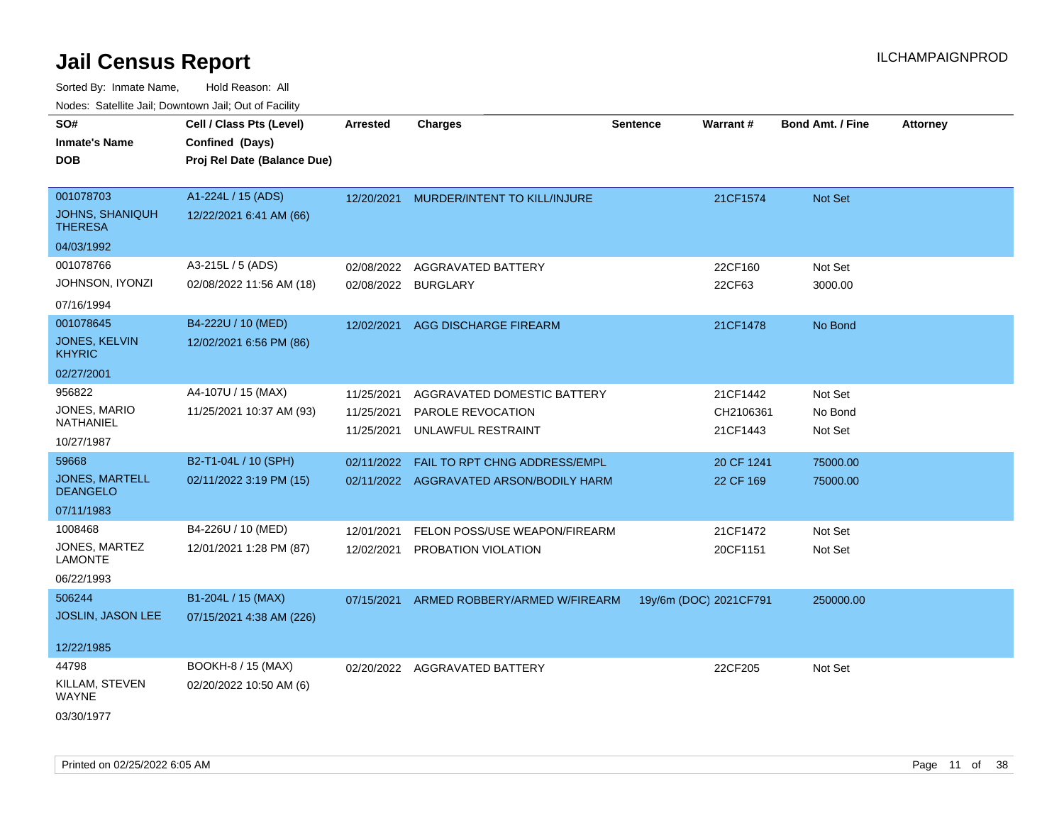| indues. Salenne Jan, Downlown Jan, Out of Facility |                             |                 |                                         |                 |                        |                         |                 |
|----------------------------------------------------|-----------------------------|-----------------|-----------------------------------------|-----------------|------------------------|-------------------------|-----------------|
| SO#                                                | Cell / Class Pts (Level)    | <b>Arrested</b> | <b>Charges</b>                          | <b>Sentence</b> | Warrant#               | <b>Bond Amt. / Fine</b> | <b>Attorney</b> |
| <b>Inmate's Name</b>                               | Confined (Days)             |                 |                                         |                 |                        |                         |                 |
| <b>DOB</b>                                         | Proj Rel Date (Balance Due) |                 |                                         |                 |                        |                         |                 |
|                                                    |                             |                 |                                         |                 |                        |                         |                 |
| 001078703                                          | A1-224L / 15 (ADS)          | 12/20/2021      | MURDER/INTENT TO KILL/INJURE            |                 | 21CF1574               | Not Set                 |                 |
| <b>JOHNS, SHANIQUH</b><br><b>THERESA</b>           | 12/22/2021 6:41 AM (66)     |                 |                                         |                 |                        |                         |                 |
| 04/03/1992                                         |                             |                 |                                         |                 |                        |                         |                 |
| 001078766                                          | A3-215L / 5 (ADS)           | 02/08/2022      | AGGRAVATED BATTERY                      |                 | 22CF160                | Not Set                 |                 |
| JOHNSON, IYONZI                                    | 02/08/2022 11:56 AM (18)    | 02/08/2022      | <b>BURGLARY</b>                         |                 | 22CF63                 | 3000.00                 |                 |
| 07/16/1994                                         |                             |                 |                                         |                 |                        |                         |                 |
| 001078645                                          | B4-222U / 10 (MED)          | 12/02/2021      | <b>AGG DISCHARGE FIREARM</b>            |                 | 21CF1478               | No Bond                 |                 |
| JONES, KELVIN<br><b>KHYRIC</b>                     | 12/02/2021 6:56 PM (86)     |                 |                                         |                 |                        |                         |                 |
| 02/27/2001                                         |                             |                 |                                         |                 |                        |                         |                 |
| 956822                                             | A4-107U / 15 (MAX)          | 11/25/2021      | AGGRAVATED DOMESTIC BATTERY             |                 | 21CF1442               | Not Set                 |                 |
| JONES, MARIO                                       | 11/25/2021 10:37 AM (93)    | 11/25/2021      | PAROLE REVOCATION                       |                 | CH2106361              | No Bond                 |                 |
| NATHANIEL                                          |                             | 11/25/2021      | UNLAWFUL RESTRAINT                      |                 | 21CF1443               | Not Set                 |                 |
| 10/27/1987                                         |                             |                 |                                         |                 |                        |                         |                 |
| 59668                                              | B2-T1-04L / 10 (SPH)        | 02/11/2022      | FAIL TO RPT CHNG ADDRESS/EMPL           |                 | 20 CF 1241             | 75000.00                |                 |
| <b>JONES, MARTELL</b><br><b>DEANGELO</b>           | 02/11/2022 3:19 PM (15)     |                 | 02/11/2022 AGGRAVATED ARSON/BODILY HARM |                 | 22 CF 169              | 75000.00                |                 |
| 07/11/1983                                         |                             |                 |                                         |                 |                        |                         |                 |
| 1008468                                            | B4-226U / 10 (MED)          | 12/01/2021      | FELON POSS/USE WEAPON/FIREARM           |                 | 21CF1472               | Not Set                 |                 |
| JONES, MARTEZ<br>LAMONTE                           | 12/01/2021 1:28 PM (87)     | 12/02/2021      | PROBATION VIOLATION                     |                 | 20CF1151               | Not Set                 |                 |
| 06/22/1993                                         |                             |                 |                                         |                 |                        |                         |                 |
| 506244                                             | B1-204L / 15 (MAX)          | 07/15/2021      | ARMED ROBBERY/ARMED W/FIREARM           |                 | 19y/6m (DOC) 2021CF791 | 250000.00               |                 |
| <b>JOSLIN, JASON LEE</b>                           | 07/15/2021 4:38 AM (226)    |                 |                                         |                 |                        |                         |                 |
|                                                    |                             |                 |                                         |                 |                        |                         |                 |
| 12/22/1985                                         |                             |                 |                                         |                 |                        |                         |                 |
| 44798                                              | BOOKH-8 / 15 (MAX)          |                 | 02/20/2022 AGGRAVATED BATTERY           |                 | 22CF205                | Not Set                 |                 |
| KILLAM, STEVEN<br><b>WAYNE</b>                     | 02/20/2022 10:50 AM (6)     |                 |                                         |                 |                        |                         |                 |
| 03/30/1977                                         |                             |                 |                                         |                 |                        |                         |                 |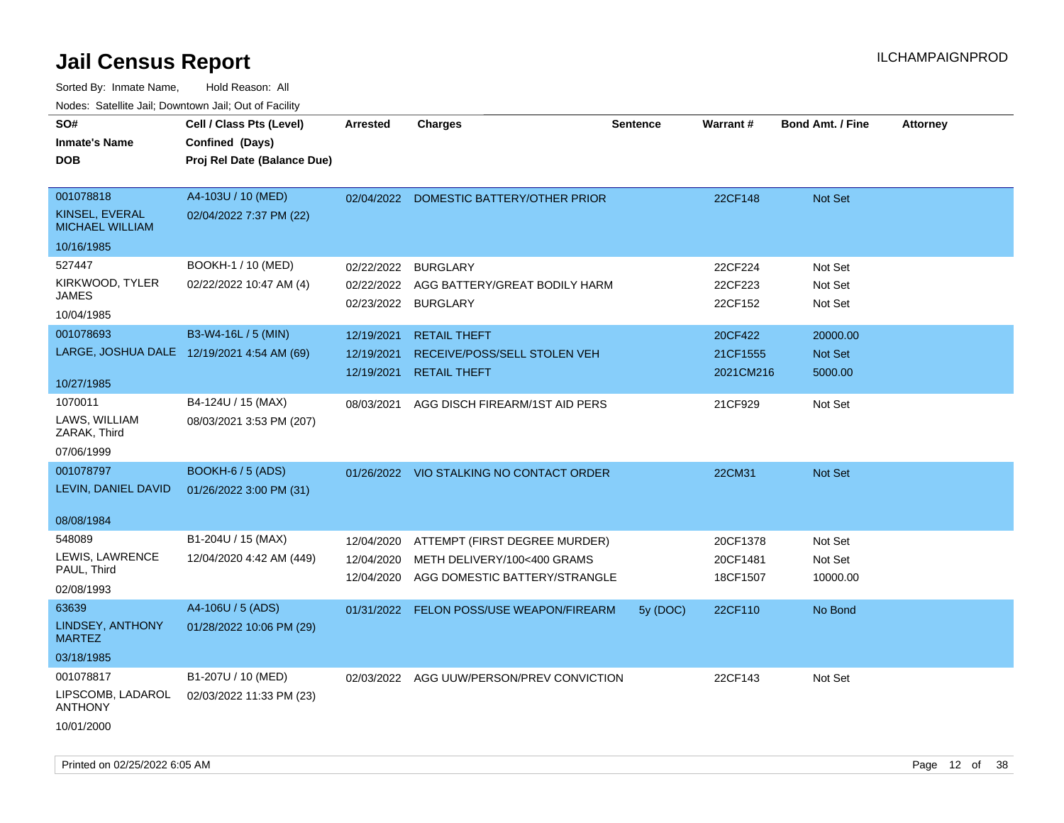| SO#<br><b>Inmate's Name</b><br><b>DOB</b>                      | Cell / Class Pts (Level)<br>Confined (Days)<br>Proj Rel Date (Balance Due) | <b>Arrested</b>                        | <b>Charges</b>                                                                                | <b>Sentence</b> | <b>Warrant#</b>                  | <b>Bond Amt. / Fine</b>        | <b>Attorney</b> |
|----------------------------------------------------------------|----------------------------------------------------------------------------|----------------------------------------|-----------------------------------------------------------------------------------------------|-----------------|----------------------------------|--------------------------------|-----------------|
| 001078818<br>KINSEL, EVERAL<br>MICHAEL WILLIAM<br>10/16/1985   | A4-103U / 10 (MED)<br>02/04/2022 7:37 PM (22)                              |                                        | 02/04/2022 DOMESTIC BATTERY/OTHER PRIOR                                                       |                 | 22CF148                          | Not Set                        |                 |
| 527447<br>KIRKWOOD, TYLER<br>JAMES<br>10/04/1985               | BOOKH-1 / 10 (MED)<br>02/22/2022 10:47 AM (4)                              | 02/22/2022                             | <b>BURGLARY</b><br>02/22/2022 AGG BATTERY/GREAT BODILY HARM<br>02/23/2022 BURGLARY            |                 | 22CF224<br>22CF223<br>22CF152    | Not Set<br>Not Set<br>Not Set  |                 |
| 001078693<br>10/27/1985                                        | B3-W4-16L / 5 (MIN)<br>LARGE, JOSHUA DALE 12/19/2021 4:54 AM (69)          | 12/19/2021<br>12/19/2021<br>12/19/2021 | <b>RETAIL THEFT</b><br>RECEIVE/POSS/SELL STOLEN VEH<br><b>RETAIL THEFT</b>                    |                 | 20CF422<br>21CF1555<br>2021CM216 | 20000.00<br>Not Set<br>5000.00 |                 |
| 1070011<br>LAWS, WILLIAM<br>ZARAK, Third<br>07/06/1999         | B4-124U / 15 (MAX)<br>08/03/2021 3:53 PM (207)                             | 08/03/2021                             | AGG DISCH FIREARM/1ST AID PERS                                                                |                 | 21CF929                          | Not Set                        |                 |
| 001078797<br>LEVIN, DANIEL DAVID<br>08/08/1984                 | <b>BOOKH-6 / 5 (ADS)</b><br>01/26/2022 3:00 PM (31)                        |                                        | 01/26/2022 VIO STALKING NO CONTACT ORDER                                                      |                 | 22CM31                           | Not Set                        |                 |
| 548089<br>LEWIS, LAWRENCE<br>PAUL, Third<br>02/08/1993         | B1-204U / 15 (MAX)<br>12/04/2020 4:42 AM (449)                             | 12/04/2020<br>12/04/2020<br>12/04/2020 | ATTEMPT (FIRST DEGREE MURDER)<br>METH DELIVERY/100<400 GRAMS<br>AGG DOMESTIC BATTERY/STRANGLE |                 | 20CF1378<br>20CF1481<br>18CF1507 | Not Set<br>Not Set<br>10000.00 |                 |
| 63639<br>LINDSEY, ANTHONY<br><b>MARTEZ</b><br>03/18/1985       | A4-106U / 5 (ADS)<br>01/28/2022 10:06 PM (29)                              | 01/31/2022                             | FELON POSS/USE WEAPON/FIREARM                                                                 | 5y (DOC)        | 22CF110                          | No Bond                        |                 |
| 001078817<br>LIPSCOMB, LADAROL<br><b>ANTHONY</b><br>10/01/2000 | B1-207U / 10 (MED)<br>02/03/2022 11:33 PM (23)                             |                                        | 02/03/2022 AGG UUW/PERSON/PREV CONVICTION                                                     |                 | 22CF143                          | Not Set                        |                 |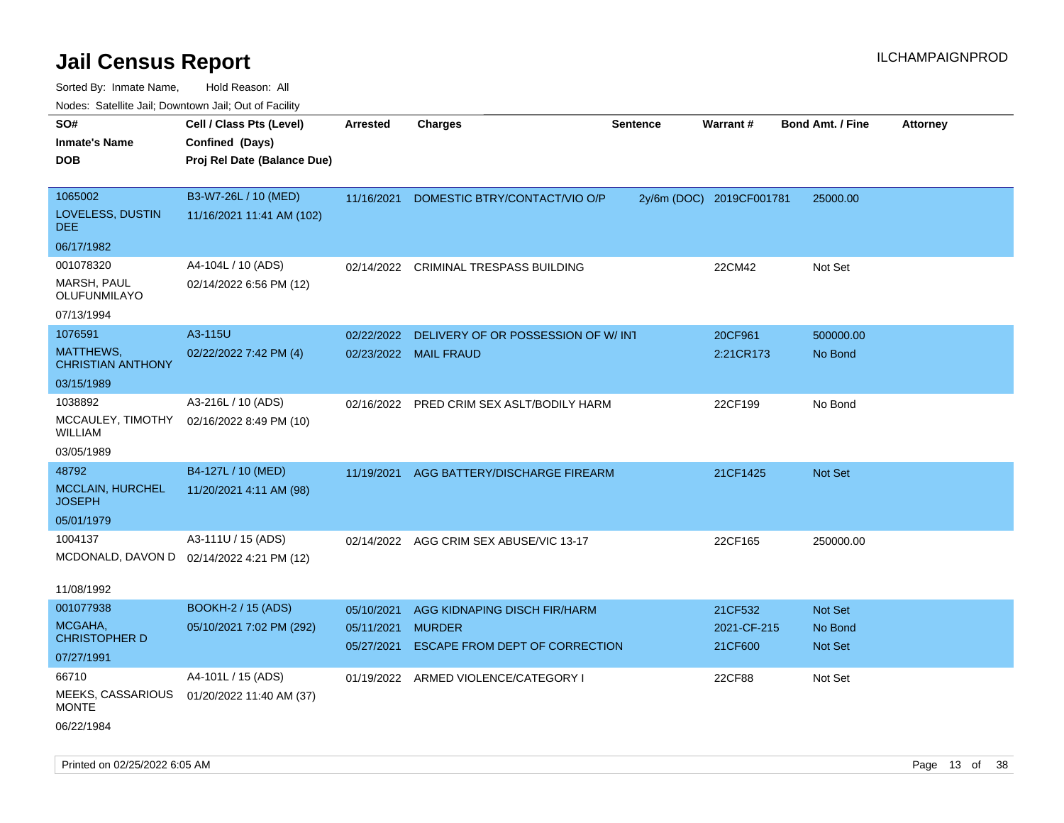| ivuutos. Saltiilit Jall, Duwilluwii Jall, Oul of Facility |                                           |            |                                           |                 |                          |                         |                 |
|-----------------------------------------------------------|-------------------------------------------|------------|-------------------------------------------|-----------------|--------------------------|-------------------------|-----------------|
| SO#                                                       | Cell / Class Pts (Level)                  | Arrested   | <b>Charges</b>                            | <b>Sentence</b> | Warrant#                 | <b>Bond Amt. / Fine</b> | <b>Attorney</b> |
| <b>Inmate's Name</b>                                      | Confined (Days)                           |            |                                           |                 |                          |                         |                 |
| <b>DOB</b>                                                | Proj Rel Date (Balance Due)               |            |                                           |                 |                          |                         |                 |
|                                                           |                                           |            |                                           |                 |                          |                         |                 |
| 1065002                                                   | B3-W7-26L / 10 (MED)                      | 11/16/2021 | DOMESTIC BTRY/CONTACT/VIO O/P             |                 | 2y/6m (DOC) 2019CF001781 | 25000.00                |                 |
| LOVELESS, DUSTIN<br>DEE.                                  | 11/16/2021 11:41 AM (102)                 |            |                                           |                 |                          |                         |                 |
| 06/17/1982                                                |                                           |            |                                           |                 |                          |                         |                 |
| 001078320                                                 | A4-104L / 10 (ADS)                        | 02/14/2022 | CRIMINAL TRESPASS BUILDING                |                 | 22CM42                   | Not Set                 |                 |
| MARSH, PAUL<br>OLUFUNMILAYO                               | 02/14/2022 6:56 PM (12)                   |            |                                           |                 |                          |                         |                 |
| 07/13/1994                                                |                                           |            |                                           |                 |                          |                         |                 |
| 1076591                                                   | A3-115U                                   | 02/22/2022 | DELIVERY OF OR POSSESSION OF W/INT        |                 | 20CF961                  | 500000.00               |                 |
| MATTHEWS,<br><b>CHRISTIAN ANTHONY</b>                     | 02/22/2022 7:42 PM (4)                    |            | 02/23/2022 MAIL FRAUD                     |                 | 2:21CR173                | No Bond                 |                 |
| 03/15/1989                                                |                                           |            |                                           |                 |                          |                         |                 |
| 1038892                                                   | A3-216L / 10 (ADS)                        |            | 02/16/2022 PRED CRIM SEX ASLT/BODILY HARM |                 | 22CF199                  | No Bond                 |                 |
| MCCAULEY, TIMOTHY<br><b>WILLIAM</b>                       | 02/16/2022 8:49 PM (10)                   |            |                                           |                 |                          |                         |                 |
| 03/05/1989                                                |                                           |            |                                           |                 |                          |                         |                 |
| 48792                                                     | B4-127L / 10 (MED)                        | 11/19/2021 | AGG BATTERY/DISCHARGE FIREARM             |                 | 21CF1425                 | <b>Not Set</b>          |                 |
| MCCLAIN, HURCHEL<br><b>JOSEPH</b>                         | 11/20/2021 4:11 AM (98)                   |            |                                           |                 |                          |                         |                 |
| 05/01/1979                                                |                                           |            |                                           |                 |                          |                         |                 |
| 1004137                                                   | A3-111U / 15 (ADS)                        |            | 02/14/2022 AGG CRIM SEX ABUSE/VIC 13-17   |                 | 22CF165                  | 250000.00               |                 |
|                                                           | MCDONALD, DAVON D 02/14/2022 4:21 PM (12) |            |                                           |                 |                          |                         |                 |
| 11/08/1992                                                |                                           |            |                                           |                 |                          |                         |                 |
| 001077938                                                 | <b>BOOKH-2 / 15 (ADS)</b>                 | 05/10/2021 | AGG KIDNAPING DISCH FIR/HARM              |                 | 21CF532                  | <b>Not Set</b>          |                 |
| MCGAHA,                                                   | 05/10/2021 7:02 PM (292)                  | 05/11/2021 | <b>MURDER</b>                             |                 | 2021-CF-215              | No Bond                 |                 |
| <b>CHRISTOPHER D</b>                                      |                                           | 05/27/2021 | ESCAPE FROM DEPT OF CORRECTION            |                 | 21CF600                  | Not Set                 |                 |
| 07/27/1991                                                |                                           |            |                                           |                 |                          |                         |                 |
| 66710                                                     | A4-101L / 15 (ADS)                        | 01/19/2022 | ARMED VIOLENCE/CATEGORY I                 |                 | 22CF88                   | Not Set                 |                 |
| MEEKS, CASSARIOUS<br><b>MONTE</b>                         | 01/20/2022 11:40 AM (37)                  |            |                                           |                 |                          |                         |                 |
| 06/22/1984                                                |                                           |            |                                           |                 |                          |                         |                 |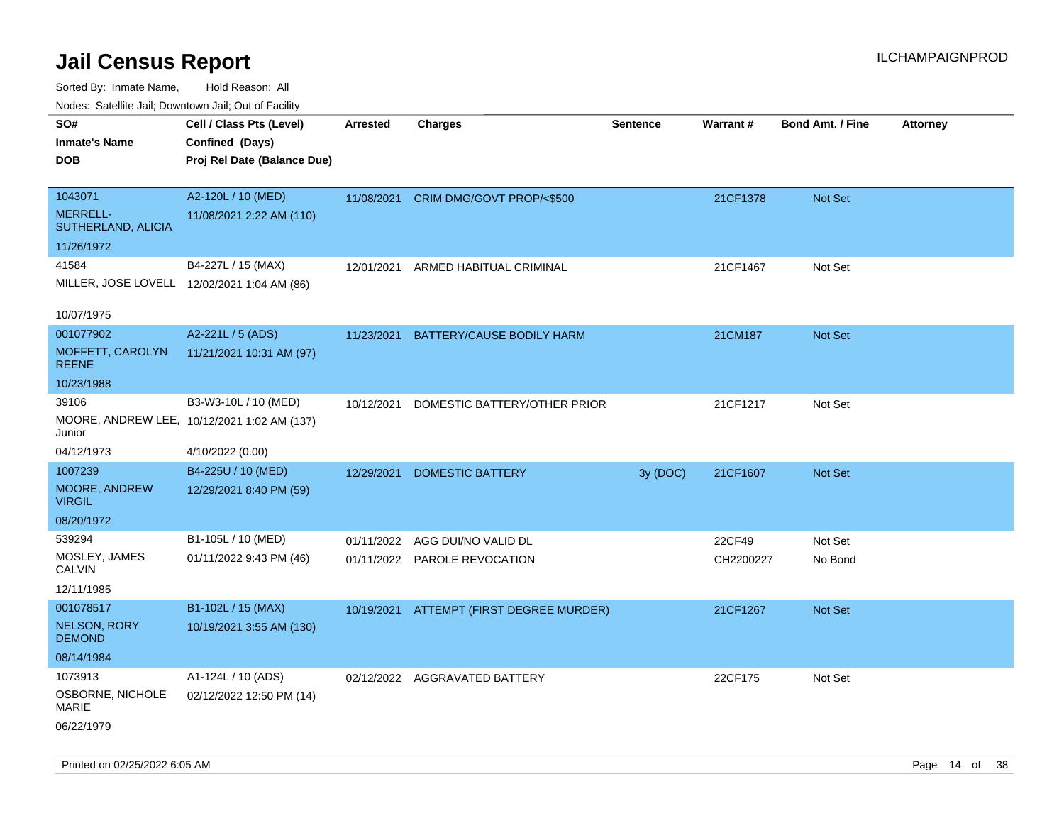Sorted By: Inmate Name, Hold Reason: All

| Nodes: Satellite Jail; Downtown Jail; Out of Facility |                                             |                 |                               |          |                 |                         |                 |
|-------------------------------------------------------|---------------------------------------------|-----------------|-------------------------------|----------|-----------------|-------------------------|-----------------|
| SO#                                                   | Cell / Class Pts (Level)                    | <b>Arrested</b> | <b>Charges</b>                | Sentence | <b>Warrant#</b> | <b>Bond Amt. / Fine</b> | <b>Attorney</b> |
| <b>Inmate's Name</b>                                  | Confined (Days)                             |                 |                               |          |                 |                         |                 |
| <b>DOB</b>                                            | Proj Rel Date (Balance Due)                 |                 |                               |          |                 |                         |                 |
|                                                       |                                             |                 |                               |          |                 |                         |                 |
| 1043071                                               | A2-120L / 10 (MED)                          | 11/08/2021      | CRIM DMG/GOVT PROP/<\$500     |          | 21CF1378        | Not Set                 |                 |
| <b>MERRELL-</b><br>SUTHERLAND, ALICIA                 | 11/08/2021 2:22 AM (110)                    |                 |                               |          |                 |                         |                 |
| 11/26/1972                                            |                                             |                 |                               |          |                 |                         |                 |
| 41584                                                 | B4-227L / 15 (MAX)                          | 12/01/2021      | ARMED HABITUAL CRIMINAL       |          | 21CF1467        | Not Set                 |                 |
|                                                       | MILLER, JOSE LOVELL 12/02/2021 1:04 AM (86) |                 |                               |          |                 |                         |                 |
|                                                       |                                             |                 |                               |          |                 |                         |                 |
| 10/07/1975                                            |                                             |                 |                               |          |                 |                         |                 |
| 001077902                                             | A2-221L / 5 (ADS)                           | 11/23/2021      | BATTERY/CAUSE BODILY HARM     |          | 21CM187         | Not Set                 |                 |
| MOFFETT, CAROLYN<br><b>REENE</b>                      | 11/21/2021 10:31 AM (97)                    |                 |                               |          |                 |                         |                 |
| 10/23/1988                                            |                                             |                 |                               |          |                 |                         |                 |
| 39106                                                 | B3-W3-10L / 10 (MED)                        | 10/12/2021      | DOMESTIC BATTERY/OTHER PRIOR  |          | 21CF1217        | Not Set                 |                 |
| Junior                                                | MOORE, ANDREW LEE, 10/12/2021 1:02 AM (137) |                 |                               |          |                 |                         |                 |
| 04/12/1973                                            | 4/10/2022 (0.00)                            |                 |                               |          |                 |                         |                 |
| 1007239                                               | B4-225U / 10 (MED)                          | 12/29/2021      | <b>DOMESTIC BATTERY</b>       | 3y (DOC) | 21CF1607        | Not Set                 |                 |
| MOORE, ANDREW<br><b>VIRGIL</b>                        | 12/29/2021 8:40 PM (59)                     |                 |                               |          |                 |                         |                 |
| 08/20/1972                                            |                                             |                 |                               |          |                 |                         |                 |
| 539294                                                | B1-105L / 10 (MED)                          | 01/11/2022      | AGG DUI/NO VALID DL           |          | 22CF49          | Not Set                 |                 |
| MOSLEY, JAMES<br><b>CALVIN</b>                        | 01/11/2022 9:43 PM (46)                     | 01/11/2022      | PAROLE REVOCATION             |          | CH2200227       | No Bond                 |                 |
| 12/11/1985                                            |                                             |                 |                               |          |                 |                         |                 |
| 001078517                                             | B1-102L / 15 (MAX)                          | 10/19/2021      | ATTEMPT (FIRST DEGREE MURDER) |          | 21CF1267        | Not Set                 |                 |
| <b>NELSON, RORY</b><br><b>DEMOND</b>                  | 10/19/2021 3:55 AM (130)                    |                 |                               |          |                 |                         |                 |
| 08/14/1984                                            |                                             |                 |                               |          |                 |                         |                 |
| 1073913                                               | A1-124L / 10 (ADS)                          | 02/12/2022      | AGGRAVATED BATTERY            |          | 22CF175         | Not Set                 |                 |
| OSBORNE, NICHOLE                                      | 02/12/2022 12:50 PM (14)                    |                 |                               |          |                 |                         |                 |

MARIE

06/22/1979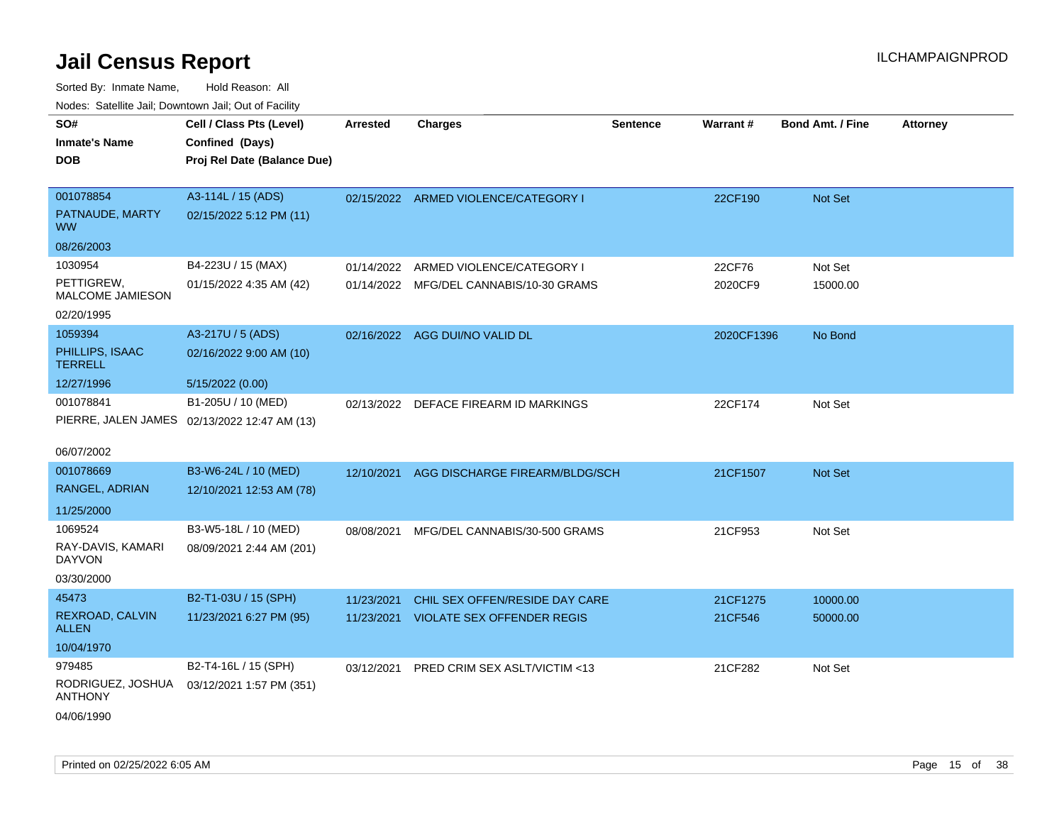| roaco. Calcinio dan, Domnomi dan, Cal or Fability |                                              |                 |                                         |                 |            |                         |                 |
|---------------------------------------------------|----------------------------------------------|-----------------|-----------------------------------------|-----------------|------------|-------------------------|-----------------|
| SO#                                               | Cell / Class Pts (Level)                     | <b>Arrested</b> | <b>Charges</b>                          | <b>Sentence</b> | Warrant#   | <b>Bond Amt. / Fine</b> | <b>Attorney</b> |
| Inmate's Name                                     | Confined (Days)                              |                 |                                         |                 |            |                         |                 |
| DOB                                               | Proj Rel Date (Balance Due)                  |                 |                                         |                 |            |                         |                 |
|                                                   |                                              |                 |                                         |                 |            |                         |                 |
| 001078854                                         | A3-114L / 15 (ADS)                           |                 | 02/15/2022 ARMED VIOLENCE/CATEGORY I    |                 | 22CF190    | <b>Not Set</b>          |                 |
| PATNAUDE, MARTY<br>WW.                            | 02/15/2022 5:12 PM (11)                      |                 |                                         |                 |            |                         |                 |
| 08/26/2003                                        |                                              |                 |                                         |                 |            |                         |                 |
| 1030954                                           | B4-223U / 15 (MAX)                           | 01/14/2022      | ARMED VIOLENCE/CATEGORY I               |                 | 22CF76     | Not Set                 |                 |
| PETTIGREW,<br>MALCOME JAMIESON                    | 01/15/2022 4:35 AM (42)                      |                 | 01/14/2022 MFG/DEL CANNABIS/10-30 GRAMS |                 | 2020CF9    | 15000.00                |                 |
| 02/20/1995                                        |                                              |                 |                                         |                 |            |                         |                 |
| 1059394                                           | A3-217U / 5 (ADS)                            |                 | 02/16/2022 AGG DUI/NO VALID DL          |                 | 2020CF1396 | No Bond                 |                 |
| PHILLIPS, ISAAC<br>TERRELL                        | 02/16/2022 9:00 AM (10)                      |                 |                                         |                 |            |                         |                 |
| 12/27/1996                                        | 5/15/2022 (0.00)                             |                 |                                         |                 |            |                         |                 |
| 001078841                                         | B1-205U / 10 (MED)                           |                 | 02/13/2022 DEFACE FIREARM ID MARKINGS   |                 | 22CF174    | Not Set                 |                 |
|                                                   | PIERRE, JALEN JAMES 02/13/2022 12:47 AM (13) |                 |                                         |                 |            |                         |                 |
|                                                   |                                              |                 |                                         |                 |            |                         |                 |
| 06/07/2002                                        |                                              |                 |                                         |                 |            |                         |                 |
| 001078669                                         | B3-W6-24L / 10 (MED)                         | 12/10/2021      | AGG DISCHARGE FIREARM/BLDG/SCH          |                 | 21CF1507   | <b>Not Set</b>          |                 |
| RANGEL, ADRIAN                                    | 12/10/2021 12:53 AM (78)                     |                 |                                         |                 |            |                         |                 |
| 11/25/2000                                        |                                              |                 |                                         |                 |            |                         |                 |
| 1069524                                           | B3-W5-18L / 10 (MED)                         | 08/08/2021      | MFG/DEL CANNABIS/30-500 GRAMS           |                 | 21CF953    | Not Set                 |                 |
| RAY-DAVIS, KAMARI<br>DAYVON                       | 08/09/2021 2:44 AM (201)                     |                 |                                         |                 |            |                         |                 |
| 03/30/2000                                        |                                              |                 |                                         |                 |            |                         |                 |
| 45473                                             | B2-T1-03U / 15 (SPH)                         | 11/23/2021      | CHIL SEX OFFEN/RESIDE DAY CARE          |                 | 21CF1275   | 10000.00                |                 |
| REXROAD, CALVIN<br>ALLEN                          | 11/23/2021 6:27 PM (95)                      |                 | 11/23/2021 VIOLATE SEX OFFENDER REGIS   |                 | 21CF546    | 50000.00                |                 |
| 10/04/1970                                        |                                              |                 |                                         |                 |            |                         |                 |
| 979485                                            | B2-T4-16L / 15 (SPH)                         | 03/12/2021      | PRED CRIM SEX ASLT/VICTIM <13           |                 | 21CF282    | Not Set                 |                 |
| RODRIGUEZ, JOSHUA<br>ANTHONY                      | 03/12/2021 1:57 PM (351)                     |                 |                                         |                 |            |                         |                 |
| 04/06/1990                                        |                                              |                 |                                         |                 |            |                         |                 |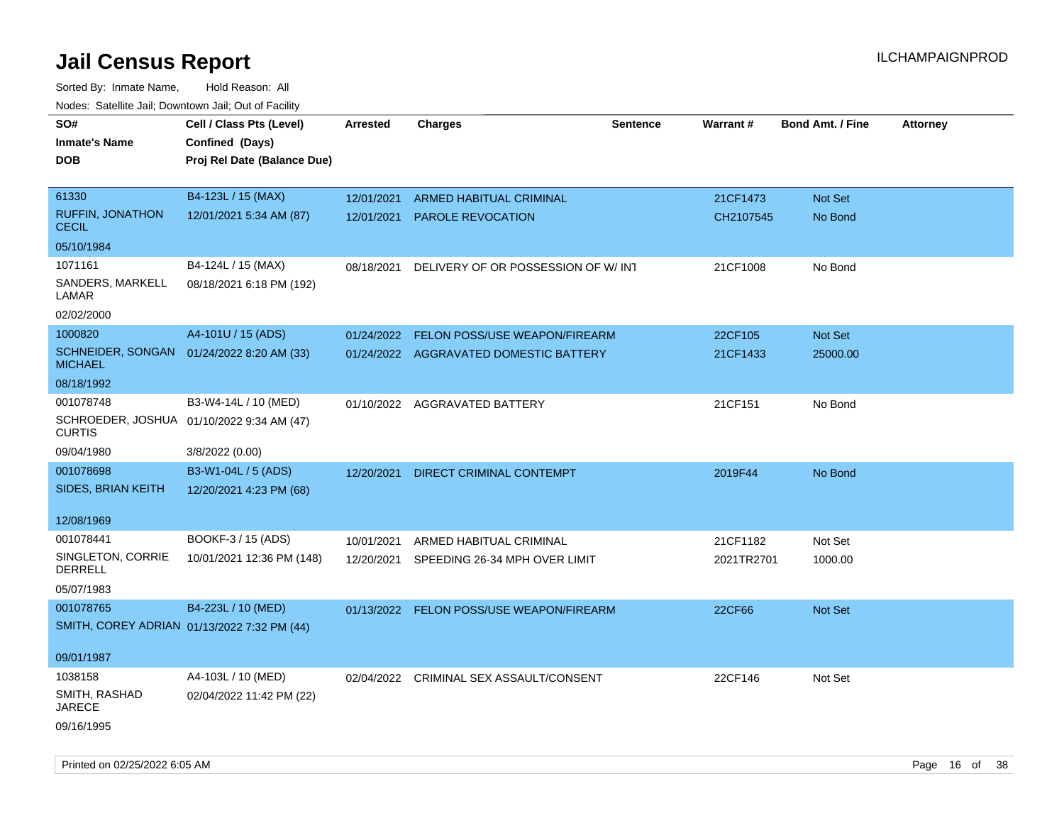| rouco. Calcillo Jali, Downtown Jali, Out of Facility        |                             |            |                                          |          |            |                         |                 |
|-------------------------------------------------------------|-----------------------------|------------|------------------------------------------|----------|------------|-------------------------|-----------------|
| SO#                                                         | Cell / Class Pts (Level)    | Arrested   | <b>Charges</b>                           | Sentence | Warrant#   | <b>Bond Amt. / Fine</b> | <b>Attorney</b> |
| <b>Inmate's Name</b>                                        | Confined (Days)             |            |                                          |          |            |                         |                 |
| DOB                                                         | Proj Rel Date (Balance Due) |            |                                          |          |            |                         |                 |
|                                                             |                             |            |                                          |          |            |                         |                 |
| 61330                                                       | B4-123L / 15 (MAX)          | 12/01/2021 | <b>ARMED HABITUAL CRIMINAL</b>           |          | 21CF1473   | Not Set                 |                 |
| RUFFIN, JONATHON<br><b>CECIL</b>                            | 12/01/2021 5:34 AM (87)     | 12/01/2021 | <b>PAROLE REVOCATION</b>                 |          | CH2107545  | No Bond                 |                 |
| 05/10/1984                                                  |                             |            |                                          |          |            |                         |                 |
| 1071161                                                     | B4-124L / 15 (MAX)          | 08/18/2021 | DELIVERY OF OR POSSESSION OF W/ INT      |          | 21CF1008   | No Bond                 |                 |
| SANDERS, MARKELL<br>LAMAR                                   | 08/18/2021 6:18 PM (192)    |            |                                          |          |            |                         |                 |
| 02/02/2000                                                  |                             |            |                                          |          |            |                         |                 |
| 1000820                                                     | A4-101U / 15 (ADS)          | 01/24/2022 | <b>FELON POSS/USE WEAPON/FIREARM</b>     |          | 22CF105    | Not Set                 |                 |
| SCHNEIDER, SONGAN 01/24/2022 8:20 AM (33)<br><b>MICHAEL</b> |                             |            | 01/24/2022 AGGRAVATED DOMESTIC BATTERY   |          | 21CF1433   | 25000.00                |                 |
| 08/18/1992                                                  |                             |            |                                          |          |            |                         |                 |
| 001078748                                                   | B3-W4-14L / 10 (MED)        |            | 01/10/2022 AGGRAVATED BATTERY            |          | 21CF151    | No Bond                 |                 |
| SCHROEDER, JOSHUA 01/10/2022 9:34 AM (47)<br><b>CURTIS</b>  |                             |            |                                          |          |            |                         |                 |
| 09/04/1980                                                  | 3/8/2022 (0.00)             |            |                                          |          |            |                         |                 |
| 001078698                                                   | B3-W1-04L / 5 (ADS)         | 12/20/2021 | DIRECT CRIMINAL CONTEMPT                 |          | 2019F44    | No Bond                 |                 |
| SIDES, BRIAN KEITH                                          | 12/20/2021 4:23 PM (68)     |            |                                          |          |            |                         |                 |
|                                                             |                             |            |                                          |          |            |                         |                 |
| 12/08/1969                                                  |                             |            |                                          |          |            |                         |                 |
| 001078441                                                   | BOOKF-3 / 15 (ADS)          | 10/01/2021 | ARMED HABITUAL CRIMINAL                  |          | 21CF1182   | Not Set                 |                 |
| SINGLETON, CORRIE<br>DERRELL                                | 10/01/2021 12:36 PM (148)   | 12/20/2021 | SPEEDING 26-34 MPH OVER LIMIT            |          | 2021TR2701 | 1000.00                 |                 |
| 05/07/1983                                                  |                             |            |                                          |          |            |                         |                 |
| 001078765                                                   | B4-223L / 10 (MED)          |            | 01/13/2022 FELON POSS/USE WEAPON/FIREARM |          | 22CF66     | <b>Not Set</b>          |                 |
| SMITH, COREY ADRIAN 01/13/2022 7:32 PM (44)                 |                             |            |                                          |          |            |                         |                 |
|                                                             |                             |            |                                          |          |            |                         |                 |
| 09/01/1987                                                  |                             |            |                                          |          |            |                         |                 |
| 1038158                                                     | A4-103L / 10 (MED)          |            | 02/04/2022 CRIMINAL SEX ASSAULT/CONSENT  |          | 22CF146    | Not Set                 |                 |
| SMITH, RASHAD<br><b>JARECE</b>                              | 02/04/2022 11:42 PM (22)    |            |                                          |          |            |                         |                 |
| 09/16/1995                                                  |                             |            |                                          |          |            |                         |                 |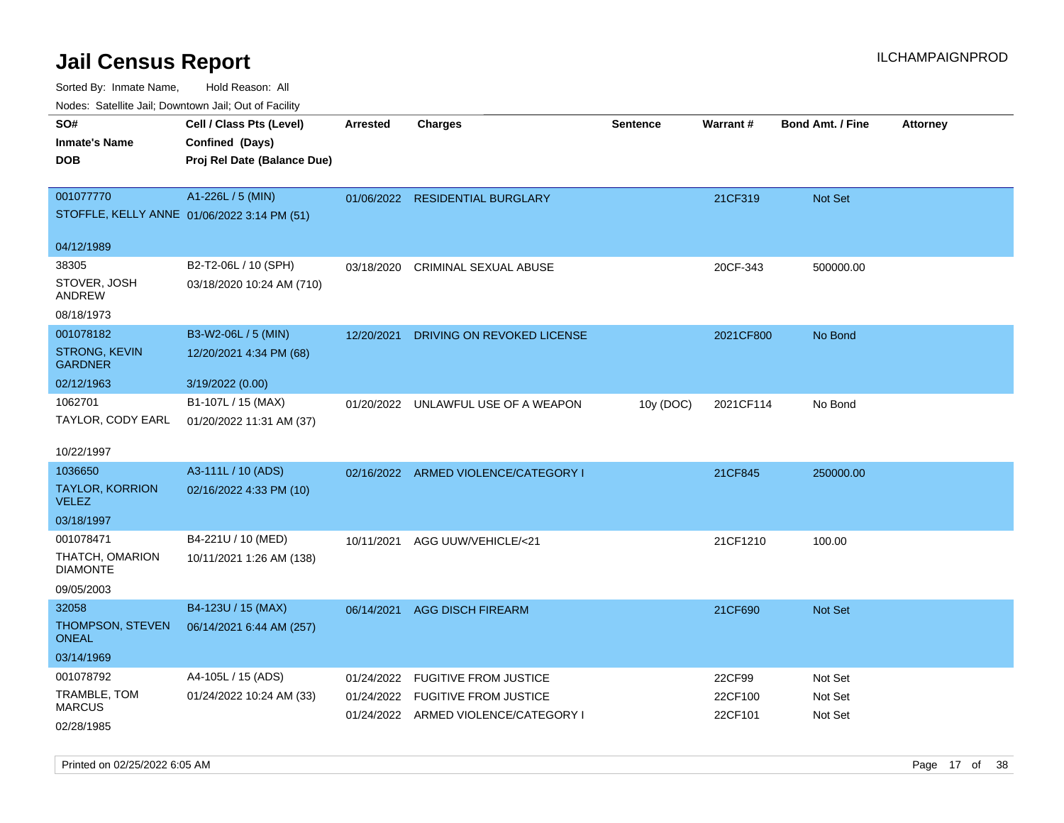| ivouss. Satellite Jali, Downtown Jali, Out of Facility |                                             |            |                                      |                 |                 |                         |                 |
|--------------------------------------------------------|---------------------------------------------|------------|--------------------------------------|-----------------|-----------------|-------------------------|-----------------|
| SO#<br>Inmate's Name                                   | Cell / Class Pts (Level)<br>Confined (Days) | Arrested   | <b>Charges</b>                       | <b>Sentence</b> | <b>Warrant#</b> | <b>Bond Amt. / Fine</b> | <b>Attorney</b> |
| <b>DOB</b>                                             | Proj Rel Date (Balance Due)                 |            |                                      |                 |                 |                         |                 |
| 001077770                                              | A1-226L / 5 (MIN)                           |            | 01/06/2022 RESIDENTIAL BURGLARY      |                 | 21CF319         | Not Set                 |                 |
|                                                        | STOFFLE, KELLY ANNE 01/06/2022 3:14 PM (51) |            |                                      |                 |                 |                         |                 |
| 04/12/1989                                             |                                             |            |                                      |                 |                 |                         |                 |
| 38305                                                  | B2-T2-06L / 10 (SPH)                        | 03/18/2020 | CRIMINAL SEXUAL ABUSE                |                 | 20CF-343        | 500000.00               |                 |
| STOVER, JOSH<br>ANDREW                                 | 03/18/2020 10:24 AM (710)                   |            |                                      |                 |                 |                         |                 |
| 08/18/1973                                             |                                             |            |                                      |                 |                 |                         |                 |
| 001078182                                              | B3-W2-06L / 5 (MIN)                         | 12/20/2021 | DRIVING ON REVOKED LICENSE           |                 | 2021CF800       | No Bond                 |                 |
| STRONG, KEVIN<br>GARDNER                               | 12/20/2021 4:34 PM (68)                     |            |                                      |                 |                 |                         |                 |
| 02/12/1963                                             | 3/19/2022 (0.00)                            |            |                                      |                 |                 |                         |                 |
| 1062701                                                | B1-107L / 15 (MAX)                          |            | 01/20/2022 UNLAWFUL USE OF A WEAPON  | 10y (DOC)       | 2021CF114       | No Bond                 |                 |
| TAYLOR, CODY EARL                                      | 01/20/2022 11:31 AM (37)                    |            |                                      |                 |                 |                         |                 |
| 10/22/1997                                             |                                             |            |                                      |                 |                 |                         |                 |
| 1036650                                                | A3-111L / 10 (ADS)                          |            | 02/16/2022 ARMED VIOLENCE/CATEGORY I |                 | 21CF845         | 250000.00               |                 |
| <b>TAYLOR, KORRION</b><br>VELEZ                        | 02/16/2022 4:33 PM (10)                     |            |                                      |                 |                 |                         |                 |
| 03/18/1997                                             |                                             |            |                                      |                 |                 |                         |                 |
| 001078471                                              | B4-221U / 10 (MED)                          | 10/11/2021 | AGG UUW/VEHICLE/<21                  |                 | 21CF1210        | 100.00                  |                 |
| THATCH, OMARION<br>DIAMONTE                            | 10/11/2021 1:26 AM (138)                    |            |                                      |                 |                 |                         |                 |
| 09/05/2003                                             |                                             |            |                                      |                 |                 |                         |                 |
| 32058                                                  | B4-123U / 15 (MAX)                          | 06/14/2021 | <b>AGG DISCH FIREARM</b>             |                 | 21CF690         | <b>Not Set</b>          |                 |
| THOMPSON, STEVEN<br>ONEAL                              | 06/14/2021 6:44 AM (257)                    |            |                                      |                 |                 |                         |                 |
| 03/14/1969                                             |                                             |            |                                      |                 |                 |                         |                 |
| 001078792                                              | A4-105L / 15 (ADS)                          | 01/24/2022 | <b>FUGITIVE FROM JUSTICE</b>         |                 | 22CF99          | Not Set                 |                 |
| TRAMBLE, TOM<br>MARCUS                                 | 01/24/2022 10:24 AM (33)                    | 01/24/2022 | <b>FUGITIVE FROM JUSTICE</b>         |                 | 22CF100         | Not Set                 |                 |
| 02/28/1985                                             |                                             |            | 01/24/2022 ARMED VIOLENCE/CATEGORY I |                 | 22CF101         | Not Set                 |                 |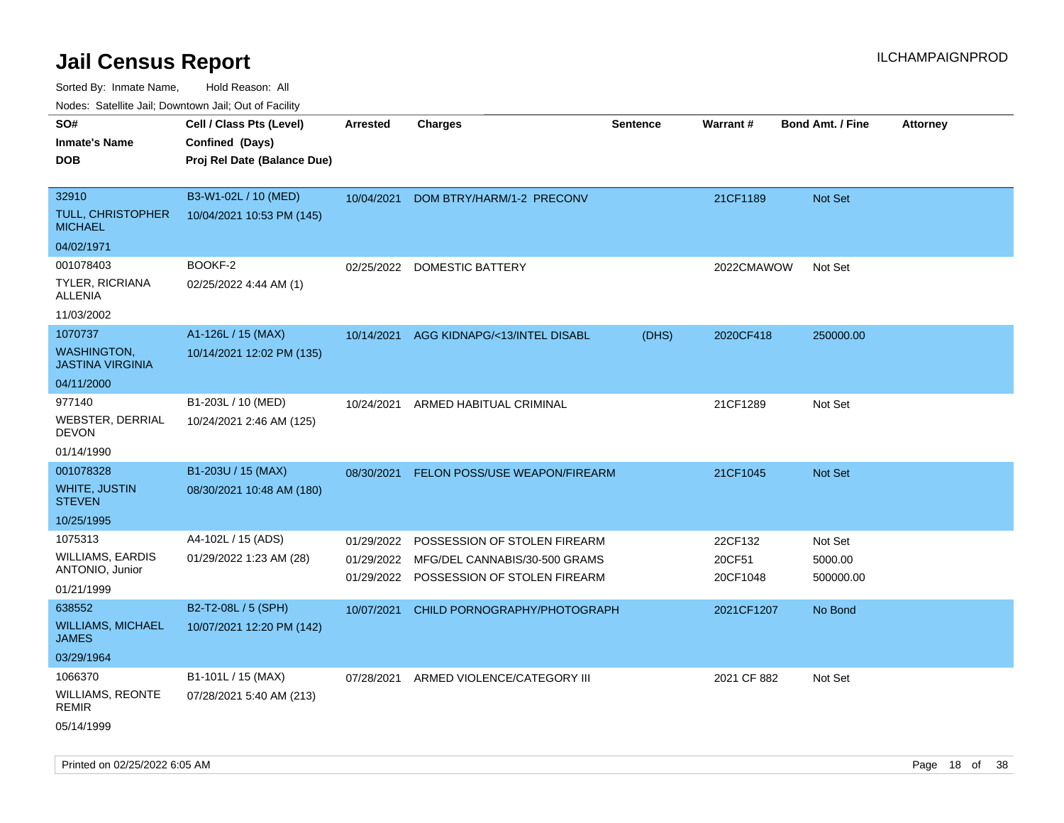Sorted By: Inmate Name, Hold Reason: All

Nodes: Satellite Jail; Downtown Jail; Out of Facility

| roaco. Calcinio dan, Downtown dan, Cal or Fability |                             |                 |                               |                 |             |                         |                 |
|----------------------------------------------------|-----------------------------|-----------------|-------------------------------|-----------------|-------------|-------------------------|-----------------|
| SO#                                                | Cell / Class Pts (Level)    | <b>Arrested</b> | <b>Charges</b>                | <b>Sentence</b> | Warrant#    | <b>Bond Amt. / Fine</b> | <b>Attorney</b> |
| <b>Inmate's Name</b>                               | Confined (Days)             |                 |                               |                 |             |                         |                 |
| <b>DOB</b>                                         | Proj Rel Date (Balance Due) |                 |                               |                 |             |                         |                 |
|                                                    |                             |                 |                               |                 |             |                         |                 |
| 32910                                              | B3-W1-02L / 10 (MED)        | 10/04/2021      | DOM BTRY/HARM/1-2 PRECONV     |                 | 21CF1189    | Not Set                 |                 |
| <b>TULL, CHRISTOPHER</b><br><b>MICHAEL</b>         | 10/04/2021 10:53 PM (145)   |                 |                               |                 |             |                         |                 |
| 04/02/1971                                         |                             |                 |                               |                 |             |                         |                 |
| 001078403                                          | BOOKF-2                     | 02/25/2022      | DOMESTIC BATTERY              |                 | 2022CMAWOW  | Not Set                 |                 |
| TYLER, RICRIANA<br><b>ALLENIA</b>                  | 02/25/2022 4:44 AM (1)      |                 |                               |                 |             |                         |                 |
| 11/03/2002                                         |                             |                 |                               |                 |             |                         |                 |
| 1070737                                            | A1-126L / 15 (MAX)          | 10/14/2021      | AGG KIDNAPG/<13/INTEL DISABL  | (DHS)           | 2020CF418   | 250000.00               |                 |
| <b>WASHINGTON,</b><br><b>JASTINA VIRGINIA</b>      | 10/14/2021 12:02 PM (135)   |                 |                               |                 |             |                         |                 |
| 04/11/2000                                         |                             |                 |                               |                 |             |                         |                 |
| 977140                                             | B1-203L / 10 (MED)          | 10/24/2021      | ARMED HABITUAL CRIMINAL       |                 | 21CF1289    | Not Set                 |                 |
| <b>WEBSTER, DERRIAL</b><br><b>DEVON</b>            | 10/24/2021 2:46 AM (125)    |                 |                               |                 |             |                         |                 |
| 01/14/1990                                         |                             |                 |                               |                 |             |                         |                 |
| 001078328                                          | B1-203U / 15 (MAX)          | 08/30/2021      | FELON POSS/USE WEAPON/FIREARM |                 | 21CF1045    | Not Set                 |                 |
| WHITE, JUSTIN<br><b>STEVEN</b>                     | 08/30/2021 10:48 AM (180)   |                 |                               |                 |             |                         |                 |
| 10/25/1995                                         |                             |                 |                               |                 |             |                         |                 |
| 1075313                                            | A4-102L / 15 (ADS)          | 01/29/2022      | POSSESSION OF STOLEN FIREARM  |                 | 22CF132     | Not Set                 |                 |
| <b>WILLIAMS, EARDIS</b>                            | 01/29/2022 1:23 AM (28)     | 01/29/2022      | MFG/DEL CANNABIS/30-500 GRAMS |                 | 20CF51      | 5000.00                 |                 |
| ANTONIO, Junior                                    |                             | 01/29/2022      | POSSESSION OF STOLEN FIREARM  |                 | 20CF1048    | 500000.00               |                 |
| 01/21/1999                                         |                             |                 |                               |                 |             |                         |                 |
| 638552                                             | B2-T2-08L / 5 (SPH)         | 10/07/2021      | CHILD PORNOGRAPHY/PHOTOGRAPH  |                 | 2021CF1207  | No Bond                 |                 |
| <b>WILLIAMS, MICHAEL</b><br><b>JAMES</b>           | 10/07/2021 12:20 PM (142)   |                 |                               |                 |             |                         |                 |
| 03/29/1964                                         |                             |                 |                               |                 |             |                         |                 |
| 1066370                                            | B1-101L / 15 (MAX)          | 07/28/2021      | ARMED VIOLENCE/CATEGORY III   |                 | 2021 CF 882 | Not Set                 |                 |
| <b>WILLIAMS, REONTE</b><br><b>REMIR</b>            | 07/28/2021 5:40 AM (213)    |                 |                               |                 |             |                         |                 |
| 05/14/1999                                         |                             |                 |                               |                 |             |                         |                 |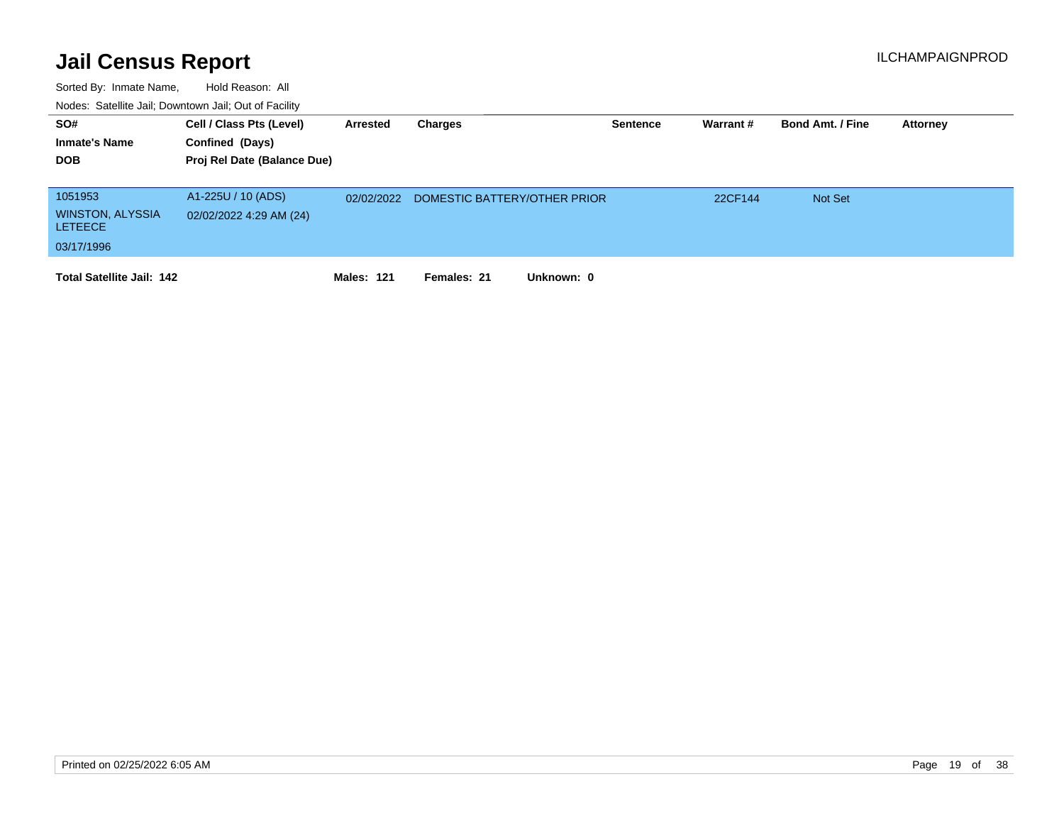| SO#<br><b>Inmate's Name</b><br><b>DOB</b>                          | Cell / Class Pts (Level)<br>Confined (Days)<br>Proj Rel Date (Balance Due) | Arrested          | Charges                      | <b>Sentence</b> | Warrant# | <b>Bond Amt. / Fine</b> | Attorney |
|--------------------------------------------------------------------|----------------------------------------------------------------------------|-------------------|------------------------------|-----------------|----------|-------------------------|----------|
| 1051953<br><b>WINSTON, ALYSSIA</b><br><b>LETEECE</b><br>03/17/1996 | A1-225U / 10 (ADS)<br>02/02/2022 4:29 AM (24)                              | 02/02/2022        | DOMESTIC BATTERY/OTHER PRIOR |                 | 22CF144  | <b>Not Set</b>          |          |
| <b>Total Satellite Jail: 142</b>                                   |                                                                            | <b>Males: 121</b> | Females: 21<br>Unknown: 0    |                 |          |                         |          |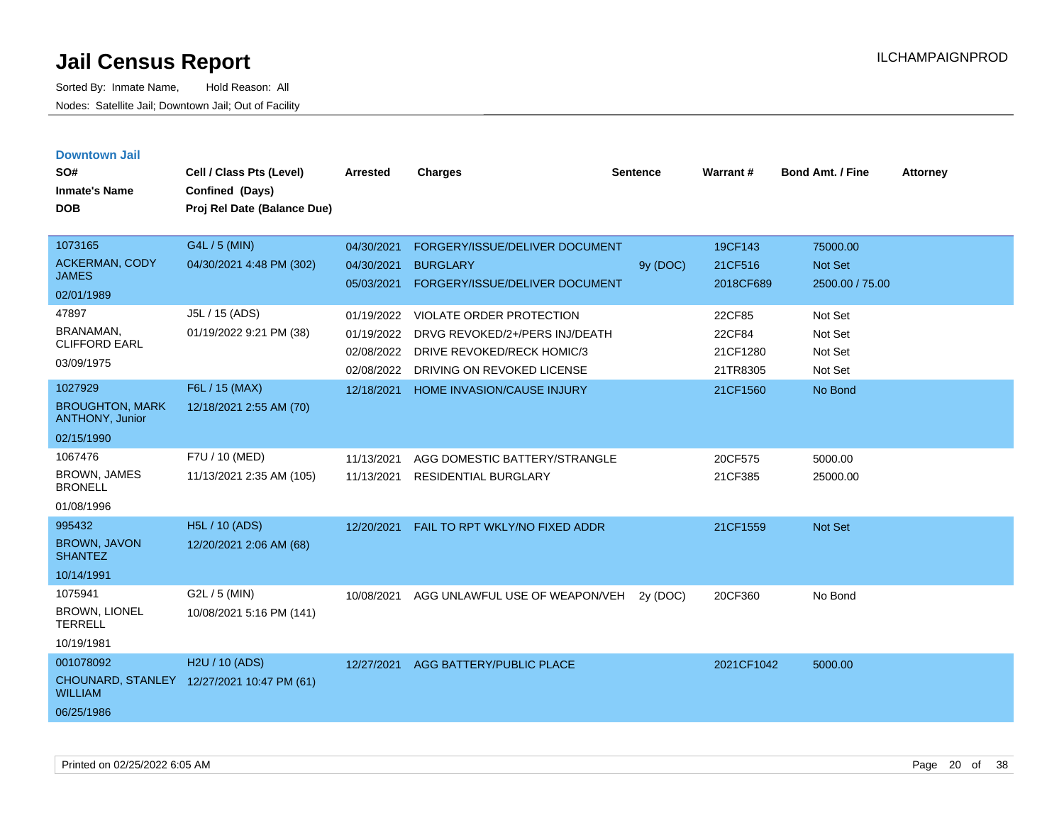**Downtown Jail**

| SO#<br><b>Inmate's Name</b><br><b>DOB</b>                          | Cell / Class Pts (Level)<br>Confined (Days)<br>Proj Rel Date (Balance Due) | <b>Arrested</b>                                      | <b>Charges</b>                                                                                                                | <b>Sentence</b> | Warrant#                                 | <b>Bond Amt. / Fine</b>                  | <b>Attorney</b> |
|--------------------------------------------------------------------|----------------------------------------------------------------------------|------------------------------------------------------|-------------------------------------------------------------------------------------------------------------------------------|-----------------|------------------------------------------|------------------------------------------|-----------------|
| 1073165<br>ACKERMAN, CODY<br><b>JAMES</b><br>02/01/1989            | G4L / 5 (MIN)<br>04/30/2021 4:48 PM (302)                                  | 04/30/2021<br>04/30/2021<br>05/03/2021               | FORGERY/ISSUE/DELIVER DOCUMENT<br><b>BURGLARY</b><br>FORGERY/ISSUE/DELIVER DOCUMENT                                           | 9y (DOC)        | 19CF143<br>21CF516<br>2018CF689          | 75000.00<br>Not Set<br>2500.00 / 75.00   |                 |
| 47897<br>BRANAMAN,<br><b>CLIFFORD EARL</b><br>03/09/1975           | J5L / 15 (ADS)<br>01/19/2022 9:21 PM (38)                                  | 01/19/2022<br>01/19/2022<br>02/08/2022<br>02/08/2022 | <b>VIOLATE ORDER PROTECTION</b><br>DRVG REVOKED/2+/PERS INJ/DEATH<br>DRIVE REVOKED/RECK HOMIC/3<br>DRIVING ON REVOKED LICENSE |                 | 22CF85<br>22CF84<br>21CF1280<br>21TR8305 | Not Set<br>Not Set<br>Not Set<br>Not Set |                 |
| 1027929<br><b>BROUGHTON, MARK</b><br>ANTHONY, Junior<br>02/15/1990 | F6L / 15 (MAX)<br>12/18/2021 2:55 AM (70)                                  | 12/18/2021                                           | HOME INVASION/CAUSE INJURY                                                                                                    |                 | 21CF1560                                 | No Bond                                  |                 |
| 1067476<br><b>BROWN, JAMES</b><br><b>BRONELL</b><br>01/08/1996     | F7U / 10 (MED)<br>11/13/2021 2:35 AM (105)                                 | 11/13/2021<br>11/13/2021                             | AGG DOMESTIC BATTERY/STRANGLE<br><b>RESIDENTIAL BURGLARY</b>                                                                  |                 | 20CF575<br>21CF385                       | 5000.00<br>25000.00                      |                 |
| 995432<br><b>BROWN, JAVON</b><br><b>SHANTEZ</b><br>10/14/1991      | H5L / 10 (ADS)<br>12/20/2021 2:06 AM (68)                                  | 12/20/2021                                           | FAIL TO RPT WKLY/NO FIXED ADDR                                                                                                |                 | 21CF1559                                 | Not Set                                  |                 |
| 1075941<br><b>BROWN, LIONEL</b><br><b>TERRELL</b><br>10/19/1981    | G2L / 5 (MIN)<br>10/08/2021 5:16 PM (141)                                  | 10/08/2021                                           | AGG UNLAWFUL USE OF WEAPON/VEH                                                                                                | 2y (DOC)        | 20CF360                                  | No Bond                                  |                 |
| 001078092<br><b>CHOUNARD, STANLEY</b><br><b>WILLIAM</b>            | H2U / 10 (ADS)<br>12/27/2021 10:47 PM (61)                                 | 12/27/2021                                           | <b>AGG BATTERY/PUBLIC PLACE</b>                                                                                               |                 | 2021CF1042                               | 5000.00                                  |                 |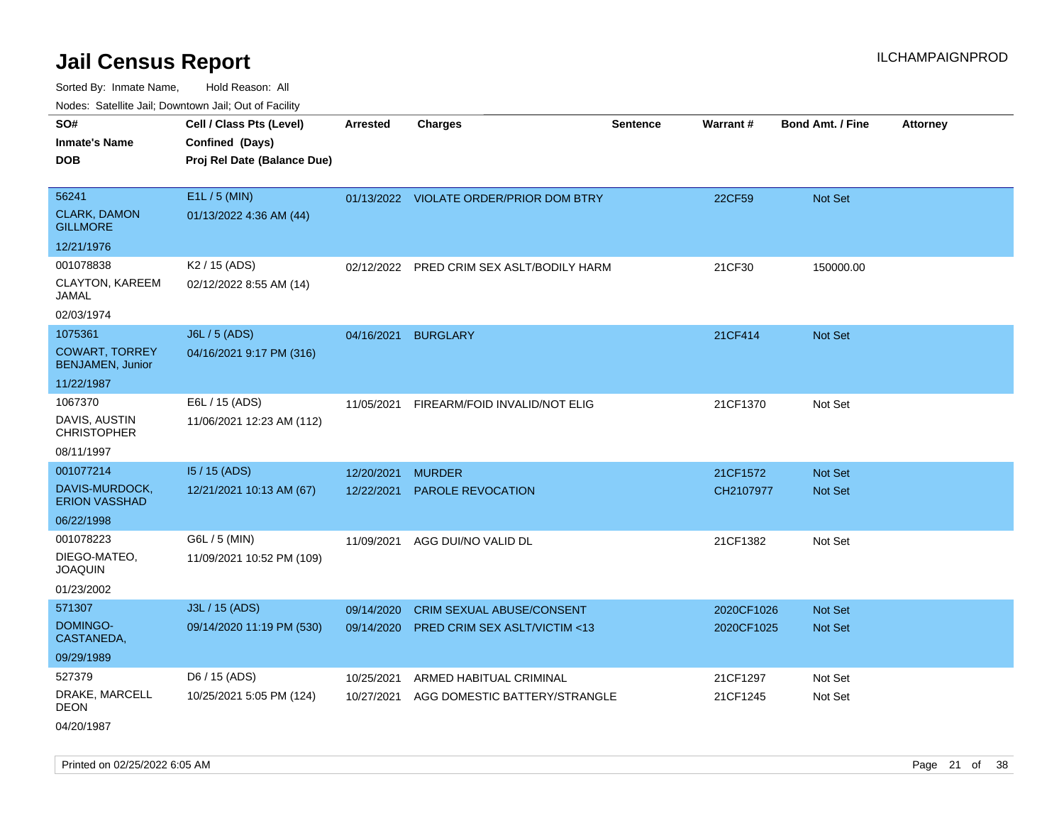Sorted By: Inmate Name, Hold Reason: All Nodes: Satellite Jail; Downtown Jail; Out of Facility

|                                                                           | vouco. Odichite Jan, Downtown Jan, Out of Facility                         |                          |                                                          |                 |                      |                         |                 |
|---------------------------------------------------------------------------|----------------------------------------------------------------------------|--------------------------|----------------------------------------------------------|-----------------|----------------------|-------------------------|-----------------|
| SO#<br><b>Inmate's Name</b><br><b>DOB</b>                                 | Cell / Class Pts (Level)<br>Confined (Days)<br>Proj Rel Date (Balance Due) | <b>Arrested</b>          | <b>Charges</b>                                           | <b>Sentence</b> | Warrant#             | <b>Bond Amt. / Fine</b> | <b>Attorney</b> |
| 56241<br><b>CLARK, DAMON</b><br><b>GILLMORE</b>                           | E1L / 5 (MIN)<br>01/13/2022 4:36 AM (44)                                   |                          | 01/13/2022 VIOLATE ORDER/PRIOR DOM BTRY                  |                 | 22CF59               | Not Set                 |                 |
| 12/21/1976                                                                |                                                                            |                          |                                                          |                 |                      |                         |                 |
| 001078838<br>CLAYTON, KAREEM<br>JAMAL<br>02/03/1974                       | K <sub>2</sub> / 15 (ADS)<br>02/12/2022 8:55 AM (14)                       |                          | 02/12/2022 PRED CRIM SEX ASLT/BODILY HARM                |                 | 21CF30               | 150000.00               |                 |
| 1075361<br><b>COWART, TORREY</b><br><b>BENJAMEN, Junior</b><br>11/22/1987 | J6L / 5 (ADS)<br>04/16/2021 9:17 PM (316)                                  | 04/16/2021               | <b>BURGLARY</b>                                          |                 | 21CF414              | Not Set                 |                 |
| 1067370<br>DAVIS, AUSTIN<br><b>CHRISTOPHER</b><br>08/11/1997              | E6L / 15 (ADS)<br>11/06/2021 12:23 AM (112)                                | 11/05/2021               | FIREARM/FOID INVALID/NOT ELIG                            |                 | 21CF1370             | Not Set                 |                 |
| 001077214                                                                 | I5 / 15 (ADS)                                                              | 12/20/2021               | <b>MURDER</b>                                            |                 | 21CF1572             | <b>Not Set</b>          |                 |
| DAVIS-MURDOCK,<br><b>ERION VASSHAD</b>                                    | 12/21/2021 10:13 AM (67)                                                   | 12/22/2021               | PAROLE REVOCATION                                        |                 | CH2107977            | Not Set                 |                 |
| 06/22/1998                                                                |                                                                            |                          |                                                          |                 |                      |                         |                 |
| 001078223<br>DIEGO-MATEO,<br><b>JOAQUIN</b><br>01/23/2002                 | G6L / 5 (MIN)<br>11/09/2021 10:52 PM (109)                                 | 11/09/2021               | AGG DUI/NO VALID DL                                      |                 | 21CF1382             | Not Set                 |                 |
| 571307                                                                    | J3L / 15 (ADS)                                                             | 09/14/2020               | <b>CRIM SEXUAL ABUSE/CONSENT</b>                         |                 | 2020CF1026           | <b>Not Set</b>          |                 |
| DOMINGO-<br>CASTANEDA,                                                    | 09/14/2020 11:19 PM (530)                                                  | 09/14/2020               | <b>PRED CRIM SEX ASLT/VICTIM &lt;13</b>                  |                 | 2020CF1025           | Not Set                 |                 |
| 09/29/1989                                                                |                                                                            |                          |                                                          |                 |                      |                         |                 |
| 527379<br>DRAKE, MARCELL<br>DEON                                          | D6 / 15 (ADS)<br>10/25/2021 5:05 PM (124)                                  | 10/25/2021<br>10/27/2021 | ARMED HABITUAL CRIMINAL<br>AGG DOMESTIC BATTERY/STRANGLE |                 | 21CF1297<br>21CF1245 | Not Set<br>Not Set      |                 |
|                                                                           |                                                                            |                          |                                                          |                 |                      |                         |                 |

04/20/1987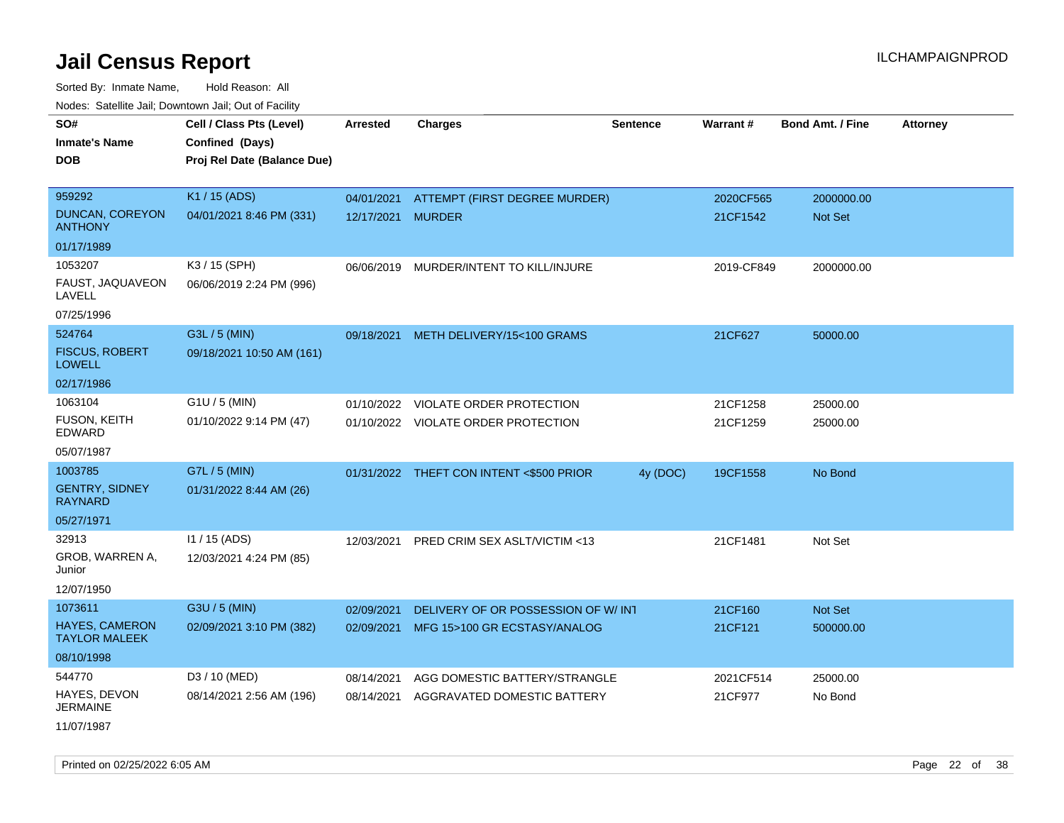Sorted By: Inmate Name, Hold Reason: All Nodes: Satellite Jail; Downtown Jail; Out of Facility

| roaco. Oatomto dan, Downtown dan, Oat or Fability |                             |                   |                                          |                 |            |                         |                 |
|---------------------------------------------------|-----------------------------|-------------------|------------------------------------------|-----------------|------------|-------------------------|-----------------|
| SO#                                               | Cell / Class Pts (Level)    | <b>Arrested</b>   | <b>Charges</b>                           | <b>Sentence</b> | Warrant#   | <b>Bond Amt. / Fine</b> | <b>Attorney</b> |
| <b>Inmate's Name</b>                              | Confined (Days)             |                   |                                          |                 |            |                         |                 |
| <b>DOB</b>                                        | Proj Rel Date (Balance Due) |                   |                                          |                 |            |                         |                 |
|                                                   |                             |                   |                                          |                 |            |                         |                 |
| 959292                                            | K1 / 15 (ADS)               |                   | 04/01/2021 ATTEMPT (FIRST DEGREE MURDER) |                 | 2020CF565  | 2000000.00              |                 |
| <b>DUNCAN, COREYON</b><br><b>ANTHONY</b>          | 04/01/2021 8:46 PM (331)    | 12/17/2021 MURDER |                                          |                 | 21CF1542   | Not Set                 |                 |
| 01/17/1989                                        |                             |                   |                                          |                 |            |                         |                 |
| 1053207                                           | K3 / 15 (SPH)               |                   | 06/06/2019 MURDER/INTENT TO KILL/INJURE  |                 | 2019-CF849 | 2000000.00              |                 |
| FAUST, JAQUAVEON<br>LAVELL                        | 06/06/2019 2:24 PM (996)    |                   |                                          |                 |            |                         |                 |
| 07/25/1996                                        |                             |                   |                                          |                 |            |                         |                 |
| 524764                                            | G3L / 5 (MIN)               |                   | 09/18/2021 METH DELIVERY/15<100 GRAMS    |                 | 21CF627    | 50000.00                |                 |
| <b>FISCUS, ROBERT</b><br><b>LOWELL</b>            | 09/18/2021 10:50 AM (161)   |                   |                                          |                 |            |                         |                 |
| 02/17/1986                                        |                             |                   |                                          |                 |            |                         |                 |
| 1063104                                           | $G1U / 5$ (MIN)             |                   | 01/10/2022 VIOLATE ORDER PROTECTION      |                 | 21CF1258   | 25000.00                |                 |
| <b>FUSON, KEITH</b><br>EDWARD                     | 01/10/2022 9:14 PM (47)     |                   | 01/10/2022 VIOLATE ORDER PROTECTION      |                 | 21CF1259   | 25000.00                |                 |
| 05/07/1987                                        |                             |                   |                                          |                 |            |                         |                 |
| 1003785                                           | G7L / 5 (MIN)               |                   | 01/31/2022 THEFT CON INTENT <\$500 PRIOR | 4y (DOC)        | 19CF1558   | No Bond                 |                 |
| <b>GENTRY, SIDNEY</b><br><b>RAYNARD</b>           | 01/31/2022 8:44 AM (26)     |                   |                                          |                 |            |                         |                 |
| 05/27/1971                                        |                             |                   |                                          |                 |            |                         |                 |
| 32913                                             | 11 / 15 (ADS)               | 12/03/2021        | PRED CRIM SEX ASLT/VICTIM <13            |                 | 21CF1481   | Not Set                 |                 |
| GROB, WARREN A,<br>Junior                         | 12/03/2021 4:24 PM (85)     |                   |                                          |                 |            |                         |                 |
| 12/07/1950                                        |                             |                   |                                          |                 |            |                         |                 |
| 1073611                                           | G3U / 5 (MIN)               | 02/09/2021        | DELIVERY OF OR POSSESSION OF W/ INT      |                 | 21CF160    | Not Set                 |                 |
| <b>HAYES, CAMERON</b><br><b>TAYLOR MALEEK</b>     | 02/09/2021 3:10 PM (382)    |                   | 02/09/2021 MFG 15>100 GR ECSTASY/ANALOG  |                 | 21CF121    | 500000.00               |                 |
| 08/10/1998                                        |                             |                   |                                          |                 |            |                         |                 |
| 544770                                            | D3 / 10 (MED)               | 08/14/2021        | AGG DOMESTIC BATTERY/STRANGLE            |                 | 2021CF514  | 25000.00                |                 |
| HAYES, DEVON<br><b>JERMAINE</b>                   | 08/14/2021 2:56 AM (196)    | 08/14/2021        | AGGRAVATED DOMESTIC BATTERY              |                 | 21CF977    | No Bond                 |                 |
| 11/07/1987                                        |                             |                   |                                          |                 |            |                         |                 |

Printed on 02/25/2022 6:05 AM Page 22 of 38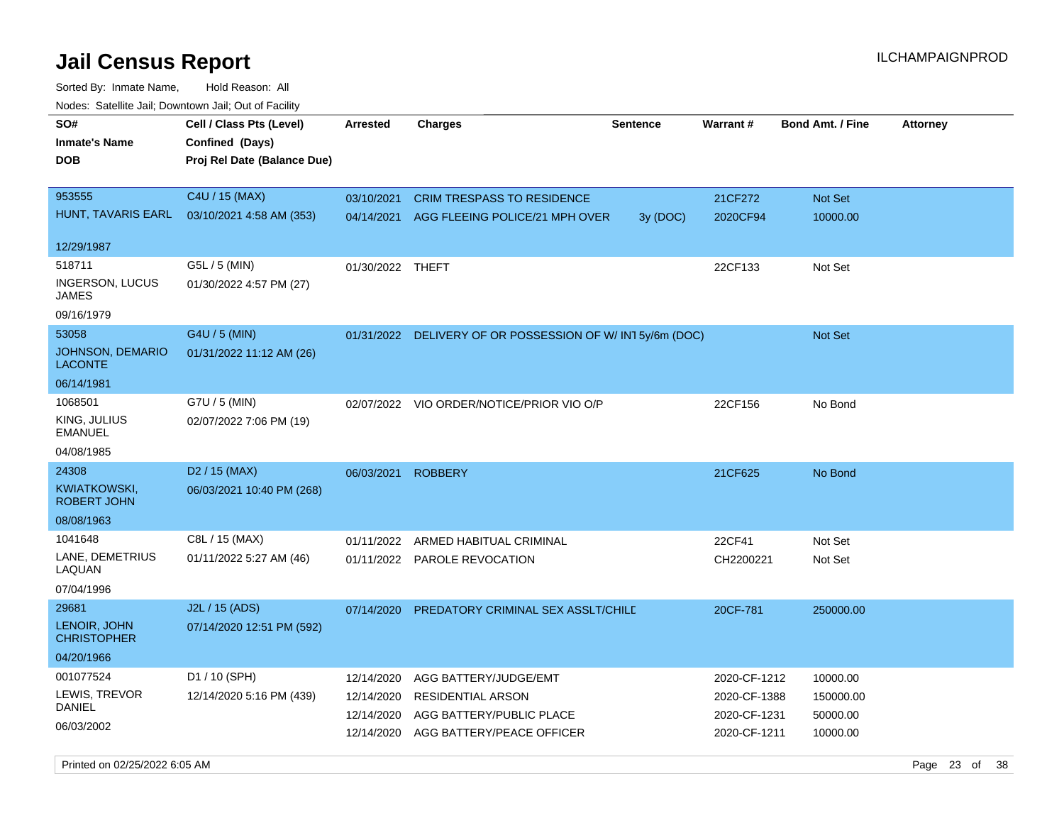| roaco. Odichile Jan, Downtown Jan, Out of Facility               |                                                                            |                                                      |                                                                                                            |                 |                                                              |                                               |                 |
|------------------------------------------------------------------|----------------------------------------------------------------------------|------------------------------------------------------|------------------------------------------------------------------------------------------------------------|-----------------|--------------------------------------------------------------|-----------------------------------------------|-----------------|
| SO#<br><b>Inmate's Name</b><br><b>DOB</b>                        | Cell / Class Pts (Level)<br>Confined (Days)<br>Proj Rel Date (Balance Due) | Arrested                                             | Charges                                                                                                    | <b>Sentence</b> | <b>Warrant#</b>                                              | <b>Bond Amt. / Fine</b>                       | <b>Attorney</b> |
| 953555<br>HUNT, TAVARIS EARL<br>12/29/1987                       | C4U / 15 (MAX)<br>03/10/2021 4:58 AM (353)                                 | 03/10/2021<br>04/14/2021                             | <b>CRIM TRESPASS TO RESIDENCE</b><br>AGG FLEEING POLICE/21 MPH OVER                                        | 3y (DOC)        | 21CF272<br>2020CF94                                          | Not Set<br>10000.00                           |                 |
| 518711<br>INGERSON, LUCUS<br>JAMES<br>09/16/1979                 | G5L / 5 (MIN)<br>01/30/2022 4:57 PM (27)                                   | 01/30/2022 THEFT                                     |                                                                                                            |                 | 22CF133                                                      | Not Set                                       |                 |
| 53058<br><b>JOHNSON, DEMARIO</b><br><b>LACONTE</b><br>06/14/1981 | G4U / 5 (MIN)<br>01/31/2022 11:12 AM (26)                                  | 01/31/2022                                           | DELIVERY OF OR POSSESSION OF W/IN15y/6m (DOC)                                                              |                 |                                                              | <b>Not Set</b>                                |                 |
| 1068501<br>KING, JULIUS<br><b>EMANUEL</b><br>04/08/1985          | G7U / 5 (MIN)<br>02/07/2022 7:06 PM (19)                                   | 02/07/2022                                           | VIO ORDER/NOTICE/PRIOR VIO O/P                                                                             |                 | 22CF156                                                      | No Bond                                       |                 |
| 24308<br><b>KWIATKOWSKI,</b><br><b>ROBERT JOHN</b><br>08/08/1963 | D <sub>2</sub> / 15 (MAX)<br>06/03/2021 10:40 PM (268)                     | 06/03/2021                                           | <b>ROBBERY</b>                                                                                             |                 | 21CF625                                                      | No Bond                                       |                 |
| 1041648<br>LANE, DEMETRIUS<br>LAQUAN<br>07/04/1996               | C8L / 15 (MAX)<br>01/11/2022 5:27 AM (46)                                  | 01/11/2022                                           | ARMED HABITUAL CRIMINAL<br>01/11/2022 PAROLE REVOCATION                                                    |                 | 22CF41<br>CH2200221                                          | Not Set<br>Not Set                            |                 |
| 29681<br>LENOIR, JOHN<br><b>CHRISTOPHER</b><br>04/20/1966        | J2L / 15 (ADS)<br>07/14/2020 12:51 PM (592)                                | 07/14/2020                                           | PREDATORY CRIMINAL SEX ASSLT/CHILD                                                                         |                 | 20CF-781                                                     | 250000.00                                     |                 |
| 001077524<br>LEWIS, TREVOR<br>DANIEL<br>06/03/2002               | D1 / 10 (SPH)<br>12/14/2020 5:16 PM (439)                                  | 12/14/2020<br>12/14/2020<br>12/14/2020<br>12/14/2020 | AGG BATTERY/JUDGE/EMT<br><b>RESIDENTIAL ARSON</b><br>AGG BATTERY/PUBLIC PLACE<br>AGG BATTERY/PEACE OFFICER |                 | 2020-CF-1212<br>2020-CF-1388<br>2020-CF-1231<br>2020-CF-1211 | 10000.00<br>150000.00<br>50000.00<br>10000.00 |                 |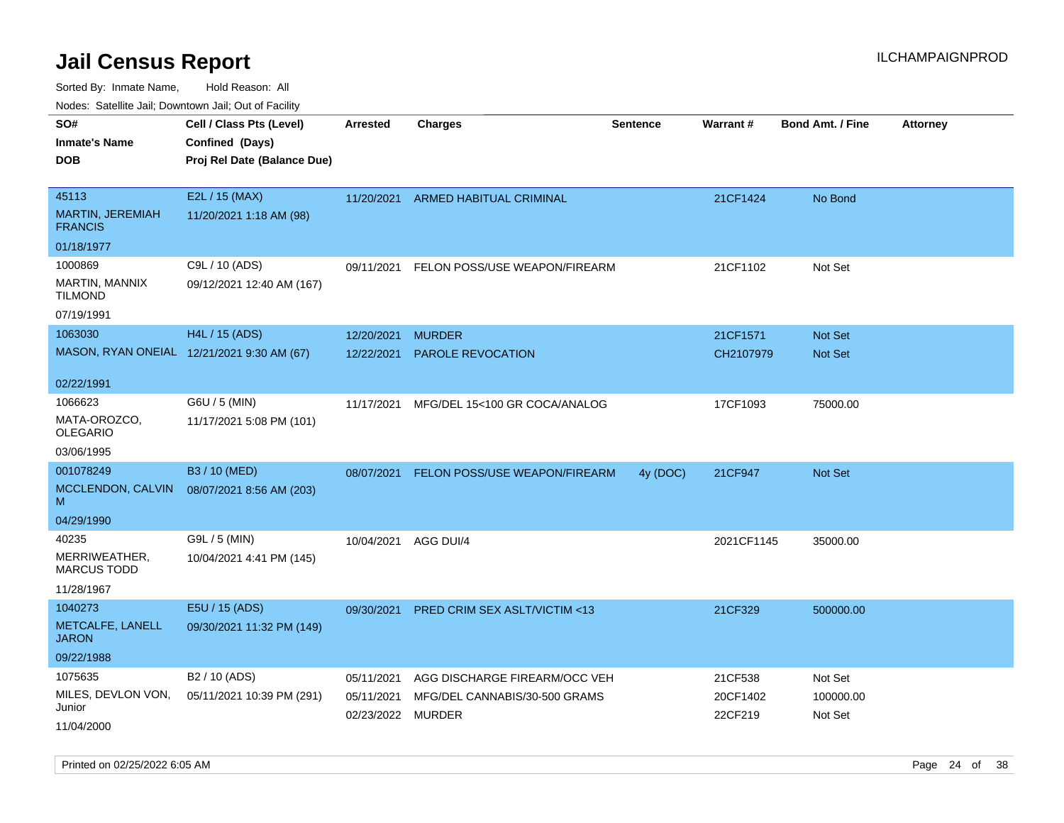| roaco. Calcinio dan, Downtown dan, Oal or Fability |                                            |                      |                                          |                 |                 |                         |                 |
|----------------------------------------------------|--------------------------------------------|----------------------|------------------------------------------|-----------------|-----------------|-------------------------|-----------------|
| SO#                                                | Cell / Class Pts (Level)                   | Arrested             | Charges                                  | <b>Sentence</b> | <b>Warrant#</b> | <b>Bond Amt. / Fine</b> | <b>Attorney</b> |
| Inmate's Name                                      | Confined (Days)                            |                      |                                          |                 |                 |                         |                 |
| DOB                                                | Proj Rel Date (Balance Due)                |                      |                                          |                 |                 |                         |                 |
|                                                    |                                            |                      |                                          |                 |                 |                         |                 |
| 45113                                              | E2L / 15 (MAX)                             |                      | 11/20/2021 ARMED HABITUAL CRIMINAL       |                 | 21CF1424        | No Bond                 |                 |
| <b>MARTIN, JEREMIAH</b><br><b>FRANCIS</b>          | 11/20/2021 1:18 AM (98)                    |                      |                                          |                 |                 |                         |                 |
| 01/18/1977                                         |                                            |                      |                                          |                 |                 |                         |                 |
| 1000869                                            | C9L / 10 (ADS)                             | 09/11/2021           | FELON POSS/USE WEAPON/FIREARM            |                 | 21CF1102        | Not Set                 |                 |
| MARTIN, MANNIX<br>Tilmond                          | 09/12/2021 12:40 AM (167)                  |                      |                                          |                 |                 |                         |                 |
| 07/19/1991                                         |                                            |                      |                                          |                 |                 |                         |                 |
| 1063030                                            | H4L / 15 (ADS)                             | 12/20/2021           | <b>MURDER</b>                            |                 | 21CF1571        | <b>Not Set</b>          |                 |
|                                                    | MASON, RYAN ONEIAL 12/21/2021 9:30 AM (67) | 12/22/2021           | <b>PAROLE REVOCATION</b>                 |                 | CH2107979       | <b>Not Set</b>          |                 |
| 02/22/1991                                         |                                            |                      |                                          |                 |                 |                         |                 |
| 1066623                                            | G6U / 5 (MIN)                              | 11/17/2021           | MFG/DEL 15<100 GR COCA/ANALOG            |                 | 17CF1093        | 75000.00                |                 |
| MATA-OROZCO.<br>OLEGARIO                           | 11/17/2021 5:08 PM (101)                   |                      |                                          |                 |                 |                         |                 |
| 03/06/1995                                         |                                            |                      |                                          |                 |                 |                         |                 |
| 001078249                                          | B3 / 10 (MED)                              |                      | 08/07/2021 FELON POSS/USE WEAPON/FIREARM | 4y (DOC)        | 21CF947         | <b>Not Set</b>          |                 |
| MCCLENDON, CALVIN<br>M                             | 08/07/2021 8:56 AM (203)                   |                      |                                          |                 |                 |                         |                 |
| 04/29/1990                                         |                                            |                      |                                          |                 |                 |                         |                 |
| 40235                                              | G9L / 5 (MIN)                              | 10/04/2021 AGG DUI/4 |                                          |                 | 2021CF1145      | 35000.00                |                 |
| MERRIWEATHER,<br>MARCUS TODD                       | 10/04/2021 4:41 PM (145)                   |                      |                                          |                 |                 |                         |                 |
| 11/28/1967                                         |                                            |                      |                                          |                 |                 |                         |                 |
| 1040273                                            | E5U / 15 (ADS)                             | 09/30/2021           | <b>PRED CRIM SEX ASLT/VICTIM &lt;13</b>  |                 | 21CF329         | 500000.00               |                 |
| METCALFE, LANELL<br>JARON                          | 09/30/2021 11:32 PM (149)                  |                      |                                          |                 |                 |                         |                 |
| 09/22/1988                                         |                                            |                      |                                          |                 |                 |                         |                 |
| 1075635                                            | B <sub>2</sub> / 10 (ADS)                  | 05/11/2021           | AGG DISCHARGE FIREARM/OCC VEH            |                 | 21CF538         | Not Set                 |                 |
| MILES, DEVLON VON,                                 | 05/11/2021 10:39 PM (291)                  | 05/11/2021           | MFG/DEL CANNABIS/30-500 GRAMS            |                 | 20CF1402        | 100000.00               |                 |
| Junior<br>11/04/2000                               |                                            | 02/23/2022 MURDER    |                                          |                 | 22CF219         | Not Set                 |                 |
|                                                    |                                            |                      |                                          |                 |                 |                         |                 |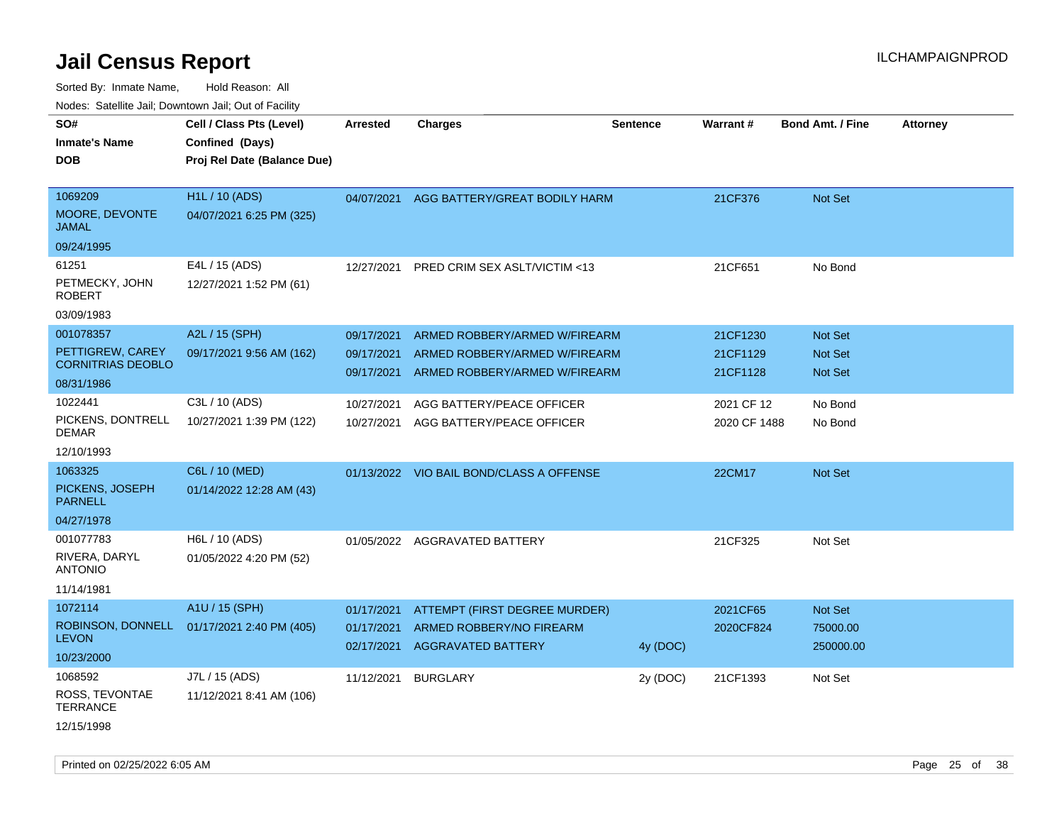| rouco. Calcinic Jan, Downtown Jan, Out of Facility |                                                                            |                 |                                          |                 |              |                         |                 |
|----------------------------------------------------|----------------------------------------------------------------------------|-----------------|------------------------------------------|-----------------|--------------|-------------------------|-----------------|
| SO#<br><b>Inmate's Name</b><br>DOB                 | Cell / Class Pts (Level)<br>Confined (Days)<br>Proj Rel Date (Balance Due) | <b>Arrested</b> | <b>Charges</b>                           | <b>Sentence</b> | Warrant#     | <b>Bond Amt. / Fine</b> | <b>Attorney</b> |
|                                                    |                                                                            |                 |                                          |                 |              |                         |                 |
| 1069209                                            | H <sub>1</sub> L / 10 (ADS)                                                |                 | 04/07/2021 AGG BATTERY/GREAT BODILY HARM |                 | 21CF376      | Not Set                 |                 |
| MOORE, DEVONTE<br>JAMAL                            | 04/07/2021 6:25 PM (325)                                                   |                 |                                          |                 |              |                         |                 |
| 09/24/1995                                         |                                                                            |                 |                                          |                 |              |                         |                 |
| 61251                                              | E4L / 15 (ADS)                                                             | 12/27/2021      | PRED CRIM SEX ASLT/VICTIM <13            |                 | 21CF651      | No Bond                 |                 |
| PETMECKY, JOHN<br>ROBERT                           | 12/27/2021 1:52 PM (61)                                                    |                 |                                          |                 |              |                         |                 |
| 03/09/1983                                         |                                                                            |                 |                                          |                 |              |                         |                 |
| 001078357                                          | A2L / 15 (SPH)                                                             | 09/17/2021      | ARMED ROBBERY/ARMED W/FIREARM            |                 | 21CF1230     | <b>Not Set</b>          |                 |
| PETTIGREW, CAREY                                   | 09/17/2021 9:56 AM (162)                                                   | 09/17/2021      | ARMED ROBBERY/ARMED W/FIREARM            |                 | 21CF1129     | <b>Not Set</b>          |                 |
| <b>CORNITRIAS DEOBLO</b>                           |                                                                            | 09/17/2021      | ARMED ROBBERY/ARMED W/FIREARM            |                 | 21CF1128     | <b>Not Set</b>          |                 |
| 08/31/1986                                         |                                                                            |                 |                                          |                 |              |                         |                 |
| 1022441                                            | C3L / 10 (ADS)                                                             | 10/27/2021      | AGG BATTERY/PEACE OFFICER                |                 | 2021 CF 12   | No Bond                 |                 |
| PICKENS, DONTRELL<br>DEMAR                         | 10/27/2021 1:39 PM (122)                                                   | 10/27/2021      | AGG BATTERY/PEACE OFFICER                |                 | 2020 CF 1488 | No Bond                 |                 |
| 12/10/1993                                         |                                                                            |                 |                                          |                 |              |                         |                 |
| 1063325                                            | C6L / 10 (MED)                                                             |                 | 01/13/2022 VIO BAIL BOND/CLASS A OFFENSE |                 | 22CM17       | Not Set                 |                 |
| PICKENS, JOSEPH<br>PARNELL                         | 01/14/2022 12:28 AM (43)                                                   |                 |                                          |                 |              |                         |                 |
| 04/27/1978                                         |                                                                            |                 |                                          |                 |              |                         |                 |
| 001077783                                          | H6L / 10 (ADS)                                                             |                 | 01/05/2022 AGGRAVATED BATTERY            |                 | 21CF325      | Not Set                 |                 |
| RIVERA, DARYL<br>ANTONIO                           | 01/05/2022 4:20 PM (52)                                                    |                 |                                          |                 |              |                         |                 |
| 11/14/1981                                         |                                                                            |                 |                                          |                 |              |                         |                 |
| 1072114                                            | A1U / 15 (SPH)                                                             | 01/17/2021      | ATTEMPT (FIRST DEGREE MURDER)            |                 | 2021CF65     | Not Set                 |                 |
|                                                    | ROBINSON, DONNELL 01/17/2021 2:40 PM (405)                                 | 01/17/2021      | ARMED ROBBERY/NO FIREARM                 |                 | 2020CF824    | 75000.00                |                 |
| <b>LEVON</b>                                       |                                                                            | 02/17/2021      | <b>AGGRAVATED BATTERY</b>                | 4y (DOC)        |              | 250000.00               |                 |
| 10/23/2000                                         |                                                                            |                 |                                          |                 |              |                         |                 |
| 1068592                                            | J7L / 15 (ADS)                                                             | 11/12/2021      | <b>BURGLARY</b>                          | 2y (DOC)        | 21CF1393     | Not Set                 |                 |
| ROSS, TEVONTAE<br>TERRANCE                         | 11/12/2021 8:41 AM (106)                                                   |                 |                                          |                 |              |                         |                 |
| 12/15/1998                                         |                                                                            |                 |                                          |                 |              |                         |                 |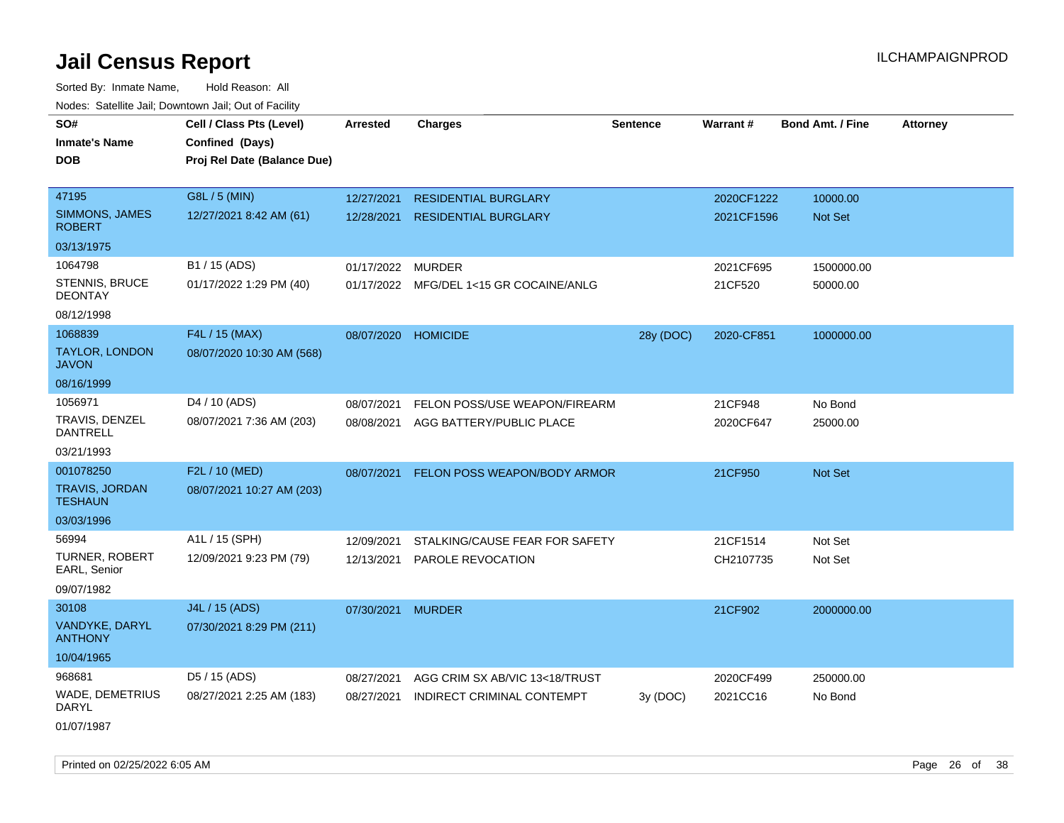Sorted By: Inmate Name, Hold Reason: All Nodes: Satellite Jail; Downtown Jail; Out of Facility

| rougs. Calcinic Jan, Downtown Jan, Out of Facility |                             |                     |                                         |                 |            |                         |                 |
|----------------------------------------------------|-----------------------------|---------------------|-----------------------------------------|-----------------|------------|-------------------------|-----------------|
| SO#                                                | Cell / Class Pts (Level)    | <b>Arrested</b>     | <b>Charges</b>                          | <b>Sentence</b> | Warrant#   | <b>Bond Amt. / Fine</b> | <b>Attorney</b> |
| <b>Inmate's Name</b>                               | Confined (Days)             |                     |                                         |                 |            |                         |                 |
| <b>DOB</b>                                         | Proj Rel Date (Balance Due) |                     |                                         |                 |            |                         |                 |
|                                                    |                             |                     |                                         |                 |            |                         |                 |
| 47195                                              | G8L / 5 (MIN)               | 12/27/2021          | <b>RESIDENTIAL BURGLARY</b>             |                 | 2020CF1222 | 10000.00                |                 |
| <b>SIMMONS, JAMES</b><br><b>ROBERT</b>             | 12/27/2021 8:42 AM (61)     | 12/28/2021          | <b>RESIDENTIAL BURGLARY</b>             |                 | 2021CF1596 | <b>Not Set</b>          |                 |
| 03/13/1975                                         |                             |                     |                                         |                 |            |                         |                 |
| 1064798                                            | B1 / 15 (ADS)               | 01/17/2022          | <b>MURDER</b>                           |                 | 2021CF695  | 1500000.00              |                 |
| STENNIS, BRUCE<br><b>DEONTAY</b>                   | 01/17/2022 1:29 PM (40)     |                     | 01/17/2022 MFG/DEL 1<15 GR COCAINE/ANLG |                 | 21CF520    | 50000.00                |                 |
| 08/12/1998                                         |                             |                     |                                         |                 |            |                         |                 |
| 1068839                                            | F4L / 15 (MAX)              | 08/07/2020 HOMICIDE |                                         | 28y (DOC)       | 2020-CF851 | 1000000.00              |                 |
| <b>TAYLOR, LONDON</b><br><b>JAVON</b>              | 08/07/2020 10:30 AM (568)   |                     |                                         |                 |            |                         |                 |
| 08/16/1999                                         |                             |                     |                                         |                 |            |                         |                 |
| 1056971                                            | D <sub>4</sub> / 10 (ADS)   | 08/07/2021          | FELON POSS/USE WEAPON/FIREARM           |                 | 21CF948    | No Bond                 |                 |
| TRAVIS, DENZEL<br><b>DANTRELL</b>                  | 08/07/2021 7:36 AM (203)    | 08/08/2021          | AGG BATTERY/PUBLIC PLACE                |                 | 2020CF647  | 25000.00                |                 |
| 03/21/1993                                         |                             |                     |                                         |                 |            |                         |                 |
| 001078250                                          | F2L / 10 (MED)              | 08/07/2021          | FELON POSS WEAPON/BODY ARMOR            |                 | 21CF950    | Not Set                 |                 |
| <b>TRAVIS, JORDAN</b><br><b>TESHAUN</b>            | 08/07/2021 10:27 AM (203)   |                     |                                         |                 |            |                         |                 |
| 03/03/1996                                         |                             |                     |                                         |                 |            |                         |                 |
| 56994                                              | A1L / 15 (SPH)              | 12/09/2021          | STALKING/CAUSE FEAR FOR SAFETY          |                 | 21CF1514   | Not Set                 |                 |
| <b>TURNER, ROBERT</b><br>EARL, Senior              | 12/09/2021 9:23 PM (79)     | 12/13/2021          | PAROLE REVOCATION                       |                 | CH2107735  | Not Set                 |                 |
| 09/07/1982                                         |                             |                     |                                         |                 |            |                         |                 |
| 30108                                              | J4L / 15 (ADS)              | 07/30/2021 MURDER   |                                         |                 | 21CF902    | 2000000.00              |                 |
| VANDYKE, DARYL<br><b>ANTHONY</b>                   | 07/30/2021 8:29 PM (211)    |                     |                                         |                 |            |                         |                 |
| 10/04/1965                                         |                             |                     |                                         |                 |            |                         |                 |
| 968681                                             | D5 / 15 (ADS)               | 08/27/2021          | AGG CRIM SX AB/VIC 13<18/TRUST          |                 | 2020CF499  | 250000.00               |                 |
| <b>WADE, DEMETRIUS</b><br>DARYL                    | 08/27/2021 2:25 AM (183)    | 08/27/2021          | INDIRECT CRIMINAL CONTEMPT              | 3y (DOC)        | 2021CC16   | No Bond                 |                 |
| 01/07/1987                                         |                             |                     |                                         |                 |            |                         |                 |

Printed on 02/25/2022 6:05 AM Page 26 of 38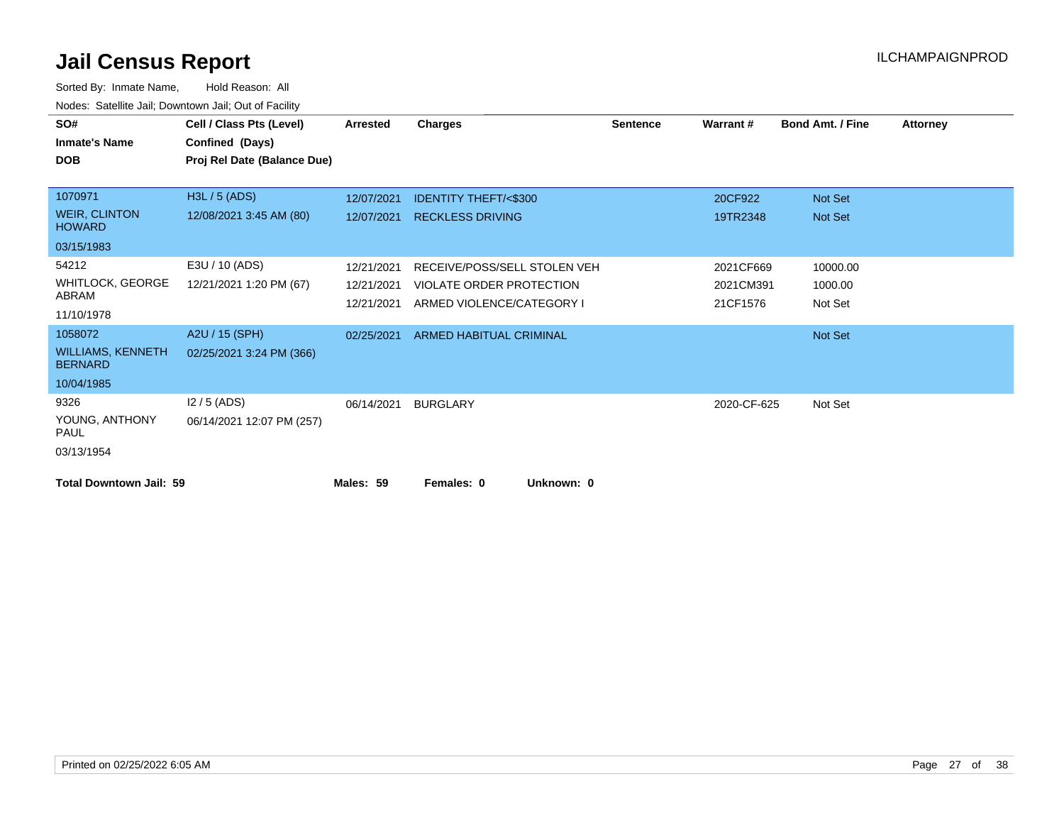| SO#                                        | Cell / Class Pts (Level)    | <b>Arrested</b> | <b>Charges</b>                  | <b>Sentence</b> | Warrant#    | <b>Bond Amt. / Fine</b> | <b>Attorney</b> |
|--------------------------------------------|-----------------------------|-----------------|---------------------------------|-----------------|-------------|-------------------------|-----------------|
| <b>Inmate's Name</b>                       | Confined (Days)             |                 |                                 |                 |             |                         |                 |
| <b>DOB</b>                                 | Proj Rel Date (Balance Due) |                 |                                 |                 |             |                         |                 |
|                                            |                             |                 |                                 |                 |             |                         |                 |
| 1070971                                    | H3L / 5 (ADS)               | 12/07/2021      | <b>IDENTITY THEFT/&lt;\$300</b> |                 | 20CF922     | Not Set                 |                 |
| <b>WEIR, CLINTON</b><br><b>HOWARD</b>      | 12/08/2021 3:45 AM (80)     | 12/07/2021      | <b>RECKLESS DRIVING</b>         |                 | 19TR2348    | Not Set                 |                 |
| 03/15/1983                                 |                             |                 |                                 |                 |             |                         |                 |
| 54212                                      | E3U / 10 (ADS)              | 12/21/2021      | RECEIVE/POSS/SELL STOLEN VEH    |                 | 2021CF669   | 10000.00                |                 |
| <b>WHITLOCK, GEORGE</b>                    | 12/21/2021 1:20 PM (67)     | 12/21/2021      | VIOLATE ORDER PROTECTION        |                 | 2021CM391   | 1000.00                 |                 |
| ABRAM                                      |                             | 12/21/2021      | ARMED VIOLENCE/CATEGORY I       |                 | 21CF1576    | Not Set                 |                 |
| 11/10/1978                                 |                             |                 |                                 |                 |             |                         |                 |
| 1058072                                    | A2U / 15 (SPH)              | 02/25/2021      | <b>ARMED HABITUAL CRIMINAL</b>  |                 |             | Not Set                 |                 |
| <b>WILLIAMS, KENNETH</b><br><b>BERNARD</b> | 02/25/2021 3:24 PM (366)    |                 |                                 |                 |             |                         |                 |
| 10/04/1985                                 |                             |                 |                                 |                 |             |                         |                 |
| 9326                                       | $12/5$ (ADS)                | 06/14/2021      | <b>BURGLARY</b>                 |                 | 2020-CF-625 | Not Set                 |                 |
| YOUNG, ANTHONY<br><b>PAUL</b>              | 06/14/2021 12:07 PM (257)   |                 |                                 |                 |             |                         |                 |
| 03/13/1954                                 |                             |                 |                                 |                 |             |                         |                 |
| <b>Total Downtown Jail: 59</b>             |                             | Males: 59       | Unknown: 0<br>Females: 0        |                 |             |                         |                 |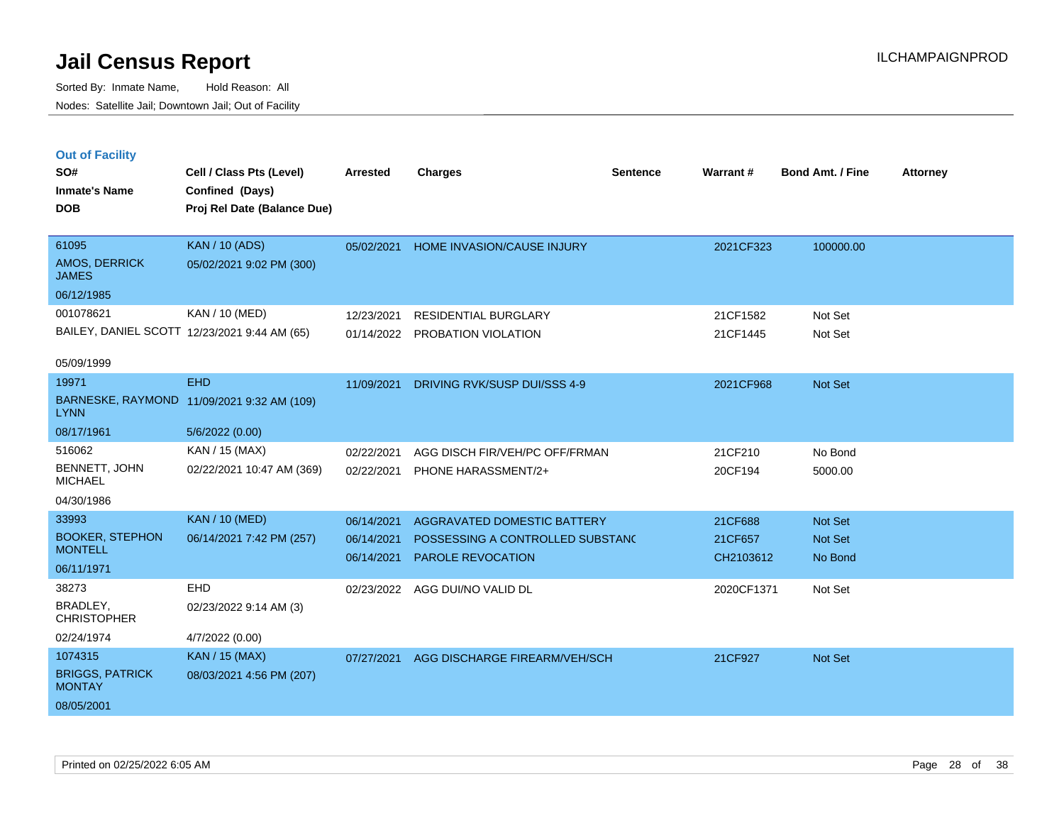| <b>Out of Facility</b> |        |
|------------------------|--------|
| SO#                    | Cell / |

| SO#                                     | Cell / Class Pts (Level)                     | <b>Arrested</b> | <b>Charges</b>                        | <b>Sentence</b> | Warrant#   | <b>Bond Amt. / Fine</b> | <b>Attorney</b> |
|-----------------------------------------|----------------------------------------------|-----------------|---------------------------------------|-----------------|------------|-------------------------|-----------------|
| <b>Inmate's Name</b>                    | Confined (Days)                              |                 |                                       |                 |            |                         |                 |
| <b>DOB</b>                              | Proj Rel Date (Balance Due)                  |                 |                                       |                 |            |                         |                 |
|                                         |                                              |                 |                                       |                 |            |                         |                 |
| 61095                                   | <b>KAN / 10 (ADS)</b>                        |                 | 05/02/2021 HOME INVASION/CAUSE INJURY |                 | 2021CF323  | 100000.00               |                 |
| AMOS, DERRICK<br><b>JAMES</b>           | 05/02/2021 9:02 PM (300)                     |                 |                                       |                 |            |                         |                 |
| 06/12/1985                              |                                              |                 |                                       |                 |            |                         |                 |
| 001078621                               | KAN / 10 (MED)                               | 12/23/2021      | <b>RESIDENTIAL BURGLARY</b>           |                 | 21CF1582   | Not Set                 |                 |
|                                         | BAILEY, DANIEL SCOTT 12/23/2021 9:44 AM (65) |                 | 01/14/2022 PROBATION VIOLATION        |                 | 21CF1445   | Not Set                 |                 |
|                                         |                                              |                 |                                       |                 |            |                         |                 |
| 05/09/1999                              |                                              |                 |                                       |                 |            |                         |                 |
| 19971                                   | <b>EHD</b>                                   | 11/09/2021      | DRIVING RVK/SUSP DUI/SSS 4-9          |                 | 2021CF968  | Not Set                 |                 |
| <b>LYNN</b>                             | BARNESKE, RAYMOND 11/09/2021 9:32 AM (109)   |                 |                                       |                 |            |                         |                 |
| 08/17/1961                              | 5/6/2022 (0.00)                              |                 |                                       |                 |            |                         |                 |
| 516062                                  | KAN / 15 (MAX)                               | 02/22/2021      | AGG DISCH FIR/VEH/PC OFF/FRMAN        |                 | 21CF210    | No Bond                 |                 |
| BENNETT, JOHN<br><b>MICHAEL</b>         | 02/22/2021 10:47 AM (369)                    | 02/22/2021      | PHONE HARASSMENT/2+                   |                 | 20CF194    | 5000.00                 |                 |
| 04/30/1986                              |                                              |                 |                                       |                 |            |                         |                 |
| 33993                                   | <b>KAN / 10 (MED)</b>                        | 06/14/2021      | AGGRAVATED DOMESTIC BATTERY           |                 | 21CF688    | Not Set                 |                 |
| <b>BOOKER, STEPHON</b>                  | 06/14/2021 7:42 PM (257)                     | 06/14/2021      | POSSESSING A CONTROLLED SUBSTAND      |                 | 21CF657    | Not Set                 |                 |
| <b>MONTELL</b>                          |                                              | 06/14/2021      | PAROLE REVOCATION                     |                 | CH2103612  | No Bond                 |                 |
| 06/11/1971                              |                                              |                 |                                       |                 |            |                         |                 |
| 38273                                   | <b>EHD</b>                                   | 02/23/2022      | AGG DUI/NO VALID DL                   |                 | 2020CF1371 | Not Set                 |                 |
| BRADLEY,<br><b>CHRISTOPHER</b>          | 02/23/2022 9:14 AM (3)                       |                 |                                       |                 |            |                         |                 |
| 02/24/1974                              | 4/7/2022 (0.00)                              |                 |                                       |                 |            |                         |                 |
| 1074315                                 | KAN / 15 (MAX)                               | 07/27/2021      | AGG DISCHARGE FIREARM/VEH/SCH         |                 | 21CF927    | Not Set                 |                 |
| <b>BRIGGS, PATRICK</b><br><b>MONTAY</b> | 08/03/2021 4:56 PM (207)                     |                 |                                       |                 |            |                         |                 |
| 08/05/2001                              |                                              |                 |                                       |                 |            |                         |                 |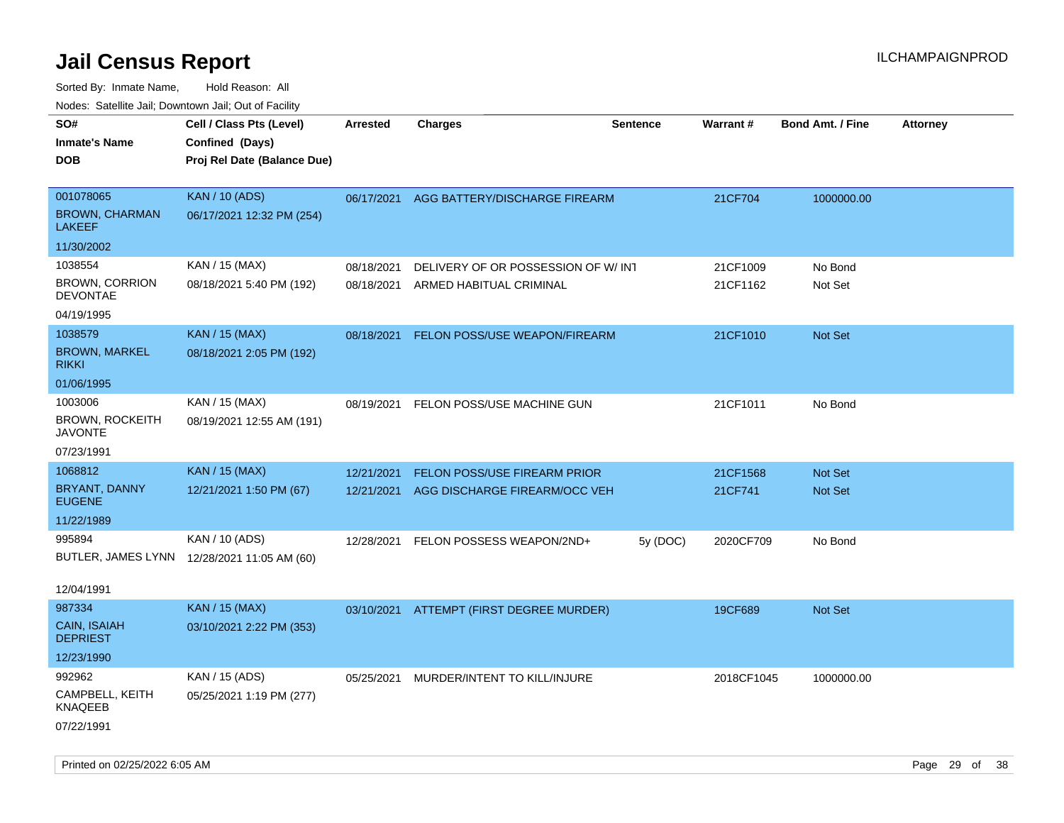| rouco. Calcinic Jan, Downtown Jan, Out of Facility     |                                                               |                          |                                                               |                 |                      |                         |                 |
|--------------------------------------------------------|---------------------------------------------------------------|--------------------------|---------------------------------------------------------------|-----------------|----------------------|-------------------------|-----------------|
| SO#<br>Inmate's Name                                   | Cell / Class Pts (Level)<br>Confined (Days)                   | <b>Arrested</b>          | <b>Charges</b>                                                | <b>Sentence</b> | Warrant#             | <b>Bond Amt. / Fine</b> | <b>Attorney</b> |
| DOB                                                    | Proj Rel Date (Balance Due)                                   |                          |                                                               |                 |                      |                         |                 |
| 001078065<br><b>BROWN, CHARMAN</b><br>LAKEEF           | <b>KAN / 10 (ADS)</b><br>06/17/2021 12:32 PM (254)            |                          | 06/17/2021 AGG BATTERY/DISCHARGE FIREARM                      |                 | 21CF704              | 1000000.00              |                 |
| 11/30/2002                                             |                                                               |                          |                                                               |                 |                      |                         |                 |
| 1038554<br><b>BROWN, CORRION</b><br><b>DEVONTAE</b>    | KAN / 15 (MAX)<br>08/18/2021 5:40 PM (192)                    | 08/18/2021<br>08/18/2021 | DELIVERY OF OR POSSESSION OF W/INT<br>ARMED HABITUAL CRIMINAL |                 | 21CF1009<br>21CF1162 | No Bond<br>Not Set      |                 |
| 04/19/1995<br>1038579<br><b>BROWN, MARKEL</b><br>rikki | <b>KAN / 15 (MAX)</b><br>08/18/2021 2:05 PM (192)             | 08/18/2021               | FELON POSS/USE WEAPON/FIREARM                                 |                 | 21CF1010             | <b>Not Set</b>          |                 |
| 01/06/1995                                             |                                                               |                          |                                                               |                 |                      |                         |                 |
| 1003006<br>BROWN, ROCKEITH<br>JAVONTE                  | KAN / 15 (MAX)<br>08/19/2021 12:55 AM (191)                   | 08/19/2021               | FELON POSS/USE MACHINE GUN                                    |                 | 21CF1011             | No Bond                 |                 |
| 07/23/1991                                             |                                                               |                          |                                                               |                 |                      |                         |                 |
| 1068812                                                | <b>KAN / 15 (MAX)</b>                                         | 12/21/2021               | <b>FELON POSS/USE FIREARM PRIOR</b>                           |                 | 21CF1568             | <b>Not Set</b>          |                 |
| BRYANT, DANNY<br><b>EUGENE</b>                         | 12/21/2021 1:50 PM (67)                                       | 12/21/2021               | AGG DISCHARGE FIREARM/OCC VEH                                 |                 | 21CF741              | Not Set                 |                 |
| 11/22/1989                                             |                                                               |                          |                                                               |                 |                      |                         |                 |
| 995894                                                 | KAN / 10 (ADS)<br>BUTLER, JAMES LYNN 12/28/2021 11:05 AM (60) | 12/28/2021               | FELON POSSESS WEAPON/2ND+                                     | 5y(DOC)         | 2020CF709            | No Bond                 |                 |
| 12/04/1991<br>987334                                   |                                                               |                          |                                                               |                 |                      |                         |                 |
| CAIN, ISAIAH<br>DEPRIEST                               | <b>KAN / 15 (MAX)</b><br>03/10/2021 2:22 PM (353)             |                          | 03/10/2021 ATTEMPT (FIRST DEGREE MURDER)                      |                 | 19CF689              | <b>Not Set</b>          |                 |
| 12/23/1990                                             |                                                               |                          |                                                               |                 |                      |                         |                 |
| 992962<br>CAMPBELL, KEITH<br>KNAQEEB<br>07/22/1991     | KAN / 15 (ADS)<br>05/25/2021 1:19 PM (277)                    | 05/25/2021               | MURDER/INTENT TO KILL/INJURE                                  |                 | 2018CF1045           | 1000000.00              |                 |
|                                                        |                                                               |                          |                                                               |                 |                      |                         |                 |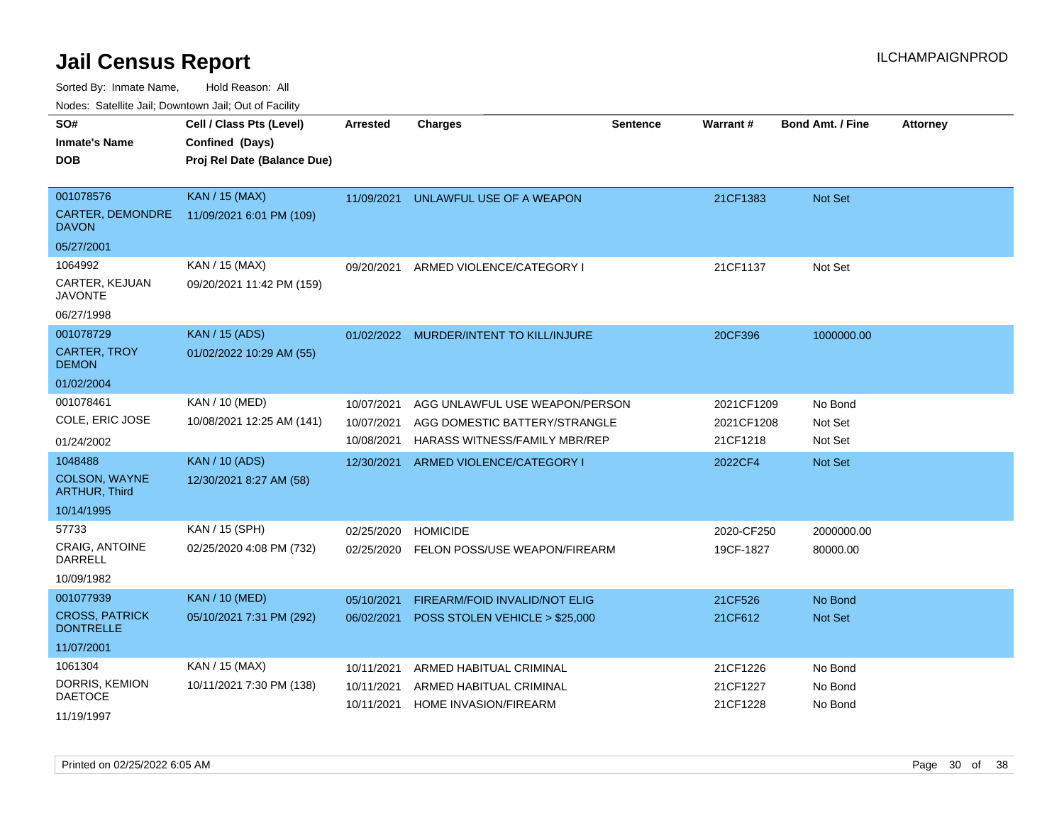Sorted By: Inmate Name, Hold Reason: All

Nodes: Satellite Jail; Downtown Jail; Out of Facility

| SO#                                       | Cell / Class Pts (Level)    | <b>Arrested</b> | <b>Charges</b>                          | Sentence | Warrant#   | <b>Bond Amt. / Fine</b> | <b>Attorney</b> |
|-------------------------------------------|-----------------------------|-----------------|-----------------------------------------|----------|------------|-------------------------|-----------------|
| <b>Inmate's Name</b>                      | Confined (Days)             |                 |                                         |          |            |                         |                 |
| <b>DOB</b>                                | Proj Rel Date (Balance Due) |                 |                                         |          |            |                         |                 |
|                                           |                             |                 |                                         |          |            |                         |                 |
| 001078576                                 | <b>KAN / 15 (MAX)</b>       | 11/09/2021      | UNLAWFUL USE OF A WEAPON                |          | 21CF1383   | <b>Not Set</b>          |                 |
| CARTER, DEMONDRE<br><b>DAVON</b>          | 11/09/2021 6:01 PM (109)    |                 |                                         |          |            |                         |                 |
| 05/27/2001                                |                             |                 |                                         |          |            |                         |                 |
| 1064992                                   | KAN / 15 (MAX)              | 09/20/2021      | ARMED VIOLENCE/CATEGORY I               |          | 21CF1137   | Not Set                 |                 |
| CARTER, KEJUAN<br><b>JAVONTE</b>          | 09/20/2021 11:42 PM (159)   |                 |                                         |          |            |                         |                 |
| 06/27/1998                                |                             |                 |                                         |          |            |                         |                 |
| 001078729                                 | <b>KAN / 15 (ADS)</b>       |                 | 01/02/2022 MURDER/INTENT TO KILL/INJURE |          | 20CF396    | 1000000.00              |                 |
| <b>CARTER, TROY</b><br><b>DEMON</b>       | 01/02/2022 10:29 AM (55)    |                 |                                         |          |            |                         |                 |
| 01/02/2004                                |                             |                 |                                         |          |            |                         |                 |
| 001078461                                 | KAN / 10 (MED)              | 10/07/2021      | AGG UNLAWFUL USE WEAPON/PERSON          |          | 2021CF1209 | No Bond                 |                 |
| COLE, ERIC JOSE                           | 10/08/2021 12:25 AM (141)   | 10/07/2021      | AGG DOMESTIC BATTERY/STRANGLE           |          | 2021CF1208 | Not Set                 |                 |
| 01/24/2002                                |                             | 10/08/2021      | HARASS WITNESS/FAMILY MBR/REP           |          | 21CF1218   | Not Set                 |                 |
| 1048488                                   | <b>KAN / 10 (ADS)</b>       | 12/30/2021      | ARMED VIOLENCE/CATEGORY I               |          | 2022CF4    | <b>Not Set</b>          |                 |
| <b>COLSON, WAYNE</b><br>ARTHUR, Third     | 12/30/2021 8:27 AM (58)     |                 |                                         |          |            |                         |                 |
| 10/14/1995                                |                             |                 |                                         |          |            |                         |                 |
| 57733                                     | KAN / 15 (SPH)              | 02/25/2020      | <b>HOMICIDE</b>                         |          | 2020-CF250 | 2000000.00              |                 |
| CRAIG, ANTOINE<br><b>DARRELL</b>          | 02/25/2020 4:08 PM (732)    | 02/25/2020      | FELON POSS/USE WEAPON/FIREARM           |          | 19CF-1827  | 80000.00                |                 |
| 10/09/1982                                |                             |                 |                                         |          |            |                         |                 |
| 001077939                                 | <b>KAN / 10 (MED)</b>       | 05/10/2021      | FIREARM/FOID INVALID/NOT ELIG           |          | 21CF526    | No Bond                 |                 |
| <b>CROSS, PATRICK</b><br><b>DONTRELLE</b> | 05/10/2021 7:31 PM (292)    | 06/02/2021      | POSS STOLEN VEHICLE > \$25,000          |          | 21CF612    | Not Set                 |                 |
| 11/07/2001                                |                             |                 |                                         |          |            |                         |                 |
| 1061304                                   | KAN / 15 (MAX)              | 10/11/2021      | ARMED HABITUAL CRIMINAL                 |          | 21CF1226   | No Bond                 |                 |
| DORRIS, KEMION                            | 10/11/2021 7:30 PM (138)    | 10/11/2021      | ARMED HABITUAL CRIMINAL                 |          | 21CF1227   | No Bond                 |                 |
| <b>DAETOCE</b>                            |                             | 10/11/2021      | <b>HOME INVASION/FIREARM</b>            |          | 21CF1228   | No Bond                 |                 |
| 11/19/1997                                |                             |                 |                                         |          |            |                         |                 |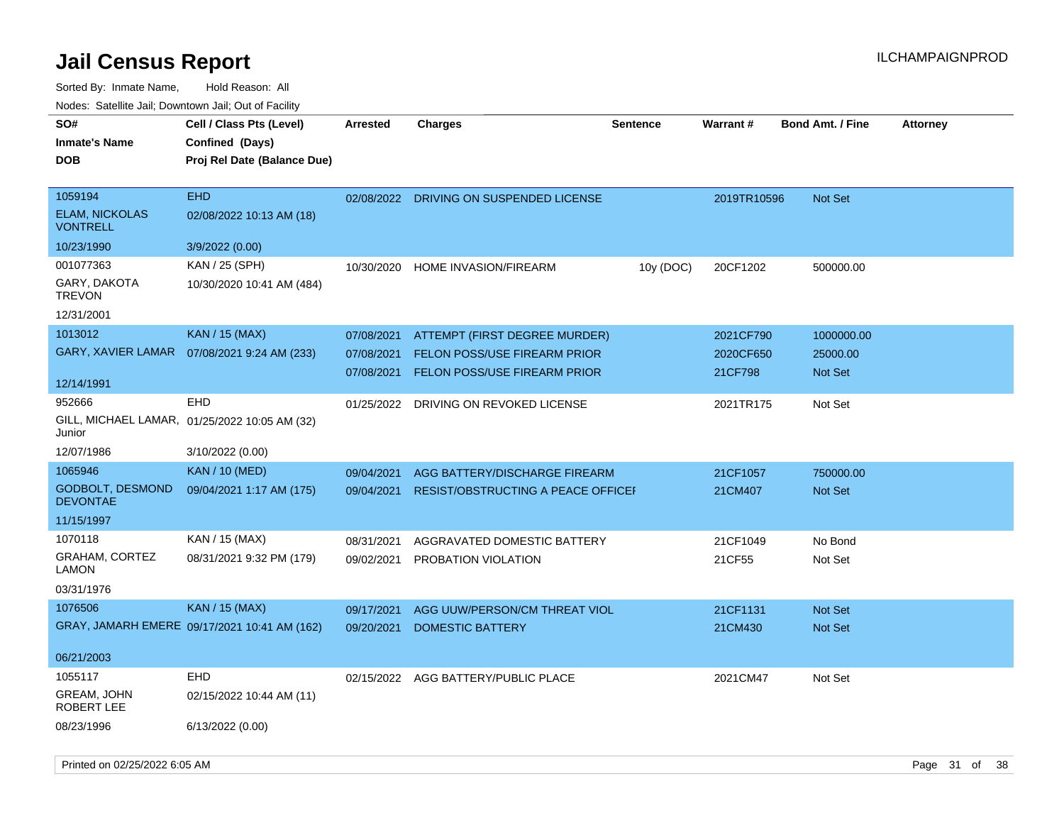| SO#                                        | Cell / Class Pts (Level)                      | <b>Arrested</b> | <b>Charges</b>                            | <b>Sentence</b> | <b>Warrant#</b> | <b>Bond Amt. / Fine</b> | <b>Attorney</b> |
|--------------------------------------------|-----------------------------------------------|-----------------|-------------------------------------------|-----------------|-----------------|-------------------------|-----------------|
|                                            |                                               |                 |                                           |                 |                 |                         |                 |
| <b>Inmate's Name</b>                       | Confined (Days)                               |                 |                                           |                 |                 |                         |                 |
| <b>DOB</b>                                 | Proj Rel Date (Balance Due)                   |                 |                                           |                 |                 |                         |                 |
|                                            |                                               |                 |                                           |                 |                 |                         |                 |
| 1059194                                    | <b>EHD</b>                                    | 02/08/2022      | DRIVING ON SUSPENDED LICENSE              |                 | 2019TR10596     | <b>Not Set</b>          |                 |
| <b>ELAM, NICKOLAS</b><br><b>VONTRELL</b>   | 02/08/2022 10:13 AM (18)                      |                 |                                           |                 |                 |                         |                 |
| 10/23/1990                                 | 3/9/2022 (0.00)                               |                 |                                           |                 |                 |                         |                 |
| 001077363                                  | KAN / 25 (SPH)                                | 10/30/2020      | HOME INVASION/FIREARM                     | 10y (DOC)       | 20CF1202        | 500000.00               |                 |
| GARY, DAKOTA<br><b>TREVON</b>              | 10/30/2020 10:41 AM (484)                     |                 |                                           |                 |                 |                         |                 |
| 12/31/2001                                 |                                               |                 |                                           |                 |                 |                         |                 |
| 1013012                                    | <b>KAN / 15 (MAX)</b>                         | 07/08/2021      | ATTEMPT (FIRST DEGREE MURDER)             |                 | 2021CF790       | 1000000.00              |                 |
| <b>GARY, XAVIER LAMAR</b>                  | 07/08/2021 9:24 AM (233)                      | 07/08/2021      | FELON POSS/USE FIREARM PRIOR              |                 | 2020CF650       | 25000.00                |                 |
|                                            |                                               |                 | 07/08/2021 FELON POSS/USE FIREARM PRIOR   |                 | 21CF798         | Not Set                 |                 |
| 12/14/1991                                 |                                               |                 |                                           |                 |                 |                         |                 |
| 952666                                     | <b>EHD</b>                                    | 01/25/2022      | DRIVING ON REVOKED LICENSE                |                 | 2021TR175       | Not Set                 |                 |
| Junior                                     | GILL, MICHAEL LAMAR, 01/25/2022 10:05 AM (32) |                 |                                           |                 |                 |                         |                 |
| 12/07/1986                                 | 3/10/2022 (0.00)                              |                 |                                           |                 |                 |                         |                 |
| 1065946                                    | <b>KAN / 10 (MED)</b>                         | 09/04/2021      | AGG BATTERY/DISCHARGE FIREARM             |                 | 21CF1057        | 750000.00               |                 |
| <b>GODBOLT, DESMOND</b><br><b>DEVONTAE</b> | 09/04/2021 1:17 AM (175)                      | 09/04/2021      | <b>RESIST/OBSTRUCTING A PEACE OFFICEF</b> |                 | 21CM407         | Not Set                 |                 |
| 11/15/1997                                 |                                               |                 |                                           |                 |                 |                         |                 |
| 1070118                                    | KAN / 15 (MAX)                                | 08/31/2021      | AGGRAVATED DOMESTIC BATTERY               |                 | 21CF1049        | No Bond                 |                 |
| <b>GRAHAM, CORTEZ</b>                      | 08/31/2021 9:32 PM (179)                      | 09/02/2021      | PROBATION VIOLATION                       |                 | 21CF55          | Not Set                 |                 |
| <b>LAMON</b>                               |                                               |                 |                                           |                 |                 |                         |                 |
| 03/31/1976                                 |                                               |                 |                                           |                 |                 |                         |                 |
| 1076506                                    | <b>KAN / 15 (MAX)</b>                         | 09/17/2021      | AGG UUW/PERSON/CM THREAT VIOL             |                 | 21CF1131        | Not Set                 |                 |
|                                            | GRAY, JAMARH EMERE 09/17/2021 10:41 AM (162)  | 09/20/2021      | <b>DOMESTIC BATTERY</b>                   |                 | 21CM430         | Not Set                 |                 |
| 06/21/2003                                 |                                               |                 |                                           |                 |                 |                         |                 |
| 1055117                                    | <b>EHD</b>                                    | 02/15/2022      | AGG BATTERY/PUBLIC PLACE                  |                 | 2021CM47        | Not Set                 |                 |
| GREAM, JOHN<br>ROBERT LEE                  | 02/15/2022 10:44 AM (11)                      |                 |                                           |                 |                 |                         |                 |
| 08/23/1996                                 | 6/13/2022 (0.00)                              |                 |                                           |                 |                 |                         |                 |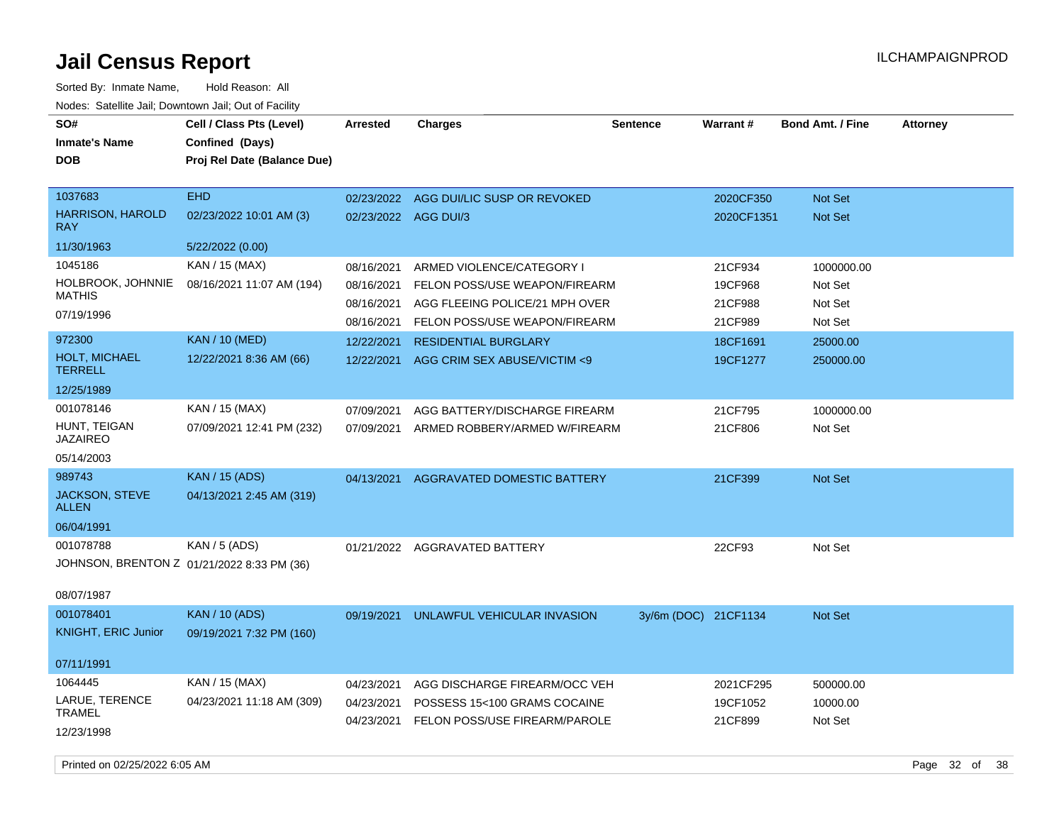| SO#<br><b>Inmate's Name</b><br><b>DOB</b>                                           | Cell / Class Pts (Level)<br>Confined (Days)<br>Proj Rel Date (Balance Due) | Arrested                               | <b>Charges</b>                                                                                 | Sentence             | Warrant#                         | <b>Bond Amt. / Fine</b>          | <b>Attorney</b> |
|-------------------------------------------------------------------------------------|----------------------------------------------------------------------------|----------------------------------------|------------------------------------------------------------------------------------------------|----------------------|----------------------------------|----------------------------------|-----------------|
| 1037683<br><b>HARRISON, HAROLD</b><br><b>RAY</b>                                    | EHD<br>02/23/2022 10:01 AM (3)                                             | 02/23/2022<br>02/23/2022 AGG DUI/3     | AGG DUI/LIC SUSP OR REVOKED                                                                    |                      | 2020CF350<br>2020CF1351          | Not Set<br><b>Not Set</b>        |                 |
| 11/30/1963                                                                          | 5/22/2022 (0.00)                                                           |                                        |                                                                                                |                      |                                  |                                  |                 |
| 1045186<br>HOLBROOK, JOHNNIE                                                        | KAN / 15 (MAX)<br>08/16/2021 11:07 AM (194)                                | 08/16/2021<br>08/16/2021               | ARMED VIOLENCE/CATEGORY I<br>FELON POSS/USE WEAPON/FIREARM                                     |                      | 21CF934<br>19CF968               | 1000000.00<br>Not Set            |                 |
| <b>MATHIS</b><br>07/19/1996                                                         |                                                                            | 08/16/2021<br>08/16/2021               | AGG FLEEING POLICE/21 MPH OVER<br>FELON POSS/USE WEAPON/FIREARM                                |                      | 21CF988<br>21CF989               | Not Set<br>Not Set               |                 |
| 972300<br>HOLT, MICHAEL<br><b>TERRELL</b>                                           | <b>KAN / 10 (MED)</b><br>12/22/2021 8:36 AM (66)                           | 12/22/2021<br>12/22/2021               | <b>RESIDENTIAL BURGLARY</b><br>AGG CRIM SEX ABUSE/VICTIM <9                                    |                      | 18CF1691<br>19CF1277             | 25000.00<br>250000.00            |                 |
| 12/25/1989                                                                          |                                                                            |                                        |                                                                                                |                      |                                  |                                  |                 |
| 001078146<br>HUNT, TEIGAN<br><b>JAZAIREO</b>                                        | KAN / 15 (MAX)<br>07/09/2021 12:41 PM (232)                                | 07/09/2021<br>07/09/2021               | AGG BATTERY/DISCHARGE FIREARM<br>ARMED ROBBERY/ARMED W/FIREARM                                 |                      | 21CF795<br>21CF806               | 1000000.00<br>Not Set            |                 |
| 05/14/2003                                                                          |                                                                            |                                        |                                                                                                |                      |                                  |                                  |                 |
| 989743<br>JACKSON, STEVE<br>ALLEN                                                   | <b>KAN / 15 (ADS)</b><br>04/13/2021 2:45 AM (319)                          | 04/13/2021                             | AGGRAVATED DOMESTIC BATTERY                                                                    |                      | 21CF399                          | Not Set                          |                 |
| 06/04/1991<br>001078788<br>JOHNSON, BRENTON Z 01/21/2022 8:33 PM (36)<br>08/07/1987 | KAN / 5 (ADS)                                                              |                                        | 01/21/2022 AGGRAVATED BATTERY                                                                  |                      | 22CF93                           | Not Set                          |                 |
| 001078401<br><b>KNIGHT, ERIC Junior</b>                                             | <b>KAN / 10 (ADS)</b><br>09/19/2021 7:32 PM (160)                          | 09/19/2021                             | UNLAWFUL VEHICULAR INVASION                                                                    | 3y/6m (DOC) 21CF1134 |                                  | Not Set                          |                 |
| 07/11/1991                                                                          |                                                                            |                                        |                                                                                                |                      |                                  |                                  |                 |
| 1064445<br>LARUE, TERENCE<br><b>TRAMEL</b><br>12/23/1998                            | KAN / 15 (MAX)<br>04/23/2021 11:18 AM (309)                                | 04/23/2021<br>04/23/2021<br>04/23/2021 | AGG DISCHARGE FIREARM/OCC VEH<br>POSSESS 15<100 GRAMS COCAINE<br>FELON POSS/USE FIREARM/PAROLE |                      | 2021CF295<br>19CF1052<br>21CF899 | 500000.00<br>10000.00<br>Not Set |                 |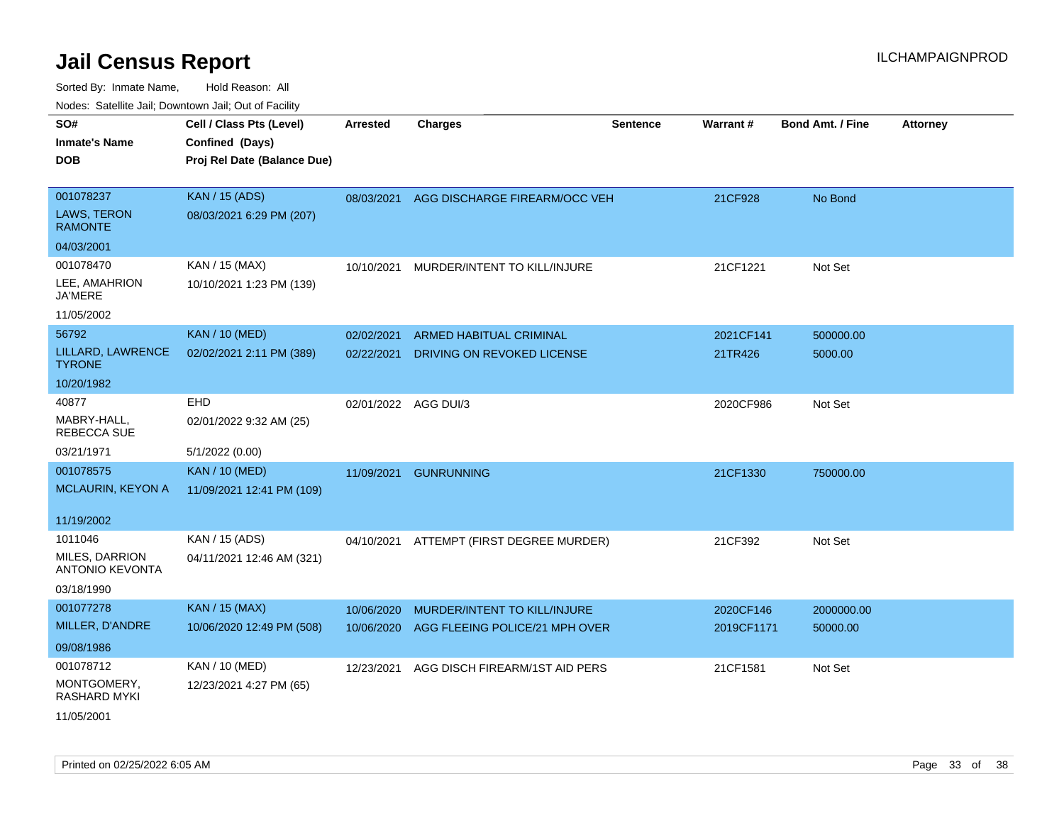| 10000. Catolino can, Domntonn can, Cat or I doint |                             |                      |                                |                 |                 |                         |                 |
|---------------------------------------------------|-----------------------------|----------------------|--------------------------------|-----------------|-----------------|-------------------------|-----------------|
| SO#                                               | Cell / Class Pts (Level)    | <b>Arrested</b>      | <b>Charges</b>                 | <b>Sentence</b> | <b>Warrant#</b> | <b>Bond Amt. / Fine</b> | <b>Attorney</b> |
| Inmate's Name                                     | Confined (Days)             |                      |                                |                 |                 |                         |                 |
| DOB                                               | Proj Rel Date (Balance Due) |                      |                                |                 |                 |                         |                 |
|                                                   |                             |                      |                                |                 |                 |                         |                 |
| 001078237                                         | <b>KAN / 15 (ADS)</b>       | 08/03/2021           | AGG DISCHARGE FIREARM/OCC VEH  |                 | 21CF928         | No Bond                 |                 |
| LAWS, TERON<br><b>RAMONTE</b>                     | 08/03/2021 6:29 PM (207)    |                      |                                |                 |                 |                         |                 |
| 04/03/2001                                        |                             |                      |                                |                 |                 |                         |                 |
| 001078470                                         | KAN / 15 (MAX)              | 10/10/2021           | MURDER/INTENT TO KILL/INJURE   |                 | 21CF1221        | Not Set                 |                 |
| LEE, AMAHRION<br>JA'MERE                          | 10/10/2021 1:23 PM (139)    |                      |                                |                 |                 |                         |                 |
| 11/05/2002                                        |                             |                      |                                |                 |                 |                         |                 |
| 56792                                             | <b>KAN / 10 (MED)</b>       | 02/02/2021           | ARMED HABITUAL CRIMINAL        |                 | 2021CF141       | 500000.00               |                 |
| LILLARD, LAWRENCE<br>TYRONE                       | 02/02/2021 2:11 PM (389)    | 02/22/2021           | DRIVING ON REVOKED LICENSE     |                 | 21TR426         | 5000.00                 |                 |
| 10/20/1982                                        |                             |                      |                                |                 |                 |                         |                 |
| 40877                                             | <b>EHD</b>                  | 02/01/2022 AGG DUI/3 |                                |                 | 2020CF986       | Not Set                 |                 |
| MABRY-HALL,<br>REBECCA SUE                        | 02/01/2022 9:32 AM (25)     |                      |                                |                 |                 |                         |                 |
| 03/21/1971                                        | 5/1/2022 (0.00)             |                      |                                |                 |                 |                         |                 |
| 001078575                                         | <b>KAN / 10 (MED)</b>       | 11/09/2021           | <b>GUNRUNNING</b>              |                 | 21CF1330        | 750000.00               |                 |
| <b>MCLAURIN, KEYON A</b>                          | 11/09/2021 12:41 PM (109)   |                      |                                |                 |                 |                         |                 |
|                                                   |                             |                      |                                |                 |                 |                         |                 |
| 11/19/2002                                        |                             |                      |                                |                 |                 |                         |                 |
| 1011046                                           | KAN / 15 (ADS)              | 04/10/2021           | ATTEMPT (FIRST DEGREE MURDER)  |                 | 21CF392         | Not Set                 |                 |
| MILES, DARRION<br><b>ANTONIO KEVONTA</b>          | 04/11/2021 12:46 AM (321)   |                      |                                |                 |                 |                         |                 |
| 03/18/1990                                        |                             |                      |                                |                 |                 |                         |                 |
| 001077278                                         | <b>KAN / 15 (MAX)</b>       | 10/06/2020           | MURDER/INTENT TO KILL/INJURE   |                 | 2020CF146       | 2000000.00              |                 |
| MILLER, D'ANDRE                                   | 10/06/2020 12:49 PM (508)   | 10/06/2020           | AGG FLEEING POLICE/21 MPH OVER |                 | 2019CF1171      | 50000.00                |                 |
| 09/08/1986                                        |                             |                      |                                |                 |                 |                         |                 |
| 001078712                                         | KAN / 10 (MED)              | 12/23/2021           | AGG DISCH FIREARM/1ST AID PERS |                 | 21CF1581        | Not Set                 |                 |
| MONTGOMERY,<br>RASHARD MYKI                       | 12/23/2021 4:27 PM (65)     |                      |                                |                 |                 |                         |                 |
| 11/05/2001                                        |                             |                      |                                |                 |                 |                         |                 |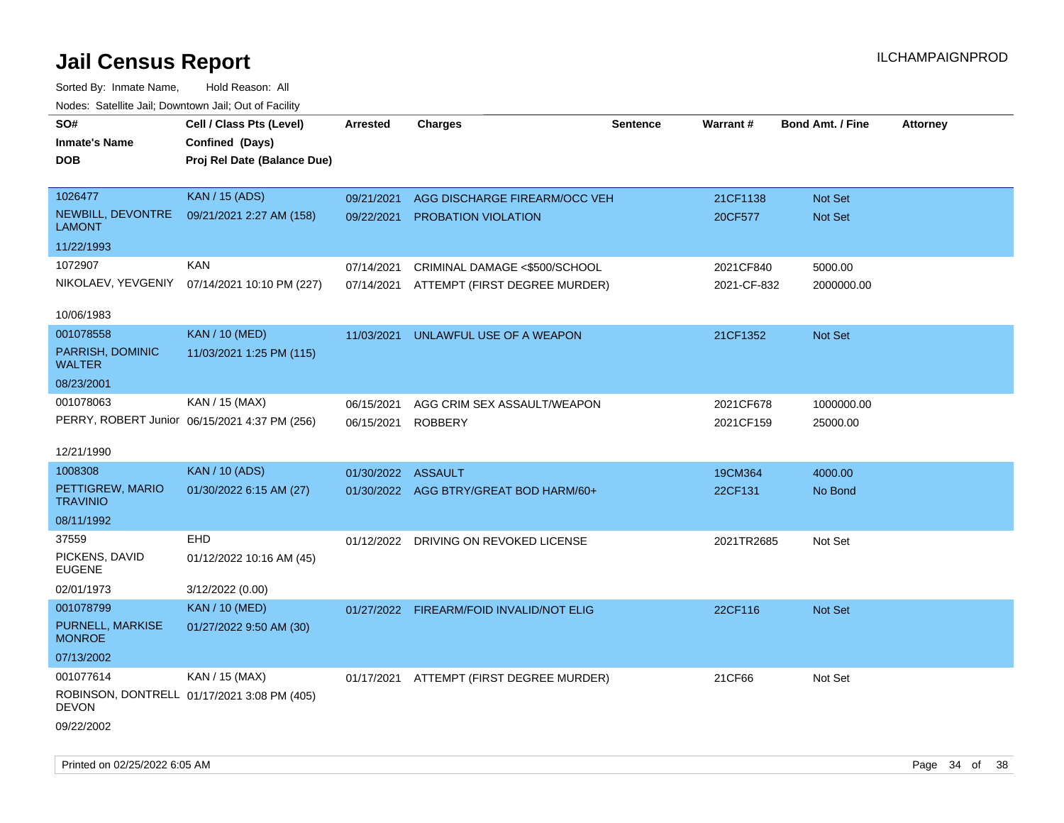| Noues. Salemie Jan, Downtown Jan, Out of Facility |                                               |                    |                                          |                 |             |                         |                 |
|---------------------------------------------------|-----------------------------------------------|--------------------|------------------------------------------|-----------------|-------------|-------------------------|-----------------|
| SO#                                               | Cell / Class Pts (Level)                      | <b>Arrested</b>    | <b>Charges</b>                           | <b>Sentence</b> | Warrant#    | <b>Bond Amt. / Fine</b> | <b>Attorney</b> |
| <b>Inmate's Name</b>                              | Confined (Days)                               |                    |                                          |                 |             |                         |                 |
| <b>DOB</b>                                        | Proj Rel Date (Balance Due)                   |                    |                                          |                 |             |                         |                 |
|                                                   |                                               |                    |                                          |                 |             |                         |                 |
| 1026477                                           | <b>KAN / 15 (ADS)</b>                         | 09/21/2021         | AGG DISCHARGE FIREARM/OCC VEH            |                 | 21CF1138    | Not Set                 |                 |
| NEWBILL, DEVONTRE<br><b>LAMONT</b>                | 09/21/2021 2:27 AM (158)                      | 09/22/2021         | PROBATION VIOLATION                      |                 | 20CF577     | Not Set                 |                 |
| 11/22/1993                                        |                                               |                    |                                          |                 |             |                         |                 |
| 1072907                                           | <b>KAN</b>                                    | 07/14/2021         | CRIMINAL DAMAGE <\$500/SCHOOL            |                 | 2021CF840   | 5000.00                 |                 |
| NIKOLAEV, YEVGENIY                                | 07/14/2021 10:10 PM (227)                     | 07/14/2021         | ATTEMPT (FIRST DEGREE MURDER)            |                 | 2021-CF-832 | 2000000.00              |                 |
|                                                   |                                               |                    |                                          |                 |             |                         |                 |
| 10/06/1983                                        |                                               |                    |                                          |                 |             |                         |                 |
| 001078558                                         | <b>KAN / 10 (MED)</b>                         | 11/03/2021         | UNLAWFUL USE OF A WEAPON                 |                 | 21CF1352    | Not Set                 |                 |
| PARRISH, DOMINIC<br><b>WALTER</b>                 | 11/03/2021 1:25 PM (115)                      |                    |                                          |                 |             |                         |                 |
| 08/23/2001                                        |                                               |                    |                                          |                 |             |                         |                 |
| 001078063                                         | KAN / 15 (MAX)                                | 06/15/2021         | AGG CRIM SEX ASSAULT/WEAPON              |                 | 2021CF678   | 1000000.00              |                 |
|                                                   | PERRY, ROBERT Junior 06/15/2021 4:37 PM (256) | 06/15/2021         | <b>ROBBERY</b>                           |                 | 2021CF159   | 25000.00                |                 |
|                                                   |                                               |                    |                                          |                 |             |                         |                 |
| 12/21/1990                                        |                                               |                    |                                          |                 |             |                         |                 |
| 1008308                                           | KAN / 10 (ADS)                                | 01/30/2022 ASSAULT |                                          |                 | 19CM364     | 4000.00                 |                 |
| PETTIGREW, MARIO<br><b>TRAVINIO</b>               | 01/30/2022 6:15 AM (27)                       |                    | 01/30/2022 AGG BTRY/GREAT BOD HARM/60+   |                 | 22CF131     | No Bond                 |                 |
| 08/11/1992                                        |                                               |                    |                                          |                 |             |                         |                 |
| 37559                                             | <b>EHD</b>                                    |                    | 01/12/2022 DRIVING ON REVOKED LICENSE    |                 | 2021TR2685  | Not Set                 |                 |
| PICKENS, DAVID<br><b>EUGENE</b>                   | 01/12/2022 10:16 AM (45)                      |                    |                                          |                 |             |                         |                 |
| 02/01/1973                                        | 3/12/2022 (0.00)                              |                    |                                          |                 |             |                         |                 |
| 001078799                                         | <b>KAN / 10 (MED)</b>                         |                    | 01/27/2022 FIREARM/FOID INVALID/NOT ELIG |                 | 22CF116     | <b>Not Set</b>          |                 |
| PURNELL, MARKISE<br><b>MONROE</b>                 | 01/27/2022 9:50 AM (30)                       |                    |                                          |                 |             |                         |                 |
| 07/13/2002                                        |                                               |                    |                                          |                 |             |                         |                 |
| 001077614                                         | KAN / 15 (MAX)                                |                    | 01/17/2021 ATTEMPT (FIRST DEGREE MURDER) |                 | 21CF66      | Not Set                 |                 |
| <b>DEVON</b>                                      | ROBINSON, DONTRELL 01/17/2021 3:08 PM (405)   |                    |                                          |                 |             |                         |                 |
| 09/22/2002                                        |                                               |                    |                                          |                 |             |                         |                 |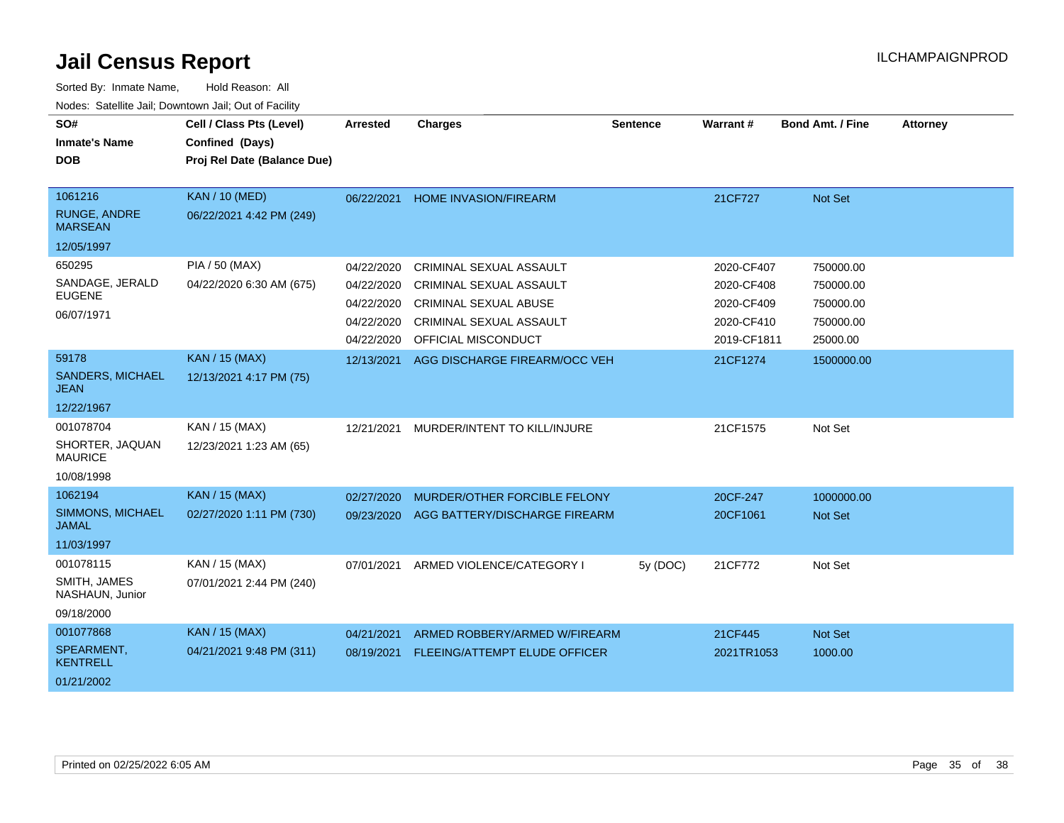| SO#<br><b>Inmate's Name</b><br><b>DOB</b>                      | Cell / Class Pts (Level)<br>Confined (Days)<br>Proj Rel Date (Balance Due) | Arrested                                                           | <b>Charges</b>                                                                                                                              | <b>Sentence</b> | Warrant#                                                            | <b>Bond Amt. / Fine</b>                                      | <b>Attorney</b> |
|----------------------------------------------------------------|----------------------------------------------------------------------------|--------------------------------------------------------------------|---------------------------------------------------------------------------------------------------------------------------------------------|-----------------|---------------------------------------------------------------------|--------------------------------------------------------------|-----------------|
| 1061216<br><b>RUNGE, ANDRE</b><br><b>MARSEAN</b><br>12/05/1997 | <b>KAN / 10 (MED)</b><br>06/22/2021 4:42 PM (249)                          | 06/22/2021                                                         | <b>HOME INVASION/FIREARM</b>                                                                                                                |                 | 21CF727                                                             | Not Set                                                      |                 |
| 650295<br>SANDAGE, JERALD<br><b>EUGENE</b><br>06/07/1971       | PIA / 50 (MAX)<br>04/22/2020 6:30 AM (675)                                 | 04/22/2020<br>04/22/2020<br>04/22/2020<br>04/22/2020<br>04/22/2020 | CRIMINAL SEXUAL ASSAULT<br><b>CRIMINAL SEXUAL ASSAULT</b><br><b>CRIMINAL SEXUAL ABUSE</b><br>CRIMINAL SEXUAL ASSAULT<br>OFFICIAL MISCONDUCT |                 | 2020-CF407<br>2020-CF408<br>2020-CF409<br>2020-CF410<br>2019-CF1811 | 750000.00<br>750000.00<br>750000.00<br>750000.00<br>25000.00 |                 |
| 59178<br><b>SANDERS, MICHAEL</b><br>JEAN<br>12/22/1967         | <b>KAN / 15 (MAX)</b><br>12/13/2021 4:17 PM (75)                           | 12/13/2021                                                         | AGG DISCHARGE FIREARM/OCC VEH                                                                                                               |                 | 21CF1274                                                            | 1500000.00                                                   |                 |
| 001078704<br>SHORTER, JAQUAN<br><b>MAURICE</b><br>10/08/1998   | KAN / 15 (MAX)<br>12/23/2021 1:23 AM (65)                                  | 12/21/2021                                                         | MURDER/INTENT TO KILL/INJURE                                                                                                                |                 | 21CF1575                                                            | Not Set                                                      |                 |
| 1062194<br>SIMMONS, MICHAEL<br><b>JAMAL</b><br>11/03/1997      | <b>KAN / 15 (MAX)</b><br>02/27/2020 1:11 PM (730)                          | 02/27/2020<br>09/23/2020                                           | MURDER/OTHER FORCIBLE FELONY<br>AGG BATTERY/DISCHARGE FIREARM                                                                               |                 | 20CF-247<br>20CF1061                                                | 1000000.00<br><b>Not Set</b>                                 |                 |
| 001078115<br>SMITH, JAMES<br>NASHAUN, Junior<br>09/18/2000     | KAN / 15 (MAX)<br>07/01/2021 2:44 PM (240)                                 | 07/01/2021                                                         | ARMED VIOLENCE/CATEGORY I                                                                                                                   | 5y (DOC)        | 21CF772                                                             | Not Set                                                      |                 |
| 001077868<br>SPEARMENT,<br><b>KENTRELL</b><br>01/21/2002       | <b>KAN / 15 (MAX)</b><br>04/21/2021 9:48 PM (311)                          | 04/21/2021<br>08/19/2021                                           | ARMED ROBBERY/ARMED W/FIREARM<br><b>FLEEING/ATTEMPT ELUDE OFFICER</b>                                                                       |                 | 21CF445<br>2021TR1053                                               | Not Set<br>1000.00                                           |                 |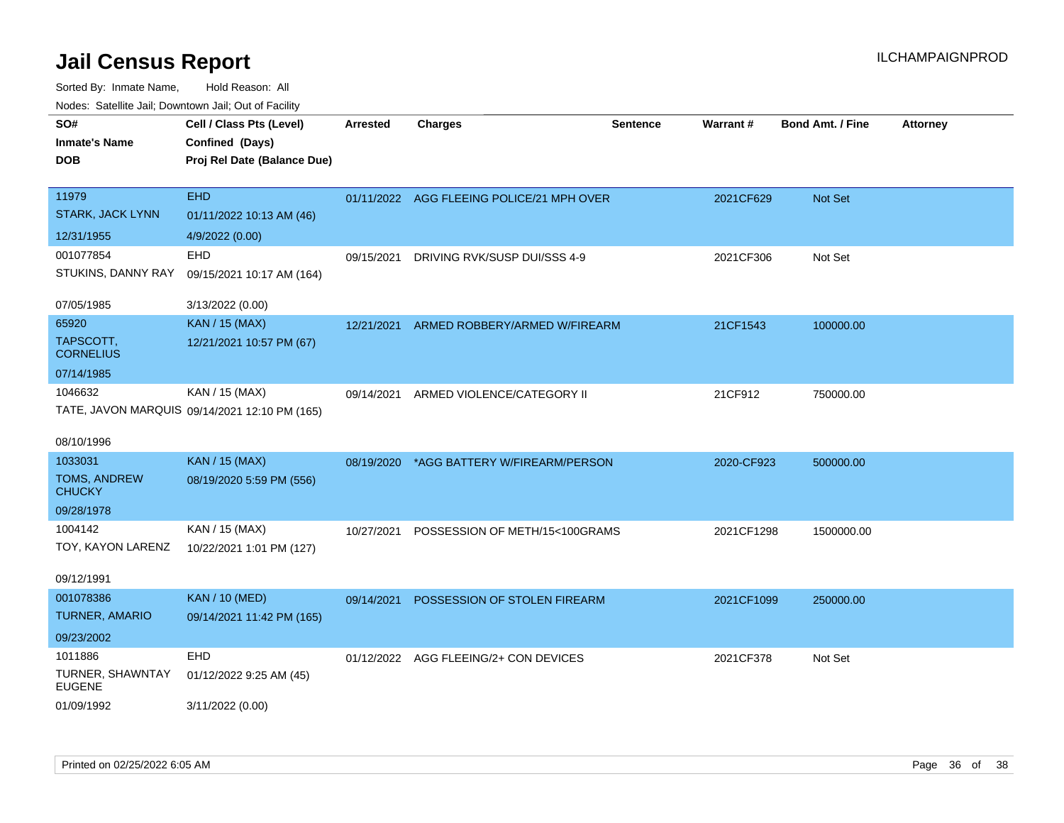| SO#                                  | Cell / Class Pts (Level)                      | <b>Arrested</b> | <b>Charges</b>                            | <b>Sentence</b> | Warrant#   | <b>Bond Amt. / Fine</b> | <b>Attorney</b> |
|--------------------------------------|-----------------------------------------------|-----------------|-------------------------------------------|-----------------|------------|-------------------------|-----------------|
| <b>Inmate's Name</b>                 | Confined (Days)                               |                 |                                           |                 |            |                         |                 |
| <b>DOB</b>                           | Proj Rel Date (Balance Due)                   |                 |                                           |                 |            |                         |                 |
|                                      |                                               |                 |                                           |                 |            |                         |                 |
| 11979                                | <b>EHD</b>                                    |                 | 01/11/2022 AGG FLEEING POLICE/21 MPH OVER |                 | 2021CF629  | Not Set                 |                 |
| <b>STARK, JACK LYNN</b>              | 01/11/2022 10:13 AM (46)                      |                 |                                           |                 |            |                         |                 |
| 12/31/1955                           | 4/9/2022 (0.00)                               |                 |                                           |                 |            |                         |                 |
| 001077854                            | EHD                                           | 09/15/2021      | DRIVING RVK/SUSP DUI/SSS 4-9              |                 | 2021CF306  | Not Set                 |                 |
| STUKINS, DANNY RAY                   | 09/15/2021 10:17 AM (164)                     |                 |                                           |                 |            |                         |                 |
| 07/05/1985                           | 3/13/2022 (0.00)                              |                 |                                           |                 |            |                         |                 |
| 65920                                | <b>KAN / 15 (MAX)</b>                         | 12/21/2021      | ARMED ROBBERY/ARMED W/FIREARM             |                 | 21CF1543   | 100000.00               |                 |
| TAPSCOTT,<br><b>CORNELIUS</b>        | 12/21/2021 10:57 PM (67)                      |                 |                                           |                 |            |                         |                 |
| 07/14/1985                           |                                               |                 |                                           |                 |            |                         |                 |
| 1046632                              | KAN / 15 (MAX)                                | 09/14/2021      | ARMED VIOLENCE/CATEGORY II                |                 | 21CF912    | 750000.00               |                 |
|                                      | TATE, JAVON MARQUIS 09/14/2021 12:10 PM (165) |                 |                                           |                 |            |                         |                 |
| 08/10/1996                           |                                               |                 |                                           |                 |            |                         |                 |
| 1033031                              | <b>KAN</b> / 15 (MAX)                         | 08/19/2020      | *AGG BATTERY W/FIREARM/PERSON             |                 | 2020-CF923 | 500000.00               |                 |
| <b>TOMS, ANDREW</b><br><b>CHUCKY</b> | 08/19/2020 5:59 PM (556)                      |                 |                                           |                 |            |                         |                 |
| 09/28/1978                           |                                               |                 |                                           |                 |            |                         |                 |
| 1004142                              | KAN / 15 (MAX)                                | 10/27/2021      | POSSESSION OF METH/15<100GRAMS            |                 | 2021CF1298 | 1500000.00              |                 |
| TOY, KAYON LARENZ                    | 10/22/2021 1:01 PM (127)                      |                 |                                           |                 |            |                         |                 |
| 09/12/1991                           |                                               |                 |                                           |                 |            |                         |                 |
| 001078386                            | <b>KAN / 10 (MED)</b>                         | 09/14/2021      | POSSESSION OF STOLEN FIREARM              |                 | 2021CF1099 | 250000.00               |                 |
| <b>TURNER, AMARIO</b>                | 09/14/2021 11:42 PM (165)                     |                 |                                           |                 |            |                         |                 |
| 09/23/2002                           |                                               |                 |                                           |                 |            |                         |                 |
| 1011886                              | EHD                                           |                 | 01/12/2022 AGG FLEEING/2+ CON DEVICES     |                 | 2021CF378  | Not Set                 |                 |
| TURNER, SHAWNTAY<br><b>EUGENE</b>    | 01/12/2022 9:25 AM (45)                       |                 |                                           |                 |            |                         |                 |
| 01/09/1992                           | 3/11/2022 (0.00)                              |                 |                                           |                 |            |                         |                 |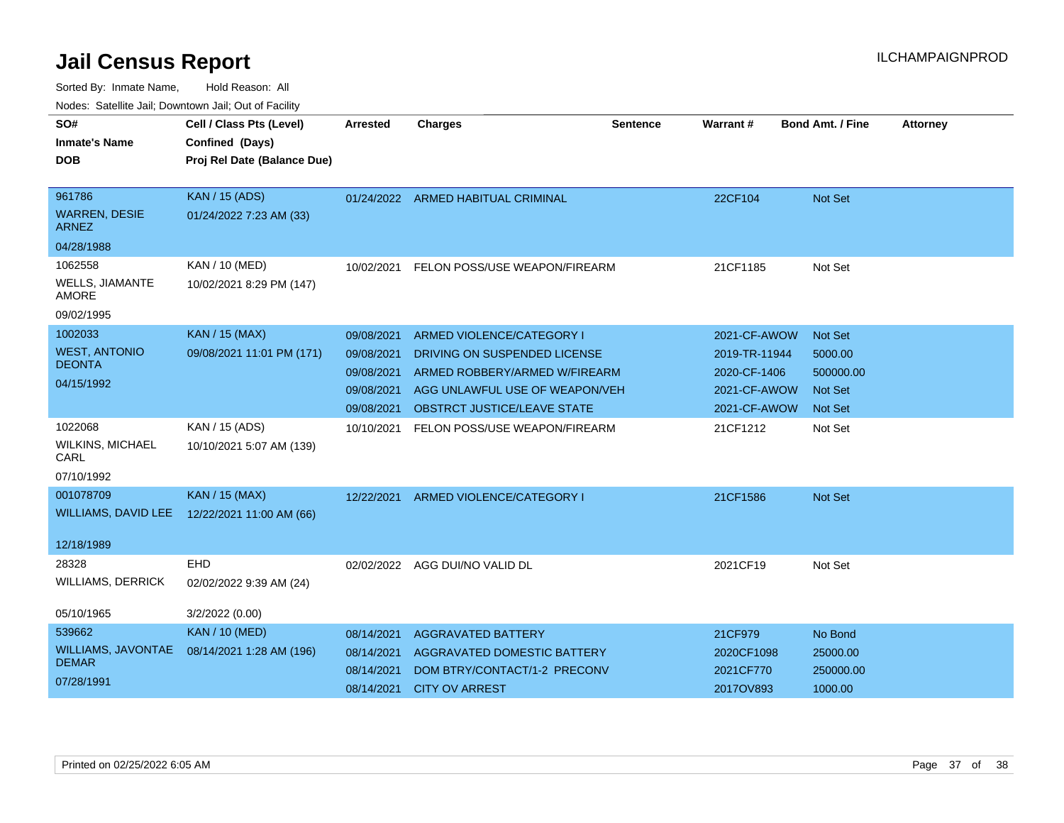| SO#<br><b>Inmate's Name</b>          | Cell / Class Pts (Level)<br>Confined (Days) | <b>Arrested</b> | <b>Charges</b>                     | <b>Sentence</b> | Warrant#      | <b>Bond Amt. / Fine</b> | <b>Attorney</b> |
|--------------------------------------|---------------------------------------------|-----------------|------------------------------------|-----------------|---------------|-------------------------|-----------------|
| <b>DOB</b>                           | Proj Rel Date (Balance Due)                 |                 |                                    |                 |               |                         |                 |
| 961786                               | <b>KAN / 15 (ADS)</b>                       |                 | 01/24/2022 ARMED HABITUAL CRIMINAL |                 | 22CF104       | Not Set                 |                 |
| <b>WARREN, DESIE</b><br><b>ARNEZ</b> | 01/24/2022 7:23 AM (33)                     |                 |                                    |                 |               |                         |                 |
| 04/28/1988                           |                                             |                 |                                    |                 |               |                         |                 |
| 1062558                              | KAN / 10 (MED)                              | 10/02/2021      | FELON POSS/USE WEAPON/FIREARM      |                 | 21CF1185      | Not Set                 |                 |
| WELLS, JIAMANTE<br><b>AMORE</b>      | 10/02/2021 8:29 PM (147)                    |                 |                                    |                 |               |                         |                 |
| 09/02/1995                           |                                             |                 |                                    |                 |               |                         |                 |
| 1002033                              | <b>KAN / 15 (MAX)</b>                       | 09/08/2021      | ARMED VIOLENCE/CATEGORY I          |                 | 2021-CF-AWOW  | <b>Not Set</b>          |                 |
| <b>WEST, ANTONIO</b>                 | 09/08/2021 11:01 PM (171)                   | 09/08/2021      | DRIVING ON SUSPENDED LICENSE       |                 | 2019-TR-11944 | 5000.00                 |                 |
| <b>DEONTA</b>                        |                                             | 09/08/2021      | ARMED ROBBERY/ARMED W/FIREARM      |                 | 2020-CF-1406  | 500000.00               |                 |
| 04/15/1992                           |                                             | 09/08/2021      | AGG UNLAWFUL USE OF WEAPON/VEH     |                 | 2021-CF-AWOW  | <b>Not Set</b>          |                 |
|                                      |                                             | 09/08/2021      | OBSTRCT JUSTICE/LEAVE STATE        |                 | 2021-CF-AWOW  | <b>Not Set</b>          |                 |
| 1022068                              | KAN / 15 (ADS)                              | 10/10/2021      | FELON POSS/USE WEAPON/FIREARM      |                 | 21CF1212      | Not Set                 |                 |
| <b>WILKINS, MICHAEL</b><br>CARL      | 10/10/2021 5:07 AM (139)                    |                 |                                    |                 |               |                         |                 |
| 07/10/1992                           |                                             |                 |                                    |                 |               |                         |                 |
| 001078709                            | <b>KAN / 15 (MAX)</b>                       | 12/22/2021      | ARMED VIOLENCE/CATEGORY I          |                 | 21CF1586      | <b>Not Set</b>          |                 |
| <b>WILLIAMS, DAVID LEE</b>           | 12/22/2021 11:00 AM (66)                    |                 |                                    |                 |               |                         |                 |
| 12/18/1989                           |                                             |                 |                                    |                 |               |                         |                 |
| 28328                                | <b>EHD</b>                                  | 02/02/2022      | AGG DUI/NO VALID DL                |                 | 2021CF19      | Not Set                 |                 |
| <b>WILLIAMS, DERRICK</b>             | 02/02/2022 9:39 AM (24)                     |                 |                                    |                 |               |                         |                 |
| 05/10/1965                           | 3/2/2022 (0.00)                             |                 |                                    |                 |               |                         |                 |
| 539662                               | <b>KAN / 10 (MED)</b>                       | 08/14/2021      | <b>AGGRAVATED BATTERY</b>          |                 | 21CF979       | No Bond                 |                 |
| <b>WILLIAMS, JAVONTAE</b>            | 08/14/2021 1:28 AM (196)                    | 08/14/2021      | <b>AGGRAVATED DOMESTIC BATTERY</b> |                 | 2020CF1098    | 25000.00                |                 |
| <b>DEMAR</b>                         |                                             | 08/14/2021      | DOM BTRY/CONTACT/1-2 PRECONV       |                 | 2021CF770     | 250000.00               |                 |
| 07/28/1991                           |                                             | 08/14/2021      | <b>CITY OV ARREST</b>              |                 | 2017OV893     | 1000.00                 |                 |